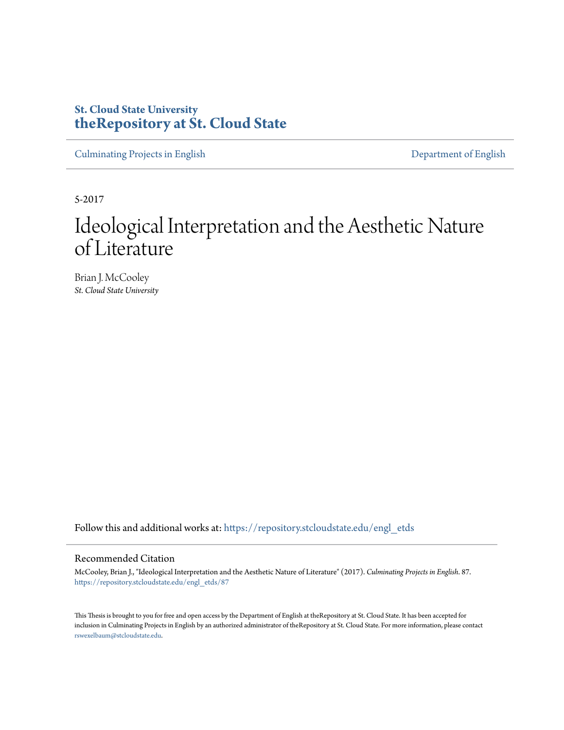## **St. Cloud State University [theRepository at St. Cloud State](https://repository.stcloudstate.edu?utm_source=repository.stcloudstate.edu%2Fengl_etds%2F87&utm_medium=PDF&utm_campaign=PDFCoverPages)**

[Culminating Projects in English](https://repository.stcloudstate.edu/engl_etds?utm_source=repository.stcloudstate.edu%2Fengl_etds%2F87&utm_medium=PDF&utm_campaign=PDFCoverPages) [Department of English](https://repository.stcloudstate.edu/engl?utm_source=repository.stcloudstate.edu%2Fengl_etds%2F87&utm_medium=PDF&utm_campaign=PDFCoverPages)

5-2017

# Ideological Interpretation and the Aesthetic Nature of Literature

Brian J. McCooley *St. Cloud State University*

Follow this and additional works at: [https://repository.stcloudstate.edu/engl\\_etds](https://repository.stcloudstate.edu/engl_etds?utm_source=repository.stcloudstate.edu%2Fengl_etds%2F87&utm_medium=PDF&utm_campaign=PDFCoverPages)

### Recommended Citation

McCooley, Brian J., "Ideological Interpretation and the Aesthetic Nature of Literature" (2017). *Culminating Projects in English*. 87. [https://repository.stcloudstate.edu/engl\\_etds/87](https://repository.stcloudstate.edu/engl_etds/87?utm_source=repository.stcloudstate.edu%2Fengl_etds%2F87&utm_medium=PDF&utm_campaign=PDFCoverPages)

This Thesis is brought to you for free and open access by the Department of English at theRepository at St. Cloud State. It has been accepted for inclusion in Culminating Projects in English by an authorized administrator of theRepository at St. Cloud State. For more information, please contact [rswexelbaum@stcloudstate.edu](mailto:rswexelbaum@stcloudstate.edu).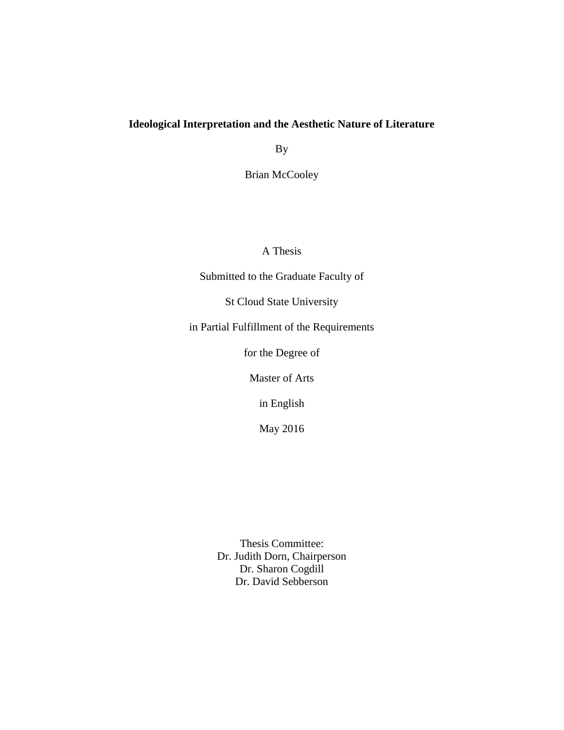## **Ideological Interpretation and the Aesthetic Nature of Literature**

By

Brian McCooley

A Thesis

Submitted to the Graduate Faculty of

St Cloud State University

in Partial Fulfillment of the Requirements

for the Degree of

Master of Arts

in English

May 2016

Thesis Committee: Dr. Judith Dorn, Chairperson Dr. Sharon Cogdill Dr. David Sebberson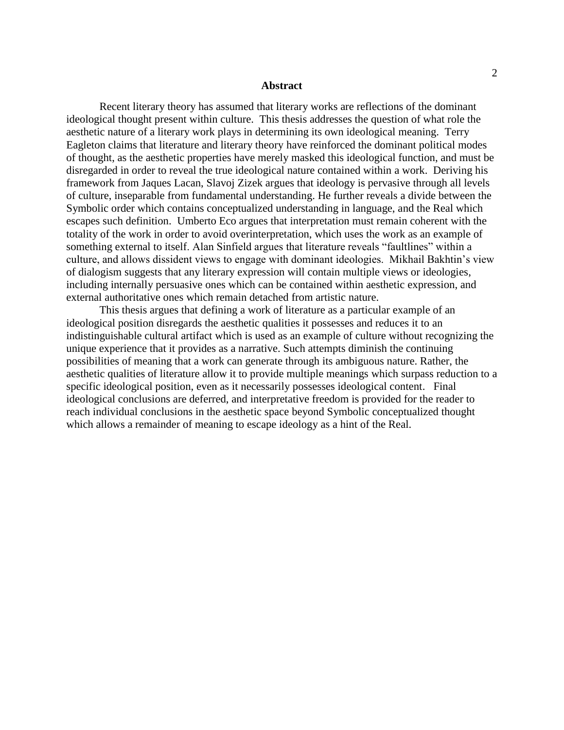#### **Abstract**

Recent literary theory has assumed that literary works are reflections of the dominant ideological thought present within culture. This thesis addresses the question of what role the aesthetic nature of a literary work plays in determining its own ideological meaning. Terry Eagleton claims that literature and literary theory have reinforced the dominant political modes of thought, as the aesthetic properties have merely masked this ideological function, and must be disregarded in order to reveal the true ideological nature contained within a work. Deriving his framework from Jaques Lacan, Slavoj Zizek argues that ideology is pervasive through all levels of culture, inseparable from fundamental understanding. He further reveals a divide between the Symbolic order which contains conceptualized understanding in language, and the Real which escapes such definition. Umberto Eco argues that interpretation must remain coherent with the totality of the work in order to avoid overinterpretation, which uses the work as an example of something external to itself. Alan Sinfield argues that literature reveals "faultlines" within a culture, and allows dissident views to engage with dominant ideologies. Mikhail Bakhtin's view of dialogism suggests that any literary expression will contain multiple views or ideologies, including internally persuasive ones which can be contained within aesthetic expression, and external authoritative ones which remain detached from artistic nature.

This thesis argues that defining a work of literature as a particular example of an ideological position disregards the aesthetic qualities it possesses and reduces it to an indistinguishable cultural artifact which is used as an example of culture without recognizing the unique experience that it provides as a narrative. Such attempts diminish the continuing possibilities of meaning that a work can generate through its ambiguous nature. Rather, the aesthetic qualities of literature allow it to provide multiple meanings which surpass reduction to a specific ideological position, even as it necessarily possesses ideological content. Final ideological conclusions are deferred, and interpretative freedom is provided for the reader to reach individual conclusions in the aesthetic space beyond Symbolic conceptualized thought which allows a remainder of meaning to escape ideology as a hint of the Real.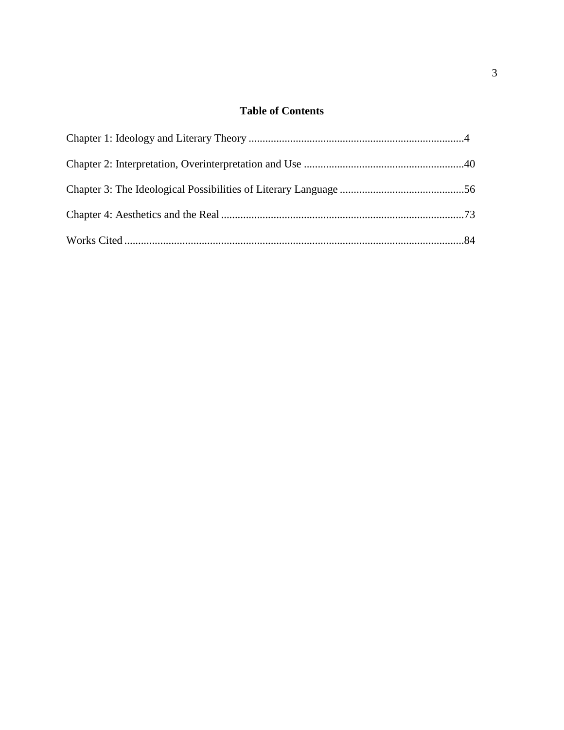## **Table of Contents**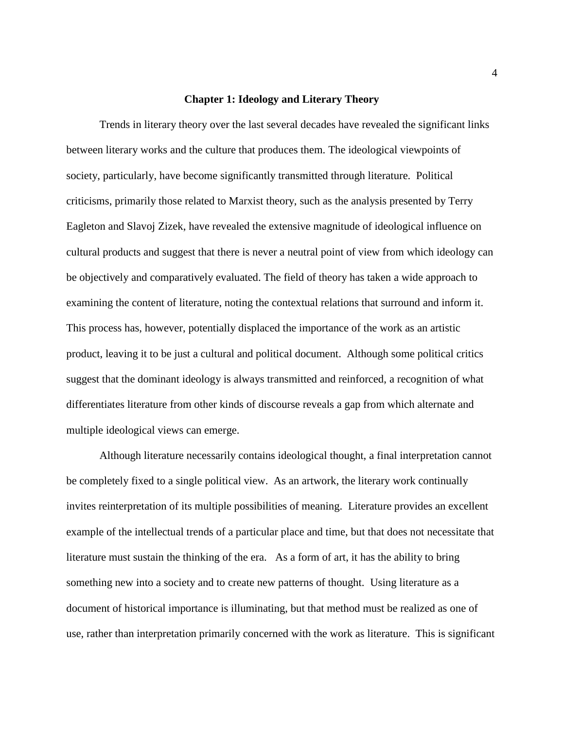#### **Chapter 1: Ideology and Literary Theory**

Trends in literary theory over the last several decades have revealed the significant links between literary works and the culture that produces them. The ideological viewpoints of society, particularly, have become significantly transmitted through literature. Political criticisms, primarily those related to Marxist theory, such as the analysis presented by Terry Eagleton and Slavoj Zizek, have revealed the extensive magnitude of ideological influence on cultural products and suggest that there is never a neutral point of view from which ideology can be objectively and comparatively evaluated. The field of theory has taken a wide approach to examining the content of literature, noting the contextual relations that surround and inform it. This process has, however, potentially displaced the importance of the work as an artistic product, leaving it to be just a cultural and political document. Although some political critics suggest that the dominant ideology is always transmitted and reinforced, a recognition of what differentiates literature from other kinds of discourse reveals a gap from which alternate and multiple ideological views can emerge.

Although literature necessarily contains ideological thought, a final interpretation cannot be completely fixed to a single political view. As an artwork, the literary work continually invites reinterpretation of its multiple possibilities of meaning. Literature provides an excellent example of the intellectual trends of a particular place and time, but that does not necessitate that literature must sustain the thinking of the era. As a form of art, it has the ability to bring something new into a society and to create new patterns of thought. Using literature as a document of historical importance is illuminating, but that method must be realized as one of use, rather than interpretation primarily concerned with the work as literature. This is significant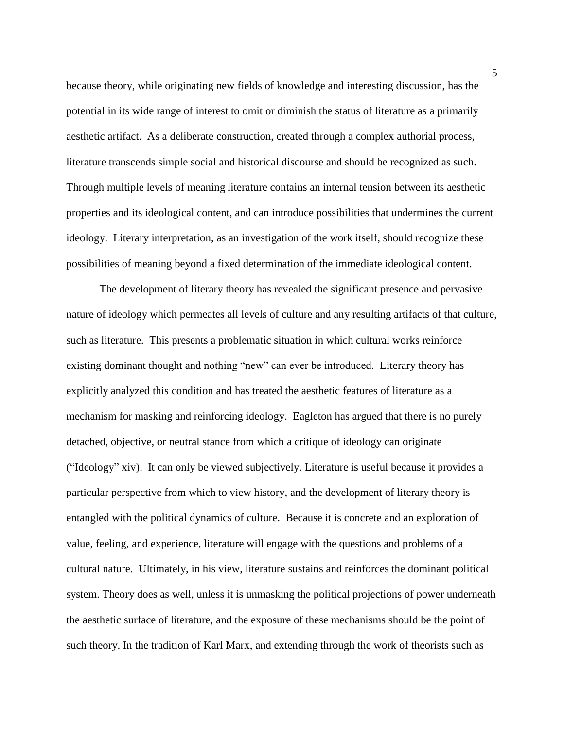because theory, while originating new fields of knowledge and interesting discussion, has the potential in its wide range of interest to omit or diminish the status of literature as a primarily aesthetic artifact. As a deliberate construction, created through a complex authorial process, literature transcends simple social and historical discourse and should be recognized as such. Through multiple levels of meaning literature contains an internal tension between its aesthetic properties and its ideological content, and can introduce possibilities that undermines the current ideology. Literary interpretation, as an investigation of the work itself, should recognize these possibilities of meaning beyond a fixed determination of the immediate ideological content.

The development of literary theory has revealed the significant presence and pervasive nature of ideology which permeates all levels of culture and any resulting artifacts of that culture, such as literature. This presents a problematic situation in which cultural works reinforce existing dominant thought and nothing "new" can ever be introduced. Literary theory has explicitly analyzed this condition and has treated the aesthetic features of literature as a mechanism for masking and reinforcing ideology. Eagleton has argued that there is no purely detached, objective, or neutral stance from which a critique of ideology can originate ("Ideology" xiv). It can only be viewed subjectively. Literature is useful because it provides a particular perspective from which to view history, and the development of literary theory is entangled with the political dynamics of culture. Because it is concrete and an exploration of value, feeling, and experience, literature will engage with the questions and problems of a cultural nature. Ultimately, in his view, literature sustains and reinforces the dominant political system. Theory does as well, unless it is unmasking the political projections of power underneath the aesthetic surface of literature, and the exposure of these mechanisms should be the point of such theory. In the tradition of Karl Marx, and extending through the work of theorists such as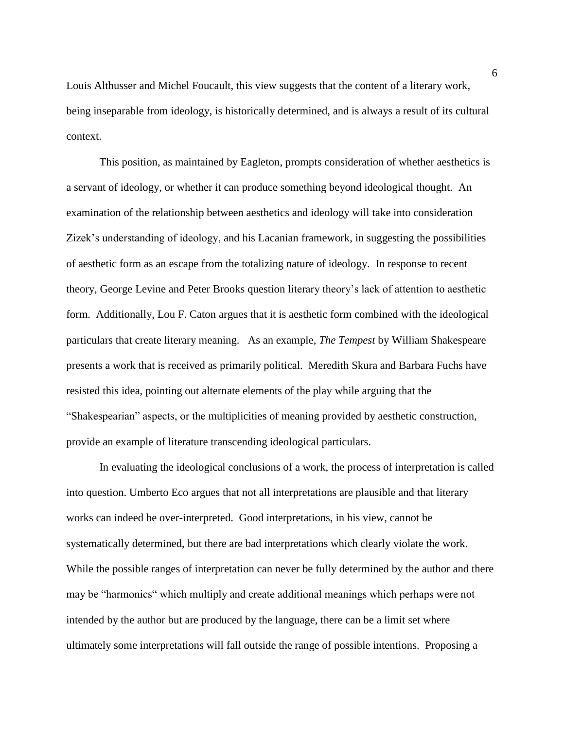Louis Althusser and Michel Foucault, this view suggests that the content of a literary work, being inseparable from ideology, is historically determined, and is always a result of its cultural context.

This position, as maintained by Eagleton, prompts consideration of whether aesthetics is a servant of ideology, or whether it can produce something beyond ideological thought. An examination of the relationship between aesthetics and ideology will take into consideration Zizek's understanding of ideology, and his Lacanian framework, in suggesting the possibilities of aesthetic form as an escape from the totalizing nature of ideology. In response to recent theory, George Levine and Peter Brooks question literary theory's lack of attention to aesthetic form. Additionally, Lou F. Caton argues that it is aesthetic form combined with the ideological particulars that create literary meaning. As an example, *The Tempest* by William Shakespeare presents a work that is received as primarily political. Meredith Skura and Barbara Fuchs have resisted this idea, pointing out alternate elements of the play while arguing that the "Shakespearian" aspects, or the multiplicities of meaning provided by aesthetic construction, provide an example of literature transcending ideological particulars.

In evaluating the ideological conclusions of a work, the process of interpretation is called into question. Umberto Eco argues that not all interpretations are plausible and that literary works can indeed be over-interpreted. Good interpretations, in his view, cannot be systematically determined, but there are bad interpretations which clearly violate the work. While the possible ranges of interpretation can never be fully determined by the author and there may be "harmonics" which multiply and create additional meanings which perhaps were not intended by the author but are produced by the language, there can be a limit set where ultimately some interpretations will fall outside the range of possible intentions. Proposing a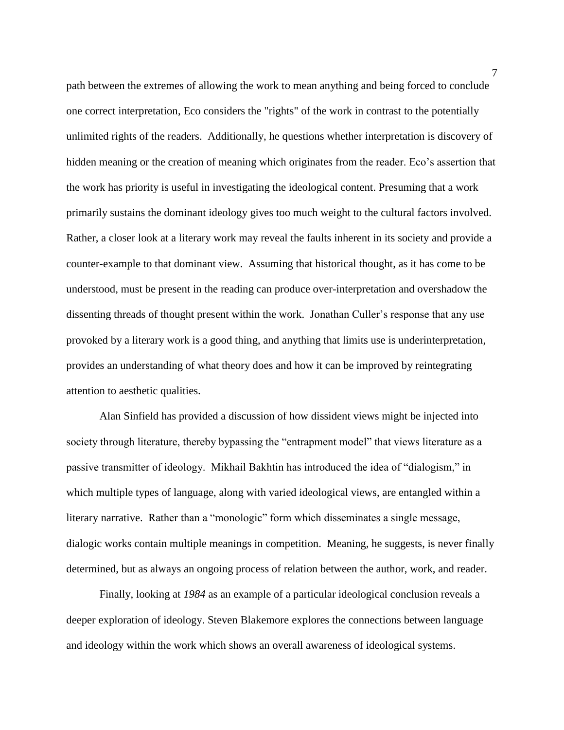path between the extremes of allowing the work to mean anything and being forced to conclude one correct interpretation, Eco considers the "rights" of the work in contrast to the potentially unlimited rights of the readers. Additionally, he questions whether interpretation is discovery of hidden meaning or the creation of meaning which originates from the reader. Eco's assertion that the work has priority is useful in investigating the ideological content. Presuming that a work primarily sustains the dominant ideology gives too much weight to the cultural factors involved. Rather, a closer look at a literary work may reveal the faults inherent in its society and provide a counter-example to that dominant view. Assuming that historical thought, as it has come to be understood, must be present in the reading can produce over-interpretation and overshadow the dissenting threads of thought present within the work. Jonathan Culler's response that any use provoked by a literary work is a good thing, and anything that limits use is underinterpretation, provides an understanding of what theory does and how it can be improved by reintegrating attention to aesthetic qualities.

Alan Sinfield has provided a discussion of how dissident views might be injected into society through literature, thereby bypassing the "entrapment model" that views literature as a passive transmitter of ideology. Mikhail Bakhtin has introduced the idea of "dialogism," in which multiple types of language, along with varied ideological views, are entangled within a literary narrative. Rather than a "monologic" form which disseminates a single message, dialogic works contain multiple meanings in competition. Meaning, he suggests, is never finally determined, but as always an ongoing process of relation between the author, work, and reader.

Finally, looking at *1984* as an example of a particular ideological conclusion reveals a deeper exploration of ideology. Steven Blakemore explores the connections between language and ideology within the work which shows an overall awareness of ideological systems.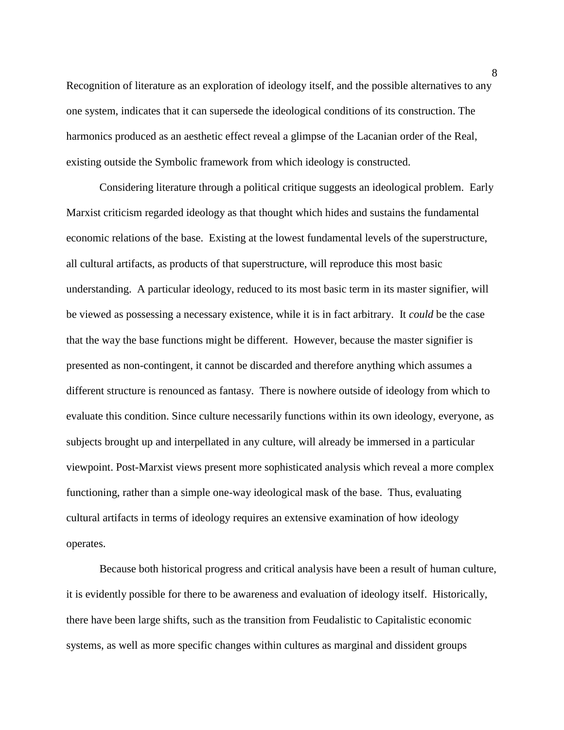Recognition of literature as an exploration of ideology itself, and the possible alternatives to any one system, indicates that it can supersede the ideological conditions of its construction. The harmonics produced as an aesthetic effect reveal a glimpse of the Lacanian order of the Real, existing outside the Symbolic framework from which ideology is constructed.

Considering literature through a political critique suggests an ideological problem. Early Marxist criticism regarded ideology as that thought which hides and sustains the fundamental economic relations of the base. Existing at the lowest fundamental levels of the superstructure, all cultural artifacts, as products of that superstructure, will reproduce this most basic understanding. A particular ideology, reduced to its most basic term in its master signifier, will be viewed as possessing a necessary existence, while it is in fact arbitrary. It *could* be the case that the way the base functions might be different. However, because the master signifier is presented as non-contingent, it cannot be discarded and therefore anything which assumes a different structure is renounced as fantasy. There is nowhere outside of ideology from which to evaluate this condition. Since culture necessarily functions within its own ideology, everyone, as subjects brought up and interpellated in any culture, will already be immersed in a particular viewpoint. Post-Marxist views present more sophisticated analysis which reveal a more complex functioning, rather than a simple one-way ideological mask of the base. Thus, evaluating cultural artifacts in terms of ideology requires an extensive examination of how ideology operates.

Because both historical progress and critical analysis have been a result of human culture, it is evidently possible for there to be awareness and evaluation of ideology itself. Historically, there have been large shifts, such as the transition from Feudalistic to Capitalistic economic systems, as well as more specific changes within cultures as marginal and dissident groups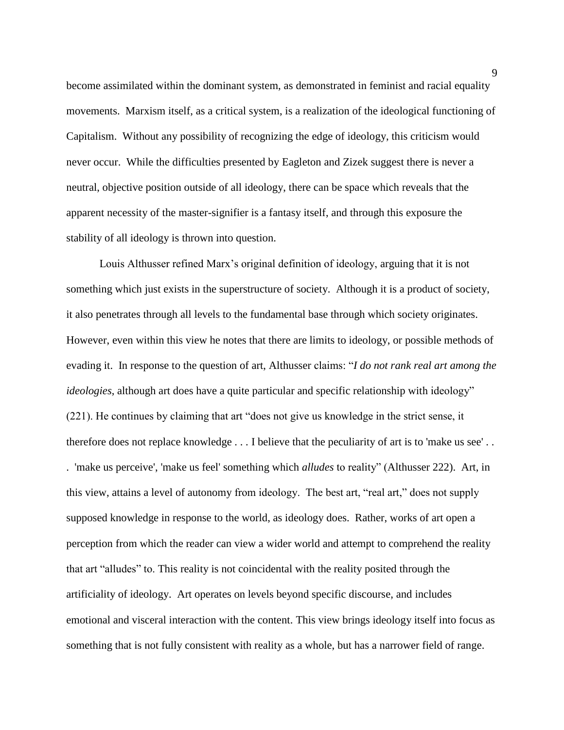become assimilated within the dominant system, as demonstrated in feminist and racial equality movements. Marxism itself, as a critical system, is a realization of the ideological functioning of Capitalism. Without any possibility of recognizing the edge of ideology, this criticism would never occur. While the difficulties presented by Eagleton and Zizek suggest there is never a neutral, objective position outside of all ideology, there can be space which reveals that the apparent necessity of the master-signifier is a fantasy itself, and through this exposure the stability of all ideology is thrown into question.

Louis Althusser refined Marx's original definition of ideology, arguing that it is not something which just exists in the superstructure of society. Although it is a product of society, it also penetrates through all levels to the fundamental base through which society originates. However, even within this view he notes that there are limits to ideology, or possible methods of evading it. In response to the question of art, Althusser claims: "*I do not rank real art among the ideologies*, although art does have a quite particular and specific relationship with ideology" (221). He continues by claiming that art "does not give us knowledge in the strict sense, it therefore does not replace knowledge . . . I believe that the peculiarity of art is to 'make us see' . . . 'make us perceive', 'make us feel' something which *alludes* to reality" (Althusser 222). Art, in this view, attains a level of autonomy from ideology. The best art, "real art," does not supply supposed knowledge in response to the world, as ideology does. Rather, works of art open a perception from which the reader can view a wider world and attempt to comprehend the reality that art "alludes" to. This reality is not coincidental with the reality posited through the artificiality of ideology. Art operates on levels beyond specific discourse, and includes emotional and visceral interaction with the content. This view brings ideology itself into focus as something that is not fully consistent with reality as a whole, but has a narrower field of range.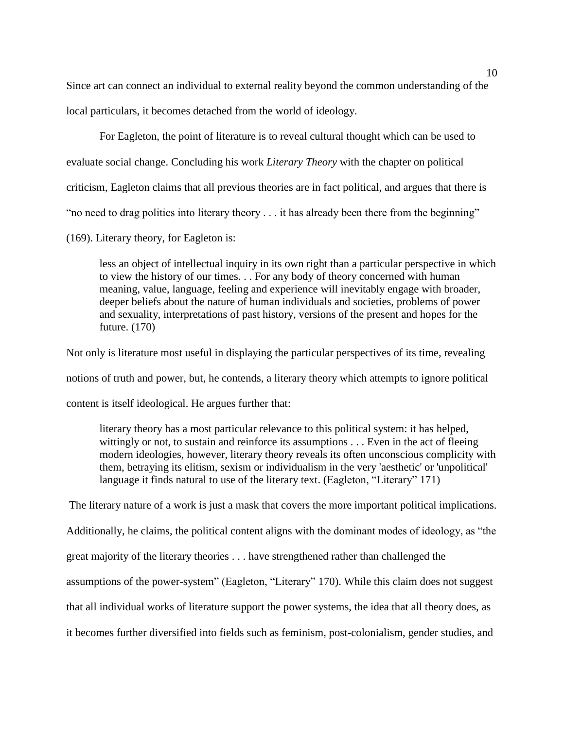Since art can connect an individual to external reality beyond the common understanding of the local particulars, it becomes detached from the world of ideology.

For Eagleton, the point of literature is to reveal cultural thought which can be used to evaluate social change. Concluding his work *Literary Theory* with the chapter on political criticism, Eagleton claims that all previous theories are in fact political, and argues that there is "no need to drag politics into literary theory . . . it has already been there from the beginning" (169). Literary theory, for Eagleton is:

less an object of intellectual inquiry in its own right than a particular perspective in which to view the history of our times. . . For any body of theory concerned with human meaning, value, language, feeling and experience will inevitably engage with broader, deeper beliefs about the nature of human individuals and societies, problems of power and sexuality, interpretations of past history, versions of the present and hopes for the future. (170)

Not only is literature most useful in displaying the particular perspectives of its time, revealing notions of truth and power, but, he contends, a literary theory which attempts to ignore political content is itself ideological. He argues further that:

literary theory has a most particular relevance to this political system: it has helped, wittingly or not, to sustain and reinforce its assumptions . . . Even in the act of fleeing modern ideologies, however, literary theory reveals its often unconscious complicity with them, betraying its elitism, sexism or individualism in the very 'aesthetic' or 'unpolitical' language it finds natural to use of the literary text. (Eagleton, "Literary" 171)

The literary nature of a work is just a mask that covers the more important political implications.

Additionally, he claims, the political content aligns with the dominant modes of ideology, as "the

great majority of the literary theories . . . have strengthened rather than challenged the

assumptions of the power-system" (Eagleton, "Literary" 170). While this claim does not suggest

that all individual works of literature support the power systems, the idea that all theory does, as

it becomes further diversified into fields such as feminism, post-colonialism, gender studies, and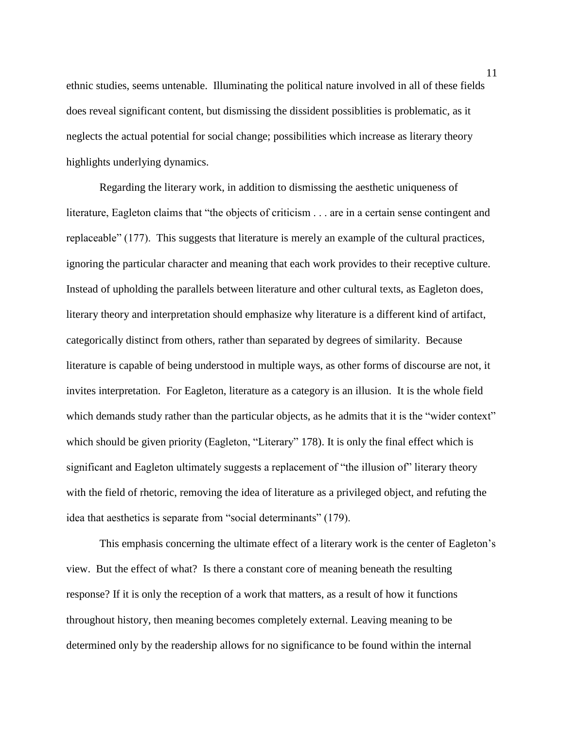ethnic studies, seems untenable. Illuminating the political nature involved in all of these fields does reveal significant content, but dismissing the dissident possiblities is problematic, as it neglects the actual potential for social change; possibilities which increase as literary theory highlights underlying dynamics.

Regarding the literary work, in addition to dismissing the aesthetic uniqueness of literature, Eagleton claims that "the objects of criticism . . . are in a certain sense contingent and replaceable" (177). This suggests that literature is merely an example of the cultural practices, ignoring the particular character and meaning that each work provides to their receptive culture. Instead of upholding the parallels between literature and other cultural texts, as Eagleton does, literary theory and interpretation should emphasize why literature is a different kind of artifact, categorically distinct from others, rather than separated by degrees of similarity. Because literature is capable of being understood in multiple ways, as other forms of discourse are not, it invites interpretation. For Eagleton, literature as a category is an illusion. It is the whole field which demands study rather than the particular objects, as he admits that it is the "wider context" which should be given priority (Eagleton, "Literary" 178). It is only the final effect which is significant and Eagleton ultimately suggests a replacement of "the illusion of" literary theory with the field of rhetoric, removing the idea of literature as a privileged object, and refuting the idea that aesthetics is separate from "social determinants" (179).

This emphasis concerning the ultimate effect of a literary work is the center of Eagleton's view. But the effect of what? Is there a constant core of meaning beneath the resulting response? If it is only the reception of a work that matters, as a result of how it functions throughout history, then meaning becomes completely external. Leaving meaning to be determined only by the readership allows for no significance to be found within the internal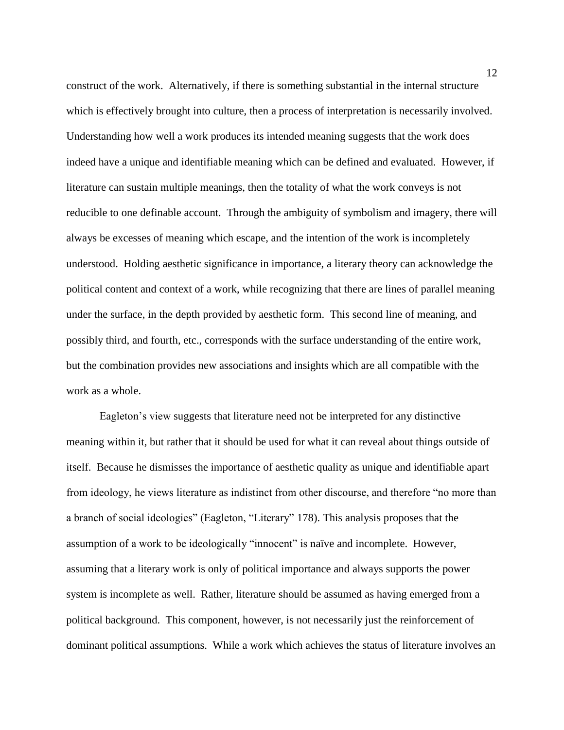construct of the work. Alternatively, if there is something substantial in the internal structure which is effectively brought into culture, then a process of interpretation is necessarily involved. Understanding how well a work produces its intended meaning suggests that the work does indeed have a unique and identifiable meaning which can be defined and evaluated. However, if literature can sustain multiple meanings, then the totality of what the work conveys is not reducible to one definable account. Through the ambiguity of symbolism and imagery, there will always be excesses of meaning which escape, and the intention of the work is incompletely understood. Holding aesthetic significance in importance, a literary theory can acknowledge the political content and context of a work, while recognizing that there are lines of parallel meaning under the surface, in the depth provided by aesthetic form. This second line of meaning, and possibly third, and fourth, etc., corresponds with the surface understanding of the entire work, but the combination provides new associations and insights which are all compatible with the work as a whole.

Eagleton's view suggests that literature need not be interpreted for any distinctive meaning within it, but rather that it should be used for what it can reveal about things outside of itself. Because he dismisses the importance of aesthetic quality as unique and identifiable apart from ideology, he views literature as indistinct from other discourse, and therefore "no more than a branch of social ideologies" (Eagleton, "Literary" 178). This analysis proposes that the assumption of a work to be ideologically "innocent" is naïve and incomplete. However, assuming that a literary work is only of political importance and always supports the power system is incomplete as well. Rather, literature should be assumed as having emerged from a political background. This component, however, is not necessarily just the reinforcement of dominant political assumptions. While a work which achieves the status of literature involves an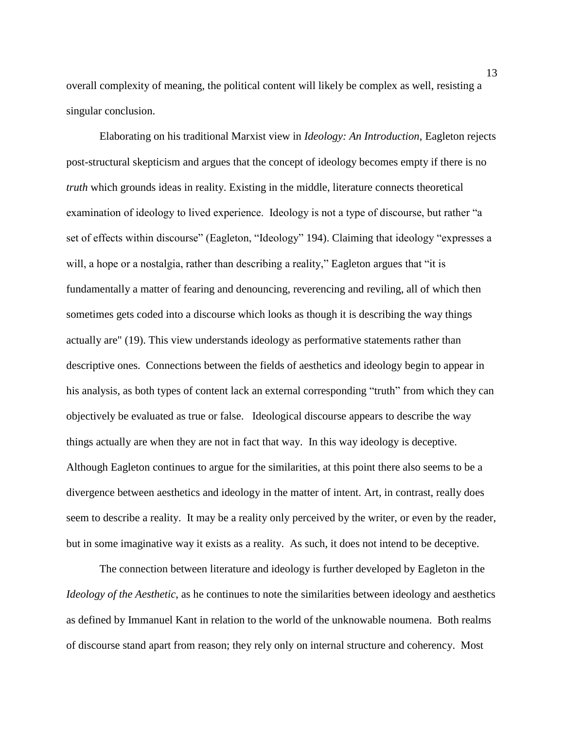overall complexity of meaning, the political content will likely be complex as well, resisting a singular conclusion.

Elaborating on his traditional Marxist view in *Ideology: An Introduction*, Eagleton rejects post-structural skepticism and argues that the concept of ideology becomes empty if there is no *truth* which grounds ideas in reality. Existing in the middle, literature connects theoretical examination of ideology to lived experience. Ideology is not a type of discourse, but rather "a set of effects within discourse" (Eagleton, "Ideology" 194). Claiming that ideology "expresses a will, a hope or a nostalgia, rather than describing a reality," Eagleton argues that "it is fundamentally a matter of fearing and denouncing, reverencing and reviling, all of which then sometimes gets coded into a discourse which looks as though it is describing the way things actually are" (19). This view understands ideology as performative statements rather than descriptive ones. Connections between the fields of aesthetics and ideology begin to appear in his analysis, as both types of content lack an external corresponding "truth" from which they can objectively be evaluated as true or false. Ideological discourse appears to describe the way things actually are when they are not in fact that way. In this way ideology is deceptive. Although Eagleton continues to argue for the similarities, at this point there also seems to be a divergence between aesthetics and ideology in the matter of intent. Art, in contrast, really does seem to describe a reality. It may be a reality only perceived by the writer, or even by the reader, but in some imaginative way it exists as a reality. As such, it does not intend to be deceptive.

The connection between literature and ideology is further developed by Eagleton in the *Ideology of the Aesthetic*, as he continues to note the similarities between ideology and aesthetics as defined by Immanuel Kant in relation to the world of the unknowable noumena. Both realms of discourse stand apart from reason; they rely only on internal structure and coherency. Most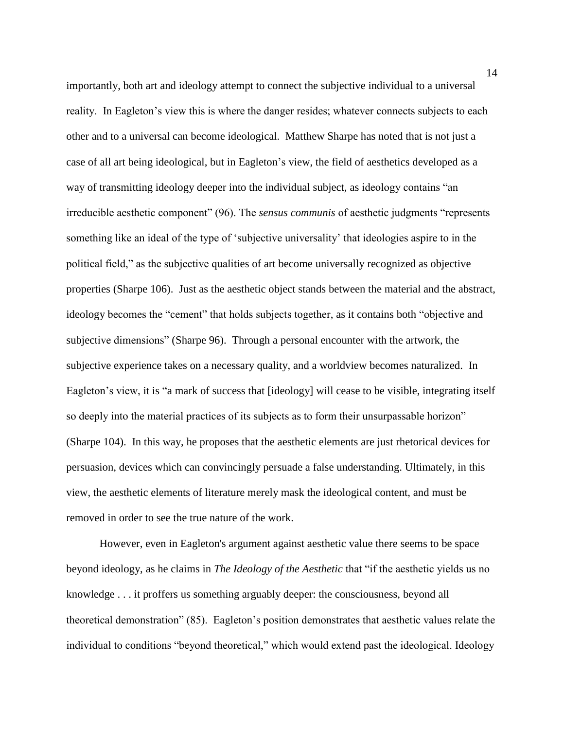importantly, both art and ideology attempt to connect the subjective individual to a universal reality. In Eagleton's view this is where the danger resides; whatever connects subjects to each other and to a universal can become ideological. Matthew Sharpe has noted that is not just a case of all art being ideological, but in Eagleton's view, the field of aesthetics developed as a way of transmitting ideology deeper into the individual subject, as ideology contains "an irreducible aesthetic component" (96). The *sensus communis* of aesthetic judgments "represents something like an ideal of the type of 'subjective universality' that ideologies aspire to in the political field," as the subjective qualities of art become universally recognized as objective properties (Sharpe 106). Just as the aesthetic object stands between the material and the abstract, ideology becomes the "cement" that holds subjects together, as it contains both "objective and subjective dimensions" (Sharpe 96). Through a personal encounter with the artwork, the subjective experience takes on a necessary quality, and a worldview becomes naturalized. In Eagleton's view, it is "a mark of success that [ideology] will cease to be visible, integrating itself so deeply into the material practices of its subjects as to form their unsurpassable horizon" (Sharpe 104). In this way, he proposes that the aesthetic elements are just rhetorical devices for persuasion, devices which can convincingly persuade a false understanding. Ultimately, in this view, the aesthetic elements of literature merely mask the ideological content, and must be removed in order to see the true nature of the work.

However, even in Eagleton's argument against aesthetic value there seems to be space beyond ideology, as he claims in *The Ideology of the Aesthetic* that "if the aesthetic yields us no knowledge . . . it proffers us something arguably deeper: the consciousness, beyond all theoretical demonstration" (85). Eagleton's position demonstrates that aesthetic values relate the individual to conditions "beyond theoretical," which would extend past the ideological. Ideology

14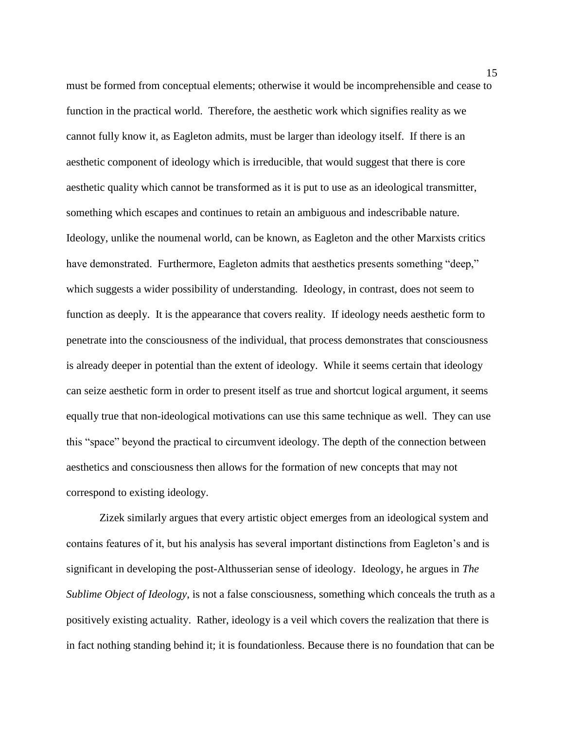must be formed from conceptual elements; otherwise it would be incomprehensible and cease to function in the practical world. Therefore, the aesthetic work which signifies reality as we cannot fully know it, as Eagleton admits, must be larger than ideology itself. If there is an aesthetic component of ideology which is irreducible, that would suggest that there is core aesthetic quality which cannot be transformed as it is put to use as an ideological transmitter, something which escapes and continues to retain an ambiguous and indescribable nature. Ideology, unlike the noumenal world, can be known, as Eagleton and the other Marxists critics have demonstrated. Furthermore, Eagleton admits that aesthetics presents something "deep," which suggests a wider possibility of understanding. Ideology, in contrast, does not seem to function as deeply. It is the appearance that covers reality. If ideology needs aesthetic form to penetrate into the consciousness of the individual, that process demonstrates that consciousness is already deeper in potential than the extent of ideology. While it seems certain that ideology can seize aesthetic form in order to present itself as true and shortcut logical argument, it seems equally true that non-ideological motivations can use this same technique as well. They can use this "space" beyond the practical to circumvent ideology. The depth of the connection between aesthetics and consciousness then allows for the formation of new concepts that may not correspond to existing ideology.

Zizek similarly argues that every artistic object emerges from an ideological system and contains features of it, but his analysis has several important distinctions from Eagleton's and is significant in developing the post-Althusserian sense of ideology. Ideology, he argues in *The Sublime Object of Ideology*, is not a false consciousness, something which conceals the truth as a positively existing actuality. Rather, ideology is a veil which covers the realization that there is in fact nothing standing behind it; it is foundationless. Because there is no foundation that can be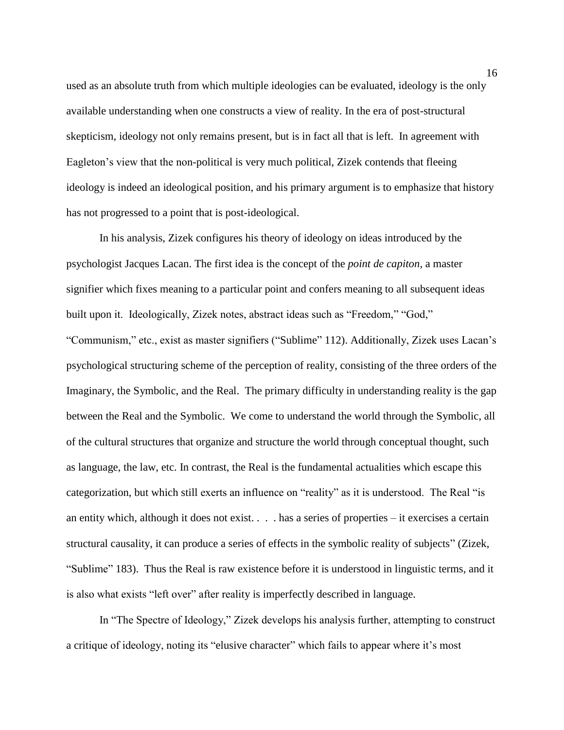used as an absolute truth from which multiple ideologies can be evaluated, ideology is the only available understanding when one constructs a view of reality. In the era of post-structural skepticism, ideology not only remains present, but is in fact all that is left. In agreement with Eagleton's view that the non-political is very much political, Zizek contends that fleeing ideology is indeed an ideological position, and his primary argument is to emphasize that history has not progressed to a point that is post-ideological.

In his analysis, Zizek configures his theory of ideology on ideas introduced by the psychologist Jacques Lacan. The first idea is the concept of the *point de capiton*, a master signifier which fixes meaning to a particular point and confers meaning to all subsequent ideas built upon it. Ideologically, Zizek notes, abstract ideas such as "Freedom," "God," "Communism," etc., exist as master signifiers ("Sublime" 112). Additionally, Zizek uses Lacan's psychological structuring scheme of the perception of reality, consisting of the three orders of the Imaginary, the Symbolic, and the Real. The primary difficulty in understanding reality is the gap between the Real and the Symbolic. We come to understand the world through the Symbolic, all of the cultural structures that organize and structure the world through conceptual thought, such as language, the law, etc. In contrast, the Real is the fundamental actualities which escape this categorization, but which still exerts an influence on "reality" as it is understood. The Real "is an entity which, although it does not exist. . . . has a series of properties – it exercises a certain structural causality, it can produce a series of effects in the symbolic reality of subjects" (Zizek, "Sublime" 183). Thus the Real is raw existence before it is understood in linguistic terms, and it is also what exists "left over" after reality is imperfectly described in language.

In "The Spectre of Ideology," Zizek develops his analysis further, attempting to construct a critique of ideology, noting its "elusive character" which fails to appear where it's most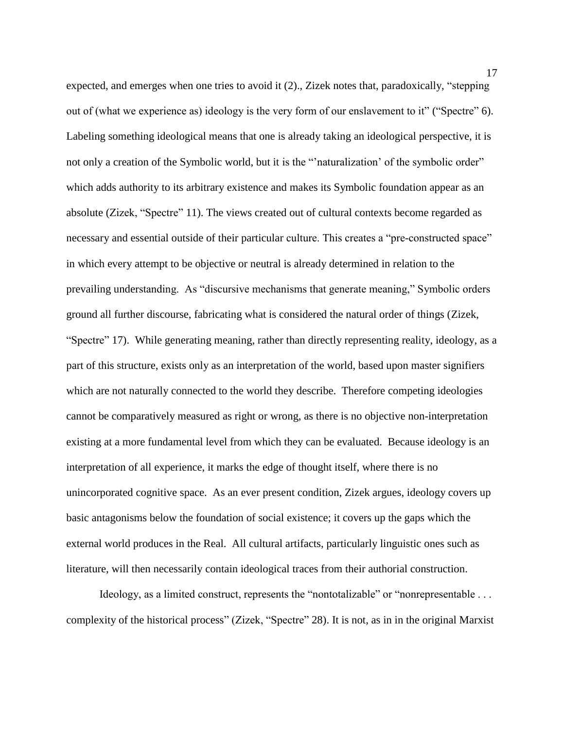expected, and emerges when one tries to avoid it (2)., Zizek notes that, paradoxically, "stepping out of (what we experience as) ideology is the very form of our enslavement to it" ("Spectre" 6). Labeling something ideological means that one is already taking an ideological perspective, it is not only a creation of the Symbolic world, but it is the "'naturalization' of the symbolic order" which adds authority to its arbitrary existence and makes its Symbolic foundation appear as an absolute (Zizek, "Spectre" 11). The views created out of cultural contexts become regarded as necessary and essential outside of their particular culture. This creates a "pre-constructed space" in which every attempt to be objective or neutral is already determined in relation to the prevailing understanding. As "discursive mechanisms that generate meaning," Symbolic orders ground all further discourse, fabricating what is considered the natural order of things (Zizek, "Spectre" 17). While generating meaning, rather than directly representing reality, ideology, as a part of this structure, exists only as an interpretation of the world, based upon master signifiers which are not naturally connected to the world they describe. Therefore competing ideologies cannot be comparatively measured as right or wrong, as there is no objective non-interpretation existing at a more fundamental level from which they can be evaluated. Because ideology is an interpretation of all experience, it marks the edge of thought itself, where there is no unincorporated cognitive space. As an ever present condition, Zizek argues, ideology covers up basic antagonisms below the foundation of social existence; it covers up the gaps which the external world produces in the Real. All cultural artifacts, particularly linguistic ones such as literature, will then necessarily contain ideological traces from their authorial construction.

Ideology, as a limited construct, represents the "nontotalizable" or "nonrepresentable . . . complexity of the historical process" (Zizek, "Spectre" 28). It is not, as in in the original Marxist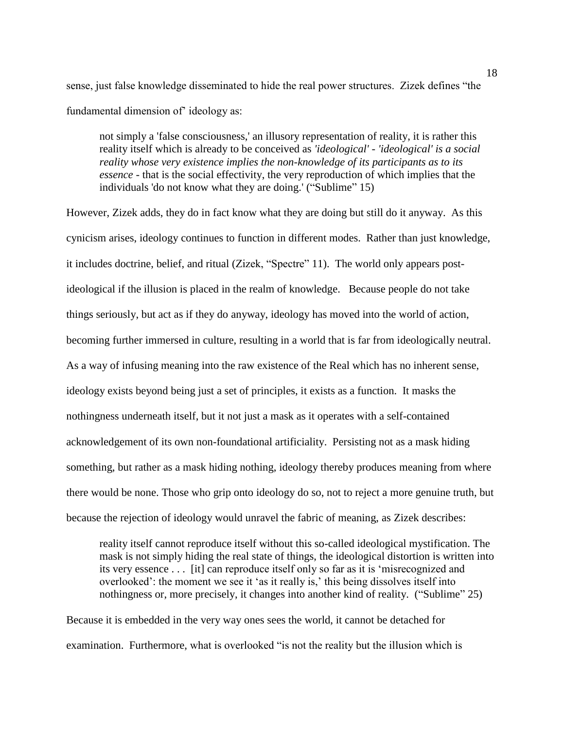sense, just false knowledge disseminated to hide the real power structures. Zizek defines "the fundamental dimension of' ideology as:

not simply a 'false consciousness,' an illusory representation of reality, it is rather this reality itself which is already to be conceived as *'ideological' - 'ideological' is a social reality whose very existence implies the non-knowledge of its participants as to its essence* - that is the social effectivity, the very reproduction of which implies that the individuals 'do not know what they are doing.' ("Sublime" 15)

However, Zizek adds, they do in fact know what they are doing but still do it anyway. As this cynicism arises, ideology continues to function in different modes. Rather than just knowledge, it includes doctrine, belief, and ritual (Zizek, "Spectre" 11). The world only appears postideological if the illusion is placed in the realm of knowledge. Because people do not take things seriously, but act as if they do anyway, ideology has moved into the world of action, becoming further immersed in culture, resulting in a world that is far from ideologically neutral. As a way of infusing meaning into the raw existence of the Real which has no inherent sense, ideology exists beyond being just a set of principles, it exists as a function. It masks the nothingness underneath itself, but it not just a mask as it operates with a self-contained acknowledgement of its own non-foundational artificiality. Persisting not as a mask hiding something, but rather as a mask hiding nothing, ideology thereby produces meaning from where there would be none. Those who grip onto ideology do so, not to reject a more genuine truth, but because the rejection of ideology would unravel the fabric of meaning, as Zizek describes:

reality itself cannot reproduce itself without this so-called ideological mystification. The mask is not simply hiding the real state of things, the ideological distortion is written into its very essence . . . [it] can reproduce itself only so far as it is 'misrecognized and overlooked': the moment we see it 'as it really is,' this being dissolves itself into nothingness or, more precisely, it changes into another kind of reality. ("Sublime" 25)

Because it is embedded in the very way ones sees the world, it cannot be detached for examination. Furthermore, what is overlooked "is not the reality but the illusion which is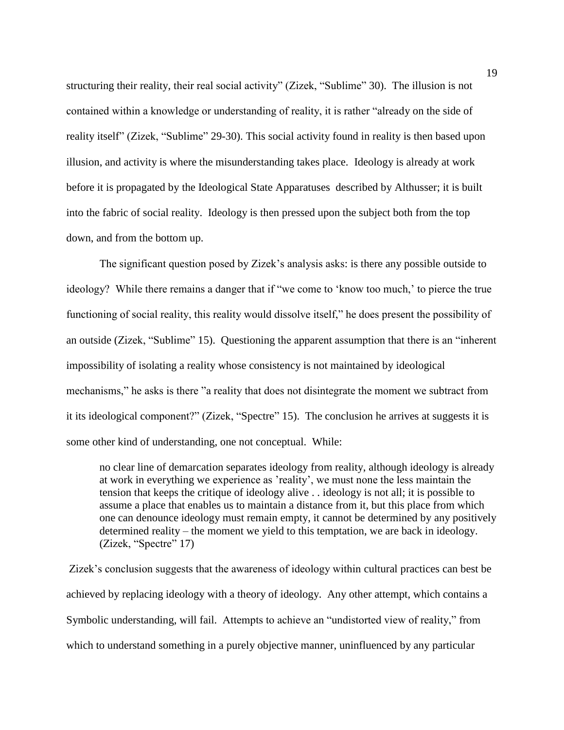structuring their reality, their real social activity" (Zizek, "Sublime" 30). The illusion is not contained within a knowledge or understanding of reality, it is rather "already on the side of reality itself" (Zizek, "Sublime" 29-30). This social activity found in reality is then based upon illusion, and activity is where the misunderstanding takes place. Ideology is already at work before it is propagated by the Ideological State Apparatuses described by Althusser; it is built into the fabric of social reality. Ideology is then pressed upon the subject both from the top down, and from the bottom up.

The significant question posed by Zizek's analysis asks: is there any possible outside to ideology? While there remains a danger that if "we come to 'know too much,' to pierce the true functioning of social reality, this reality would dissolve itself," he does present the possibility of an outside (Zizek, "Sublime" 15). Questioning the apparent assumption that there is an "inherent impossibility of isolating a reality whose consistency is not maintained by ideological mechanisms," he asks is there "a reality that does not disintegrate the moment we subtract from it its ideological component?" (Zizek, "Spectre" 15). The conclusion he arrives at suggests it is some other kind of understanding, one not conceptual. While:

no clear line of demarcation separates ideology from reality, although ideology is already at work in everything we experience as 'reality', we must none the less maintain the tension that keeps the critique of ideology alive . . ideology is not all; it is possible to assume a place that enables us to maintain a distance from it, but this place from which one can denounce ideology must remain empty, it cannot be determined by any positively determined reality – the moment we yield to this temptation, we are back in ideology. (Zizek, "Spectre" 17)

Zizek's conclusion suggests that the awareness of ideology within cultural practices can best be achieved by replacing ideology with a theory of ideology. Any other attempt, which contains a Symbolic understanding, will fail. Attempts to achieve an "undistorted view of reality," from which to understand something in a purely objective manner, uninfluenced by any particular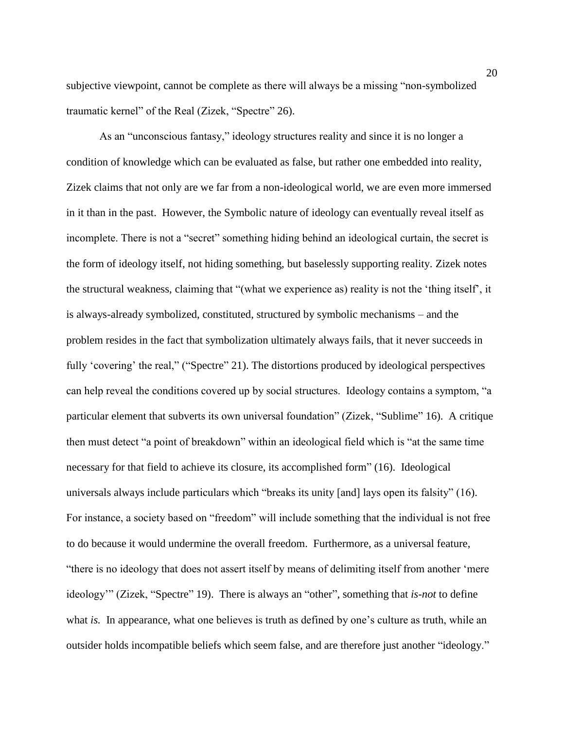subjective viewpoint, cannot be complete as there will always be a missing "non-symbolized traumatic kernel" of the Real (Zizek, "Spectre" 26).

As an "unconscious fantasy," ideology structures reality and since it is no longer a condition of knowledge which can be evaluated as false, but rather one embedded into reality, Zizek claims that not only are we far from a non-ideological world, we are even more immersed in it than in the past. However, the Symbolic nature of ideology can eventually reveal itself as incomplete. There is not a "secret" something hiding behind an ideological curtain, the secret is the form of ideology itself, not hiding something, but baselessly supporting reality. Zizek notes the structural weakness, claiming that "(what we experience as) reality is not the 'thing itself', it is always-already symbolized, constituted, structured by symbolic mechanisms – and the problem resides in the fact that symbolization ultimately always fails, that it never succeeds in fully 'covering' the real," ("Spectre" 21). The distortions produced by ideological perspectives can help reveal the conditions covered up by social structures. Ideology contains a symptom, "a particular element that subverts its own universal foundation" (Zizek, "Sublime" 16). A critique then must detect "a point of breakdown" within an ideological field which is "at the same time necessary for that field to achieve its closure, its accomplished form" (16). Ideological universals always include particulars which "breaks its unity [and] lays open its falsity" (16). For instance, a society based on "freedom" will include something that the individual is not free to do because it would undermine the overall freedom. Furthermore, as a universal feature, "there is no ideology that does not assert itself by means of delimiting itself from another 'mere ideology'" (Zizek, "Spectre" 19). There is always an "other", something that *is-not* to define what *is.* In appearance, what one believes is truth as defined by one's culture as truth, while an outsider holds incompatible beliefs which seem false, and are therefore just another "ideology."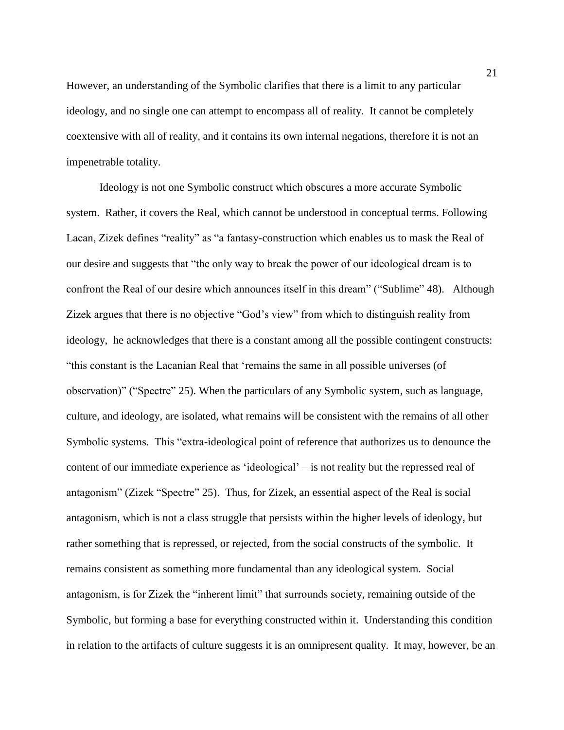However, an understanding of the Symbolic clarifies that there is a limit to any particular ideology, and no single one can attempt to encompass all of reality. It cannot be completely coextensive with all of reality, and it contains its own internal negations, therefore it is not an impenetrable totality.

Ideology is not one Symbolic construct which obscures a more accurate Symbolic system. Rather, it covers the Real, which cannot be understood in conceptual terms. Following Lacan, Zizek defines "reality" as "a fantasy-construction which enables us to mask the Real of our desire and suggests that "the only way to break the power of our ideological dream is to confront the Real of our desire which announces itself in this dream" ("Sublime" 48). Although Zizek argues that there is no objective "God's view" from which to distinguish reality from ideology, he acknowledges that there is a constant among all the possible contingent constructs: "this constant is the Lacanian Real that 'remains the same in all possible universes (of observation)" ("Spectre" 25). When the particulars of any Symbolic system, such as language, culture, and ideology, are isolated, what remains will be consistent with the remains of all other Symbolic systems. This "extra-ideological point of reference that authorizes us to denounce the content of our immediate experience as 'ideological' – is not reality but the repressed real of antagonism" (Zizek "Spectre" 25). Thus, for Zizek, an essential aspect of the Real is social antagonism, which is not a class struggle that persists within the higher levels of ideology, but rather something that is repressed, or rejected, from the social constructs of the symbolic. It remains consistent as something more fundamental than any ideological system. Social antagonism, is for Zizek the "inherent limit" that surrounds society, remaining outside of the Symbolic, but forming a base for everything constructed within it. Understanding this condition in relation to the artifacts of culture suggests it is an omnipresent quality. It may, however, be an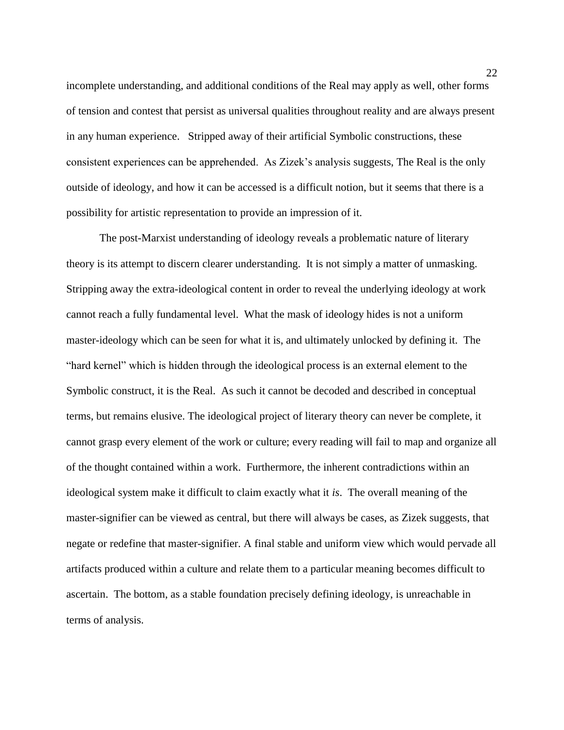incomplete understanding, and additional conditions of the Real may apply as well, other forms of tension and contest that persist as universal qualities throughout reality and are always present in any human experience. Stripped away of their artificial Symbolic constructions, these consistent experiences can be apprehended. As Zizek's analysis suggests, The Real is the only outside of ideology, and how it can be accessed is a difficult notion, but it seems that there is a possibility for artistic representation to provide an impression of it.

The post-Marxist understanding of ideology reveals a problematic nature of literary theory is its attempt to discern clearer understanding. It is not simply a matter of unmasking. Stripping away the extra-ideological content in order to reveal the underlying ideology at work cannot reach a fully fundamental level. What the mask of ideology hides is not a uniform master-ideology which can be seen for what it is, and ultimately unlocked by defining it. The "hard kernel" which is hidden through the ideological process is an external element to the Symbolic construct, it is the Real. As such it cannot be decoded and described in conceptual terms, but remains elusive. The ideological project of literary theory can never be complete, it cannot grasp every element of the work or culture; every reading will fail to map and organize all of the thought contained within a work. Furthermore, the inherent contradictions within an ideological system make it difficult to claim exactly what it *is*. The overall meaning of the master-signifier can be viewed as central, but there will always be cases, as Zizek suggests, that negate or redefine that master-signifier. A final stable and uniform view which would pervade all artifacts produced within a culture and relate them to a particular meaning becomes difficult to ascertain. The bottom, as a stable foundation precisely defining ideology, is unreachable in terms of analysis.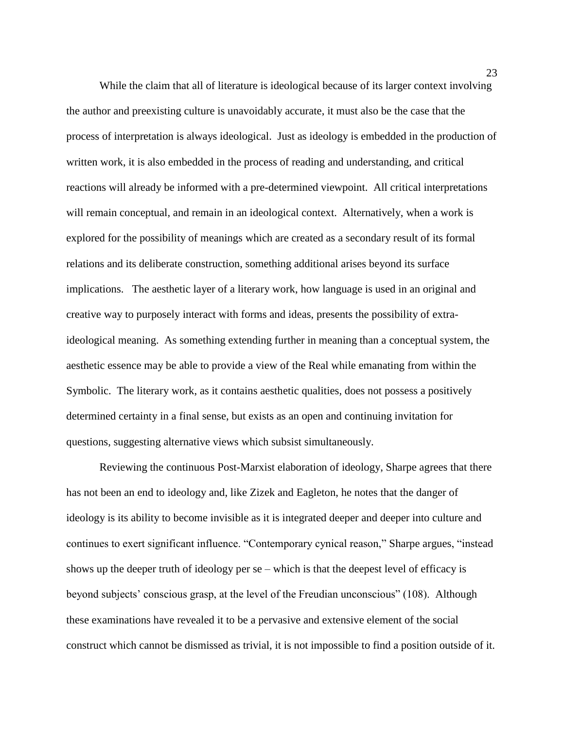While the claim that all of literature is ideological because of its larger context involving the author and preexisting culture is unavoidably accurate, it must also be the case that the process of interpretation is always ideological. Just as ideology is embedded in the production of written work, it is also embedded in the process of reading and understanding, and critical reactions will already be informed with a pre-determined viewpoint. All critical interpretations will remain conceptual, and remain in an ideological context. Alternatively, when a work is explored for the possibility of meanings which are created as a secondary result of its formal relations and its deliberate construction, something additional arises beyond its surface implications. The aesthetic layer of a literary work, how language is used in an original and creative way to purposely interact with forms and ideas, presents the possibility of extraideological meaning. As something extending further in meaning than a conceptual system, the aesthetic essence may be able to provide a view of the Real while emanating from within the Symbolic. The literary work, as it contains aesthetic qualities, does not possess a positively determined certainty in a final sense, but exists as an open and continuing invitation for questions, suggesting alternative views which subsist simultaneously.

Reviewing the continuous Post-Marxist elaboration of ideology, Sharpe agrees that there has not been an end to ideology and, like Zizek and Eagleton, he notes that the danger of ideology is its ability to become invisible as it is integrated deeper and deeper into culture and continues to exert significant influence. "Contemporary cynical reason," Sharpe argues, "instead shows up the deeper truth of ideology per se – which is that the deepest level of efficacy is beyond subjects' conscious grasp, at the level of the Freudian unconscious" (108). Although these examinations have revealed it to be a pervasive and extensive element of the social construct which cannot be dismissed as trivial, it is not impossible to find a position outside of it.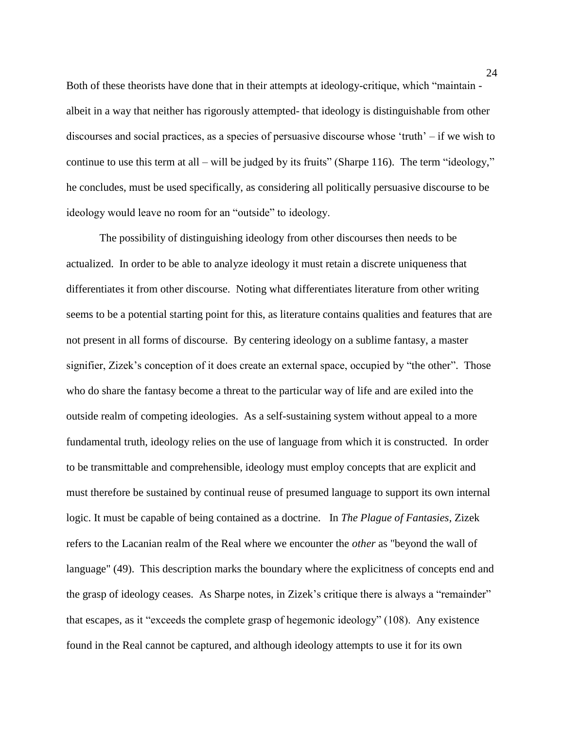Both of these theorists have done that in their attempts at ideology-critique, which "maintain albeit in a way that neither has rigorously attempted- that ideology is distinguishable from other discourses and social practices, as a species of persuasive discourse whose 'truth' – if we wish to continue to use this term at all – will be judged by its fruits" (Sharpe 116). The term "ideology," he concludes, must be used specifically, as considering all politically persuasive discourse to be ideology would leave no room for an "outside" to ideology.

The possibility of distinguishing ideology from other discourses then needs to be actualized. In order to be able to analyze ideology it must retain a discrete uniqueness that differentiates it from other discourse. Noting what differentiates literature from other writing seems to be a potential starting point for this, as literature contains qualities and features that are not present in all forms of discourse. By centering ideology on a sublime fantasy, a master signifier, Zizek's conception of it does create an external space, occupied by "the other". Those who do share the fantasy become a threat to the particular way of life and are exiled into the outside realm of competing ideologies. As a self-sustaining system without appeal to a more fundamental truth, ideology relies on the use of language from which it is constructed. In order to be transmittable and comprehensible, ideology must employ concepts that are explicit and must therefore be sustained by continual reuse of presumed language to support its own internal logic. It must be capable of being contained as a doctrine. In *The Plague of Fantasies,* Zizek refers to the Lacanian realm of the Real where we encounter the *other* as "beyond the wall of language" (49). This description marks the boundary where the explicitness of concepts end and the grasp of ideology ceases. As Sharpe notes, in Zizek's critique there is always a "remainder" that escapes, as it "exceeds the complete grasp of hegemonic ideology" (108). Any existence found in the Real cannot be captured, and although ideology attempts to use it for its own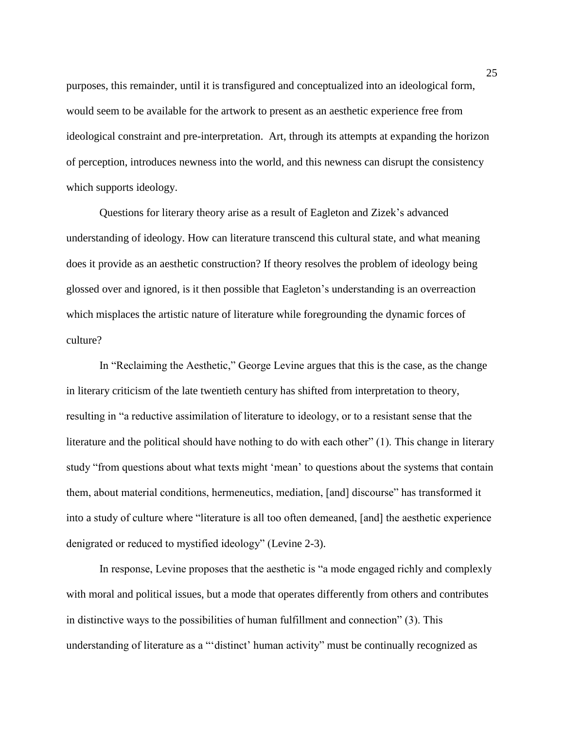purposes, this remainder, until it is transfigured and conceptualized into an ideological form, would seem to be available for the artwork to present as an aesthetic experience free from ideological constraint and pre-interpretation. Art, through its attempts at expanding the horizon of perception, introduces newness into the world, and this newness can disrupt the consistency which supports ideology.

Questions for literary theory arise as a result of Eagleton and Zizek's advanced understanding of ideology. How can literature transcend this cultural state, and what meaning does it provide as an aesthetic construction? If theory resolves the problem of ideology being glossed over and ignored, is it then possible that Eagleton's understanding is an overreaction which misplaces the artistic nature of literature while foregrounding the dynamic forces of culture?

In "Reclaiming the Aesthetic," George Levine argues that this is the case, as the change in literary criticism of the late twentieth century has shifted from interpretation to theory, resulting in "a reductive assimilation of literature to ideology, or to a resistant sense that the literature and the political should have nothing to do with each other" (1). This change in literary study "from questions about what texts might 'mean' to questions about the systems that contain them, about material conditions, hermeneutics, mediation, [and] discourse" has transformed it into a study of culture where "literature is all too often demeaned, [and] the aesthetic experience denigrated or reduced to mystified ideology" (Levine 2-3).

In response, Levine proposes that the aesthetic is "a mode engaged richly and complexly with moral and political issues, but a mode that operates differently from others and contributes in distinctive ways to the possibilities of human fulfillment and connection" (3). This understanding of literature as a "'distinct' human activity" must be continually recognized as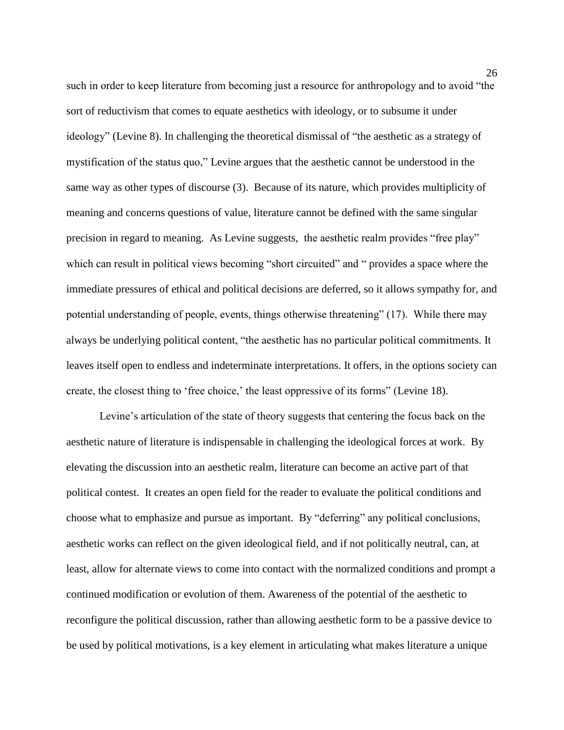such in order to keep literature from becoming just a resource for anthropology and to avoid "the sort of reductivism that comes to equate aesthetics with ideology, or to subsume it under ideology" (Levine 8). In challenging the theoretical dismissal of "the aesthetic as a strategy of mystification of the status quo," Levine argues that the aesthetic cannot be understood in the same way as other types of discourse (3). Because of its nature, which provides multiplicity of meaning and concerns questions of value, literature cannot be defined with the same singular precision in regard to meaning. As Levine suggests, the aesthetic realm provides "free play" which can result in political views becoming "short circuited" and " provides a space where the immediate pressures of ethical and political decisions are deferred, so it allows sympathy for, and potential understanding of people, events, things otherwise threatening" (17). While there may always be underlying political content, "the aesthetic has no particular political commitments. It leaves itself open to endless and indeterminate interpretations. It offers, in the options society can create, the closest thing to 'free choice,' the least oppressive of its forms" (Levine 18).

Levine's articulation of the state of theory suggests that centering the focus back on the aesthetic nature of literature is indispensable in challenging the ideological forces at work. By elevating the discussion into an aesthetic realm, literature can become an active part of that political contest. It creates an open field for the reader to evaluate the political conditions and choose what to emphasize and pursue as important. By "deferring" any political conclusions, aesthetic works can reflect on the given ideological field, and if not politically neutral, can, at least, allow for alternate views to come into contact with the normalized conditions and prompt a continued modification or evolution of them. Awareness of the potential of the aesthetic to reconfigure the political discussion, rather than allowing aesthetic form to be a passive device to be used by political motivations, is a key element in articulating what makes literature a unique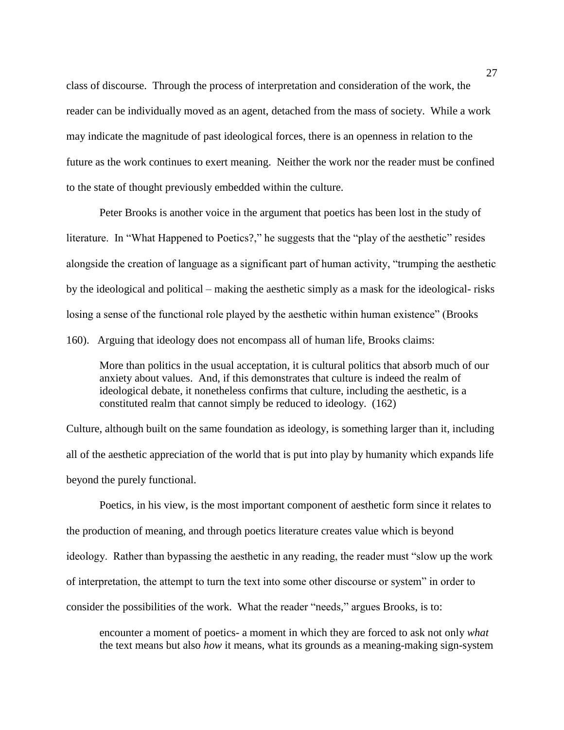class of discourse. Through the process of interpretation and consideration of the work, the reader can be individually moved as an agent, detached from the mass of society. While a work may indicate the magnitude of past ideological forces, there is an openness in relation to the future as the work continues to exert meaning. Neither the work nor the reader must be confined to the state of thought previously embedded within the culture.

Peter Brooks is another voice in the argument that poetics has been lost in the study of literature. In "What Happened to Poetics?," he suggests that the "play of the aesthetic" resides alongside the creation of language as a significant part of human activity, "trumping the aesthetic by the ideological and political – making the aesthetic simply as a mask for the ideological- risks losing a sense of the functional role played by the aesthetic within human existence" (Brooks 160). Arguing that ideology does not encompass all of human life, Brooks claims:

More than politics in the usual acceptation, it is cultural politics that absorb much of our anxiety about values. And, if this demonstrates that culture is indeed the realm of ideological debate, it nonetheless confirms that culture, including the aesthetic, is a constituted realm that cannot simply be reduced to ideology. (162)

Culture, although built on the same foundation as ideology, is something larger than it, including all of the aesthetic appreciation of the world that is put into play by humanity which expands life beyond the purely functional.

Poetics, in his view, is the most important component of aesthetic form since it relates to the production of meaning, and through poetics literature creates value which is beyond ideology. Rather than bypassing the aesthetic in any reading, the reader must "slow up the work of interpretation, the attempt to turn the text into some other discourse or system" in order to consider the possibilities of the work. What the reader "needs," argues Brooks, is to:

encounter a moment of poetics- a moment in which they are forced to ask not only *what* the text means but also *how* it means, what its grounds as a meaning-making sign-system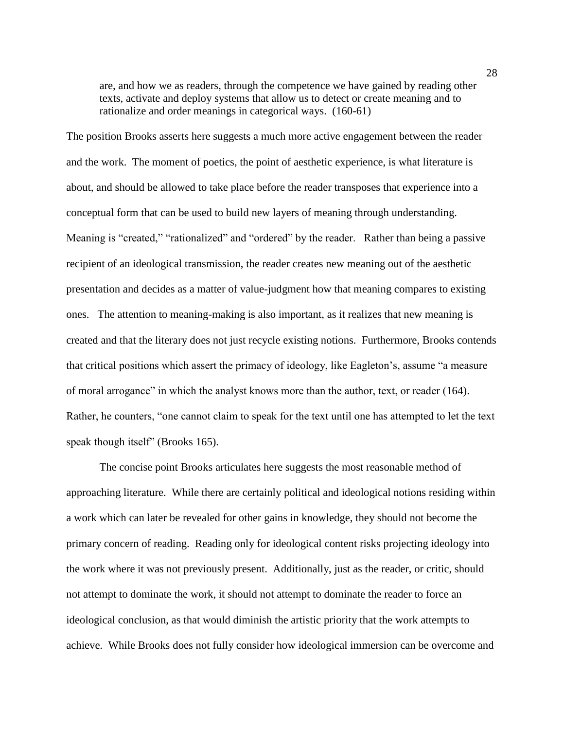are, and how we as readers, through the competence we have gained by reading other texts, activate and deploy systems that allow us to detect or create meaning and to rationalize and order meanings in categorical ways. (160-61)

The position Brooks asserts here suggests a much more active engagement between the reader and the work. The moment of poetics, the point of aesthetic experience, is what literature is about, and should be allowed to take place before the reader transposes that experience into a conceptual form that can be used to build new layers of meaning through understanding. Meaning is "created," "rationalized" and "ordered" by the reader. Rather than being a passive recipient of an ideological transmission, the reader creates new meaning out of the aesthetic presentation and decides as a matter of value-judgment how that meaning compares to existing ones. The attention to meaning-making is also important, as it realizes that new meaning is created and that the literary does not just recycle existing notions. Furthermore, Brooks contends that critical positions which assert the primacy of ideology, like Eagleton's, assume "a measure of moral arrogance" in which the analyst knows more than the author, text, or reader (164). Rather, he counters, "one cannot claim to speak for the text until one has attempted to let the text speak though itself" (Brooks 165).

The concise point Brooks articulates here suggests the most reasonable method of approaching literature. While there are certainly political and ideological notions residing within a work which can later be revealed for other gains in knowledge, they should not become the primary concern of reading. Reading only for ideological content risks projecting ideology into the work where it was not previously present. Additionally, just as the reader, or critic, should not attempt to dominate the work, it should not attempt to dominate the reader to force an ideological conclusion, as that would diminish the artistic priority that the work attempts to achieve. While Brooks does not fully consider how ideological immersion can be overcome and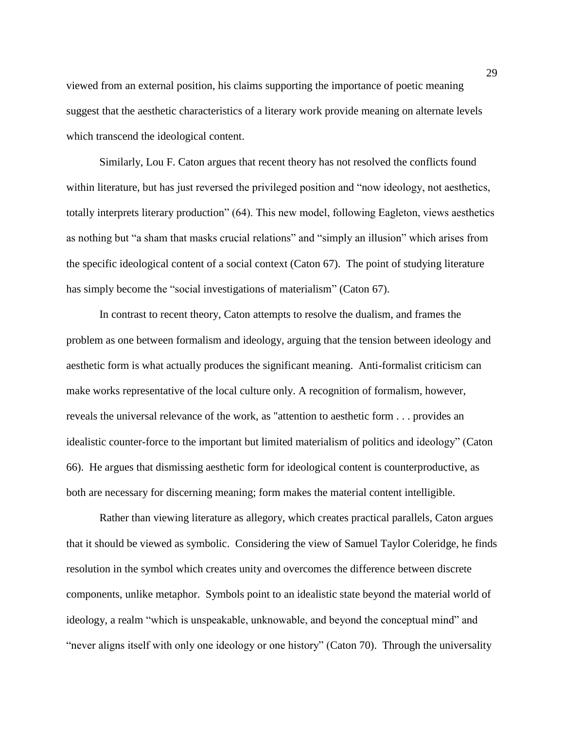viewed from an external position, his claims supporting the importance of poetic meaning suggest that the aesthetic characteristics of a literary work provide meaning on alternate levels which transcend the ideological content.

Similarly, Lou F. Caton argues that recent theory has not resolved the conflicts found within literature, but has just reversed the privileged position and "now ideology, not aesthetics, totally interprets literary production" (64). This new model, following Eagleton, views aesthetics as nothing but "a sham that masks crucial relations" and "simply an illusion" which arises from the specific ideological content of a social context (Caton 67). The point of studying literature has simply become the "social investigations of materialism" (Caton 67).

In contrast to recent theory, Caton attempts to resolve the dualism, and frames the problem as one between formalism and ideology, arguing that the tension between ideology and aesthetic form is what actually produces the significant meaning. Anti-formalist criticism can make works representative of the local culture only. A recognition of formalism, however, reveals the universal relevance of the work, as "attention to aesthetic form . . . provides an idealistic counter-force to the important but limited materialism of politics and ideology" (Caton 66). He argues that dismissing aesthetic form for ideological content is counterproductive, as both are necessary for discerning meaning; form makes the material content intelligible.

Rather than viewing literature as allegory, which creates practical parallels, Caton argues that it should be viewed as symbolic. Considering the view of Samuel Taylor Coleridge, he finds resolution in the symbol which creates unity and overcomes the difference between discrete components, unlike metaphor. Symbols point to an idealistic state beyond the material world of ideology, a realm "which is unspeakable, unknowable, and beyond the conceptual mind" and "never aligns itself with only one ideology or one history" (Caton 70). Through the universality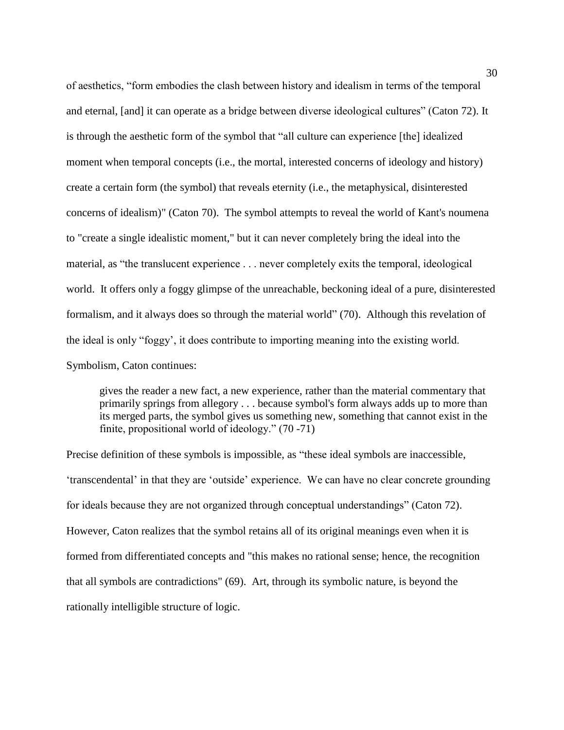of aesthetics, "form embodies the clash between history and idealism in terms of the temporal and eternal, [and] it can operate as a bridge between diverse ideological cultures" (Caton 72). It is through the aesthetic form of the symbol that "all culture can experience [the] idealized moment when temporal concepts (i.e., the mortal, interested concerns of ideology and history) create a certain form (the symbol) that reveals eternity (i.e., the metaphysical, disinterested concerns of idealism)" (Caton 70). The symbol attempts to reveal the world of Kant's noumena to "create a single idealistic moment," but it can never completely bring the ideal into the material, as "the translucent experience . . . never completely exits the temporal, ideological world. It offers only a foggy glimpse of the unreachable, beckoning ideal of a pure, disinterested formalism, and it always does so through the material world" (70). Although this revelation of the ideal is only "foggy', it does contribute to importing meaning into the existing world. Symbolism, Caton continues:

gives the reader a new fact, a new experience, rather than the material commentary that primarily springs from allegory . . . because symbol's form always adds up to more than its merged parts, the symbol gives us something new, something that cannot exist in the finite, propositional world of ideology." (70 -71)

Precise definition of these symbols is impossible, as "these ideal symbols are inaccessible, 'transcendental' in that they are 'outside' experience. We can have no clear concrete grounding for ideals because they are not organized through conceptual understandings" (Caton 72). However, Caton realizes that the symbol retains all of its original meanings even when it is formed from differentiated concepts and "this makes no rational sense; hence, the recognition that all symbols are contradictions" (69). Art, through its symbolic nature, is beyond the rationally intelligible structure of logic.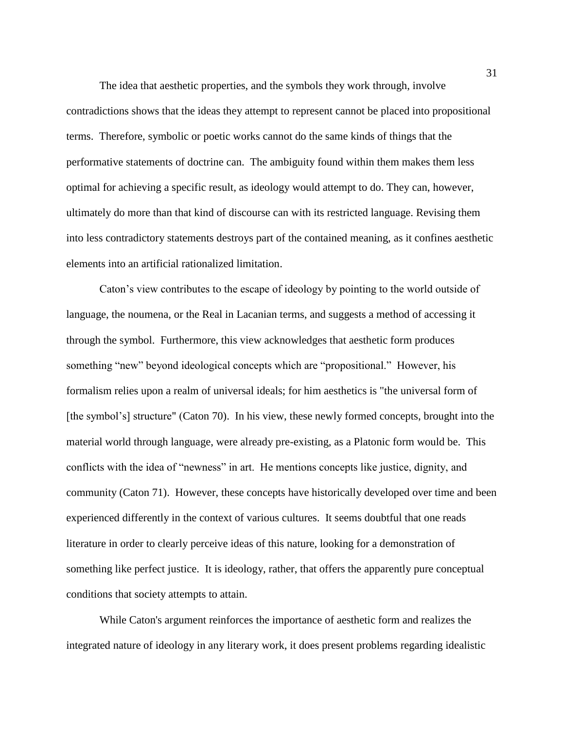The idea that aesthetic properties, and the symbols they work through, involve contradictions shows that the ideas they attempt to represent cannot be placed into propositional terms. Therefore, symbolic or poetic works cannot do the same kinds of things that the performative statements of doctrine can. The ambiguity found within them makes them less optimal for achieving a specific result, as ideology would attempt to do. They can, however, ultimately do more than that kind of discourse can with its restricted language. Revising them into less contradictory statements destroys part of the contained meaning, as it confines aesthetic elements into an artificial rationalized limitation.

Caton's view contributes to the escape of ideology by pointing to the world outside of language, the noumena, or the Real in Lacanian terms, and suggests a method of accessing it through the symbol. Furthermore, this view acknowledges that aesthetic form produces something "new" beyond ideological concepts which are "propositional." However, his formalism relies upon a realm of universal ideals; for him aesthetics is "the universal form of [the symbol's] structure" (Caton 70). In his view, these newly formed concepts, brought into the material world through language, were already pre-existing, as a Platonic form would be. This conflicts with the idea of "newness" in art. He mentions concepts like justice, dignity, and community (Caton 71). However, these concepts have historically developed over time and been experienced differently in the context of various cultures. It seems doubtful that one reads literature in order to clearly perceive ideas of this nature, looking for a demonstration of something like perfect justice. It is ideology, rather, that offers the apparently pure conceptual conditions that society attempts to attain.

While Caton's argument reinforces the importance of aesthetic form and realizes the integrated nature of ideology in any literary work, it does present problems regarding idealistic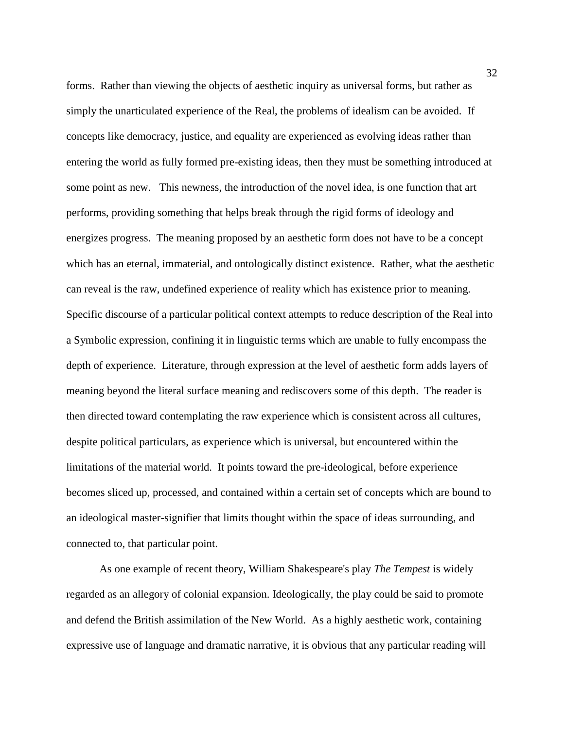forms. Rather than viewing the objects of aesthetic inquiry as universal forms, but rather as simply the unarticulated experience of the Real, the problems of idealism can be avoided. If concepts like democracy, justice, and equality are experienced as evolving ideas rather than entering the world as fully formed pre-existing ideas, then they must be something introduced at some point as new. This newness, the introduction of the novel idea, is one function that art performs, providing something that helps break through the rigid forms of ideology and energizes progress. The meaning proposed by an aesthetic form does not have to be a concept which has an eternal, immaterial, and ontologically distinct existence. Rather, what the aesthetic can reveal is the raw, undefined experience of reality which has existence prior to meaning. Specific discourse of a particular political context attempts to reduce description of the Real into a Symbolic expression, confining it in linguistic terms which are unable to fully encompass the depth of experience. Literature, through expression at the level of aesthetic form adds layers of meaning beyond the literal surface meaning and rediscovers some of this depth. The reader is then directed toward contemplating the raw experience which is consistent across all cultures, despite political particulars, as experience which is universal, but encountered within the limitations of the material world. It points toward the pre-ideological, before experience becomes sliced up, processed, and contained within a certain set of concepts which are bound to an ideological master-signifier that limits thought within the space of ideas surrounding, and connected to, that particular point.

As one example of recent theory, William Shakespeare's play *The Tempest* is widely regarded as an allegory of colonial expansion. Ideologically, the play could be said to promote and defend the British assimilation of the New World. As a highly aesthetic work, containing expressive use of language and dramatic narrative, it is obvious that any particular reading will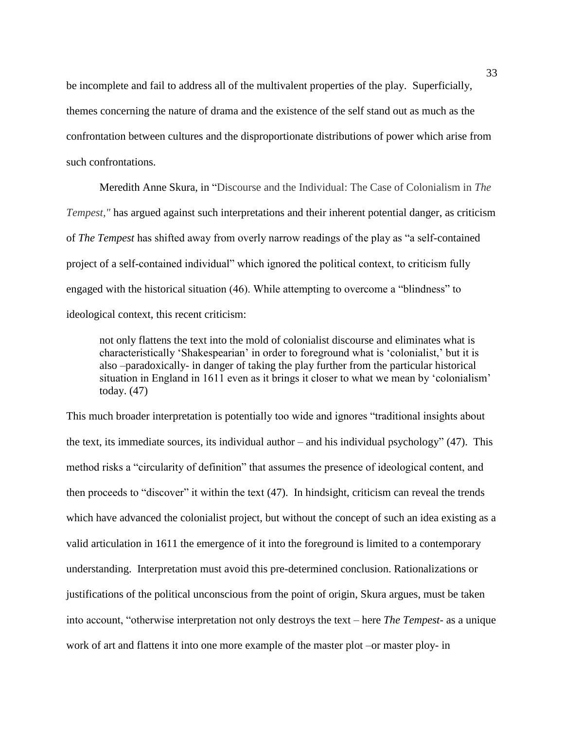be incomplete and fail to address all of the multivalent properties of the play. Superficially, themes concerning the nature of drama and the existence of the self stand out as much as the confrontation between cultures and the disproportionate distributions of power which arise from such confrontations.

Meredith Anne Skura, in "Discourse and the Individual: The Case of Colonialism in *The Tempest,"* has argued against such interpretations and their inherent potential danger, as criticism of *The Tempest* has shifted away from overly narrow readings of the play as "a self-contained project of a self-contained individual" which ignored the political context, to criticism fully engaged with the historical situation (46). While attempting to overcome a "blindness" to ideological context, this recent criticism:

not only flattens the text into the mold of colonialist discourse and eliminates what is characteristically 'Shakespearian' in order to foreground what is 'colonialist,' but it is also –paradoxically- in danger of taking the play further from the particular historical situation in England in 1611 even as it brings it closer to what we mean by 'colonialism' today. (47)

This much broader interpretation is potentially too wide and ignores "traditional insights about the text, its immediate sources, its individual author – and his individual psychology" (47). This method risks a "circularity of definition" that assumes the presence of ideological content, and then proceeds to "discover" it within the text (47). In hindsight, criticism can reveal the trends which have advanced the colonialist project, but without the concept of such an idea existing as a valid articulation in 1611 the emergence of it into the foreground is limited to a contemporary understanding. Interpretation must avoid this pre-determined conclusion. Rationalizations or justifications of the political unconscious from the point of origin, Skura argues, must be taken into account, "otherwise interpretation not only destroys the text – here *The Tempest*- as a unique work of art and flattens it into one more example of the master plot –or master ploy- in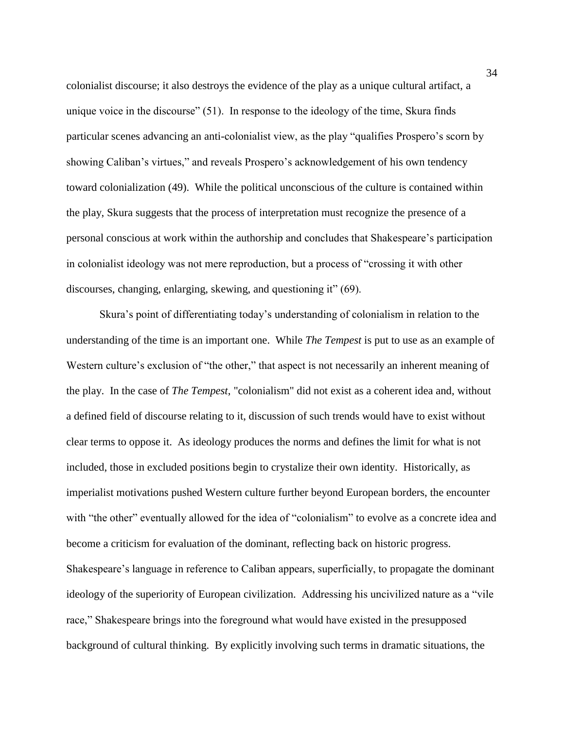colonialist discourse; it also destroys the evidence of the play as a unique cultural artifact, a unique voice in the discourse" (51). In response to the ideology of the time, Skura finds particular scenes advancing an anti-colonialist view, as the play "qualifies Prospero's scorn by showing Caliban's virtues," and reveals Prospero's acknowledgement of his own tendency toward colonialization (49). While the political unconscious of the culture is contained within the play, Skura suggests that the process of interpretation must recognize the presence of a personal conscious at work within the authorship and concludes that Shakespeare's participation in colonialist ideology was not mere reproduction, but a process of "crossing it with other discourses, changing, enlarging, skewing, and questioning it" (69).

Skura's point of differentiating today's understanding of colonialism in relation to the understanding of the time is an important one. While *The Tempest* is put to use as an example of Western culture's exclusion of "the other," that aspect is not necessarily an inherent meaning of the play. In the case of *The Tempest*, "colonialism" did not exist as a coherent idea and, without a defined field of discourse relating to it, discussion of such trends would have to exist without clear terms to oppose it. As ideology produces the norms and defines the limit for what is not included, those in excluded positions begin to crystalize their own identity. Historically, as imperialist motivations pushed Western culture further beyond European borders, the encounter with "the other" eventually allowed for the idea of "colonialism" to evolve as a concrete idea and become a criticism for evaluation of the dominant, reflecting back on historic progress. Shakespeare's language in reference to Caliban appears, superficially, to propagate the dominant ideology of the superiority of European civilization. Addressing his uncivilized nature as a "vile race," Shakespeare brings into the foreground what would have existed in the presupposed background of cultural thinking. By explicitly involving such terms in dramatic situations, the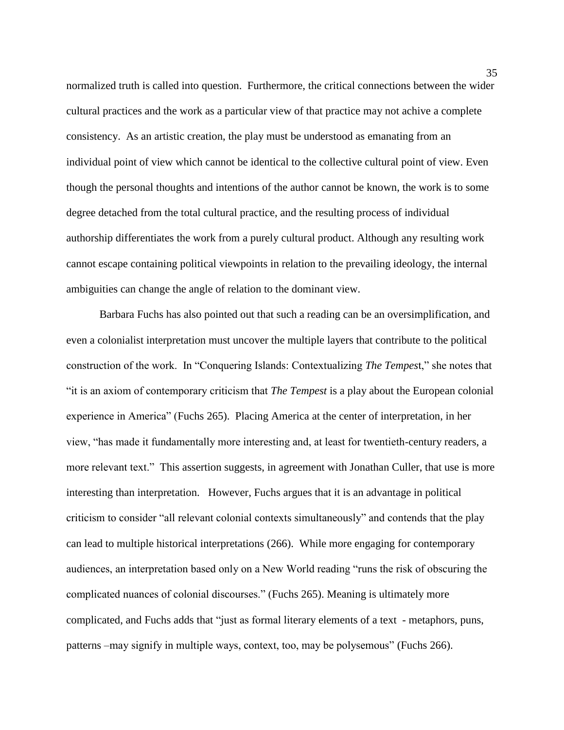normalized truth is called into question. Furthermore, the critical connections between the wider cultural practices and the work as a particular view of that practice may not achive a complete consistency. As an artistic creation, the play must be understood as emanating from an individual point of view which cannot be identical to the collective cultural point of view. Even though the personal thoughts and intentions of the author cannot be known, the work is to some degree detached from the total cultural practice, and the resulting process of individual authorship differentiates the work from a purely cultural product. Although any resulting work cannot escape containing political viewpoints in relation to the prevailing ideology, the internal ambiguities can change the angle of relation to the dominant view.

Barbara Fuchs has also pointed out that such a reading can be an oversimplification, and even a colonialist interpretation must uncover the multiple layers that contribute to the political construction of the work. In "Conquering Islands: Contextualizing *The Tempes*t," she notes that "it is an axiom of contemporary criticism that *The Tempest* is a play about the European colonial experience in America" (Fuchs 265). Placing America at the center of interpretation, in her view, "has made it fundamentally more interesting and, at least for twentieth-century readers, a more relevant text." This assertion suggests, in agreement with Jonathan Culler, that use is more interesting than interpretation. However, Fuchs argues that it is an advantage in political criticism to consider "all relevant colonial contexts simultaneously" and contends that the play can lead to multiple historical interpretations (266). While more engaging for contemporary audiences, an interpretation based only on a New World reading "runs the risk of obscuring the complicated nuances of colonial discourses." (Fuchs 265). Meaning is ultimately more complicated, and Fuchs adds that "just as formal literary elements of a text - metaphors, puns, patterns –may signify in multiple ways, context, too, may be polysemous" (Fuchs 266).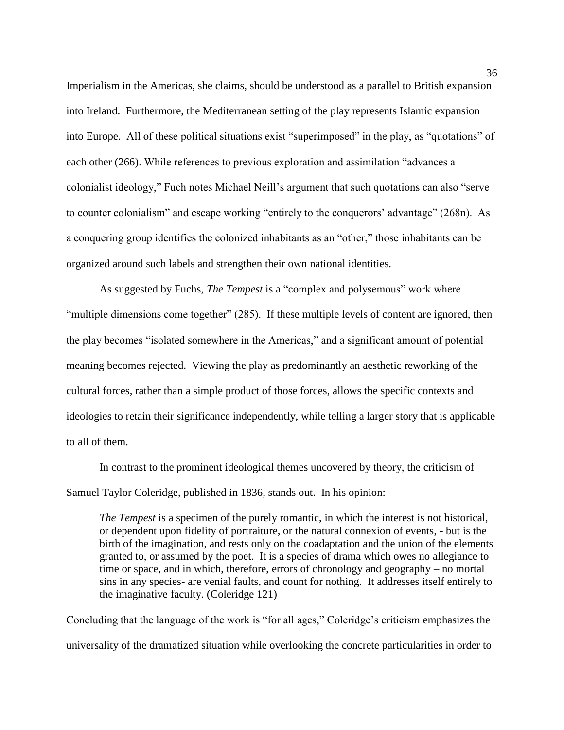Imperialism in the Americas, she claims, should be understood as a parallel to British expansion into Ireland. Furthermore, the Mediterranean setting of the play represents Islamic expansion into Europe. All of these political situations exist "superimposed" in the play, as "quotations" of each other (266). While references to previous exploration and assimilation "advances a colonialist ideology," Fuch notes Michael Neill's argument that such quotations can also "serve to counter colonialism" and escape working "entirely to the conquerors' advantage" (268n). As a conquering group identifies the colonized inhabitants as an "other," those inhabitants can be organized around such labels and strengthen their own national identities.

As suggested by Fuchs, *The Tempest* is a "complex and polysemous" work where "multiple dimensions come together" (285). If these multiple levels of content are ignored, then the play becomes "isolated somewhere in the Americas," and a significant amount of potential meaning becomes rejected. Viewing the play as predominantly an aesthetic reworking of the cultural forces, rather than a simple product of those forces, allows the specific contexts and ideologies to retain their significance independently, while telling a larger story that is applicable to all of them.

In contrast to the prominent ideological themes uncovered by theory, the criticism of Samuel Taylor Coleridge, published in 1836, stands out. In his opinion:

*The Tempest* is a specimen of the purely romantic, in which the interest is not historical, or dependent upon fidelity of portraiture, or the natural connexion of events, - but is the birth of the imagination, and rests only on the coadaptation and the union of the elements granted to, or assumed by the poet. It is a species of drama which owes no allegiance to time or space, and in which, therefore, errors of chronology and geography – no mortal sins in any species- are venial faults, and count for nothing. It addresses itself entirely to the imaginative faculty. (Coleridge 121)

Concluding that the language of the work is "for all ages," Coleridge's criticism emphasizes the universality of the dramatized situation while overlooking the concrete particularities in order to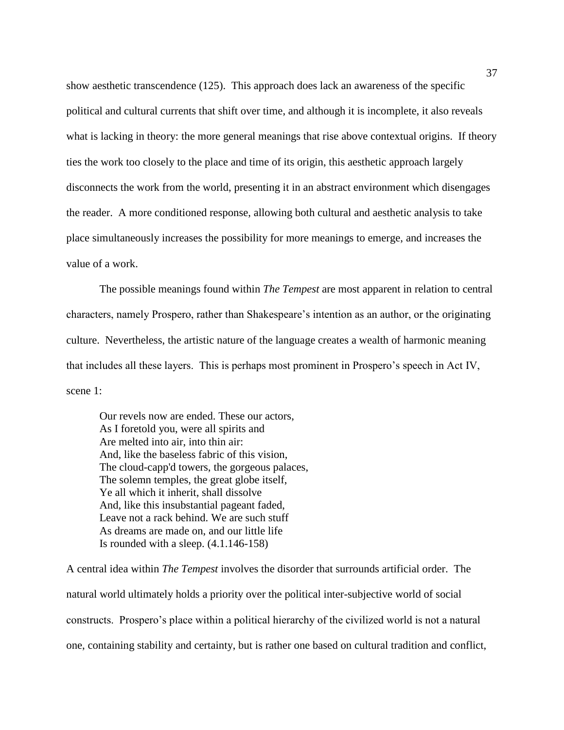show aesthetic transcendence (125). This approach does lack an awareness of the specific political and cultural currents that shift over time, and although it is incomplete, it also reveals what is lacking in theory: the more general meanings that rise above contextual origins. If theory ties the work too closely to the place and time of its origin, this aesthetic approach largely disconnects the work from the world, presenting it in an abstract environment which disengages the reader. A more conditioned response, allowing both cultural and aesthetic analysis to take place simultaneously increases the possibility for more meanings to emerge, and increases the value of a work.

The possible meanings found within *The Tempest* are most apparent in relation to central characters, namely Prospero, rather than Shakespeare's intention as an author, or the originating culture. Nevertheless, the artistic nature of the language creates a wealth of harmonic meaning that includes all these layers. This is perhaps most prominent in Prospero's speech in Act IV, scene 1:

Our revels now are ended. These our actors, As I foretold you, were all spirits and Are melted into air, into thin air: And, like the baseless fabric of this vision, The cloud-capp'd towers, the gorgeous palaces, The solemn temples, the great globe itself, Ye all which it inherit, shall dissolve And, like this insubstantial pageant faded, Leave not a rack behind. We are such stuff As dreams are made on, and our little life Is rounded with a sleep. (4.1.146-158)

A central idea within *The Tempest* involves the disorder that surrounds artificial order. The natural world ultimately holds a priority over the political inter-subjective world of social constructs. Prospero's place within a political hierarchy of the civilized world is not a natural one, containing stability and certainty, but is rather one based on cultural tradition and conflict,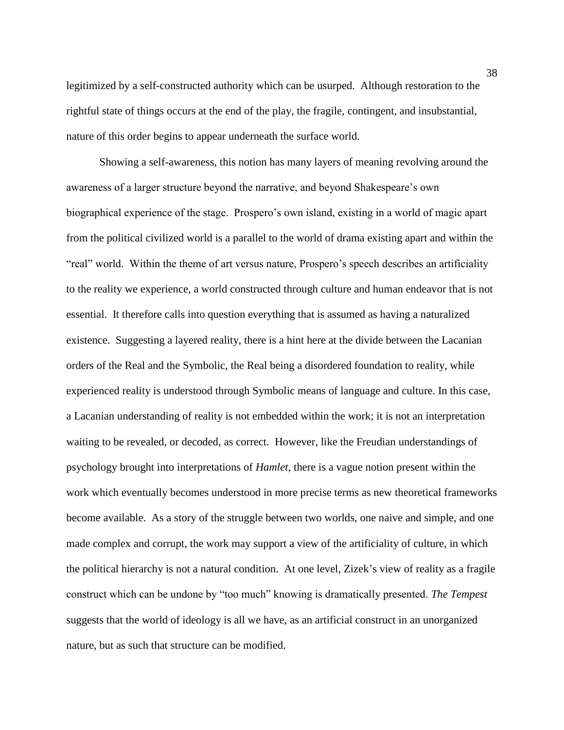legitimized by a self-constructed authority which can be usurped. Although restoration to the rightful state of things occurs at the end of the play, the fragile, contingent, and insubstantial, nature of this order begins to appear underneath the surface world.

Showing a self-awareness, this notion has many layers of meaning revolving around the awareness of a larger structure beyond the narrative, and beyond Shakespeare's own biographical experience of the stage. Prospero's own island, existing in a world of magic apart from the political civilized world is a parallel to the world of drama existing apart and within the "real" world. Within the theme of art versus nature, Prospero's speech describes an artificiality to the reality we experience, a world constructed through culture and human endeavor that is not essential. It therefore calls into question everything that is assumed as having a naturalized existence. Suggesting a layered reality, there is a hint here at the divide between the Lacanian orders of the Real and the Symbolic, the Real being a disordered foundation to reality, while experienced reality is understood through Symbolic means of language and culture. In this case, a Lacanian understanding of reality is not embedded within the work; it is not an interpretation waiting to be revealed, or decoded, as correct. However, like the Freudian understandings of psychology brought into interpretations of *Hamlet*, there is a vague notion present within the work which eventually becomes understood in more precise terms as new theoretical frameworks become available. As a story of the struggle between two worlds, one naive and simple, and one made complex and corrupt, the work may support a view of the artificiality of culture, in which the political hierarchy is not a natural condition. At one level, Zizek's view of reality as a fragile construct which can be undone by "too much" knowing is dramatically presented. *The Tempest* suggests that the world of ideology is all we have, as an artificial construct in an unorganized nature, but as such that structure can be modified.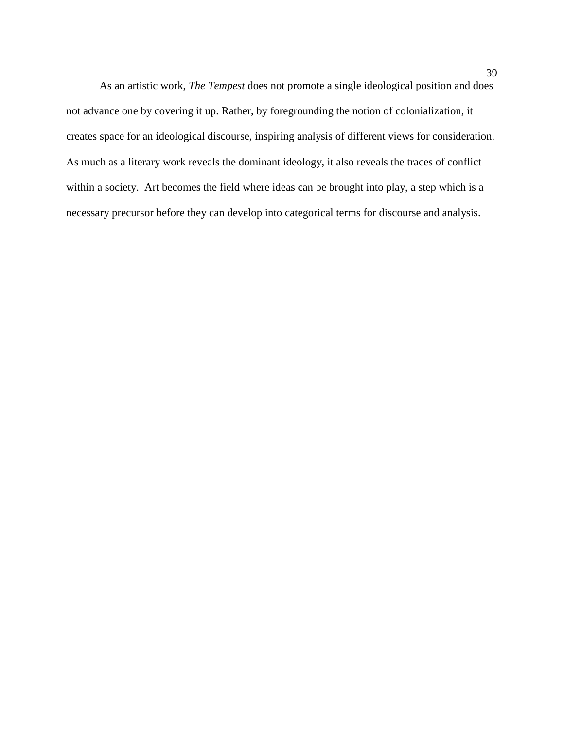As an artistic work, *The Tempest* does not promote a single ideological position and does not advance one by covering it up. Rather, by foregrounding the notion of colonialization, it creates space for an ideological discourse, inspiring analysis of different views for consideration. As much as a literary work reveals the dominant ideology, it also reveals the traces of conflict within a society. Art becomes the field where ideas can be brought into play, a step which is a necessary precursor before they can develop into categorical terms for discourse and analysis.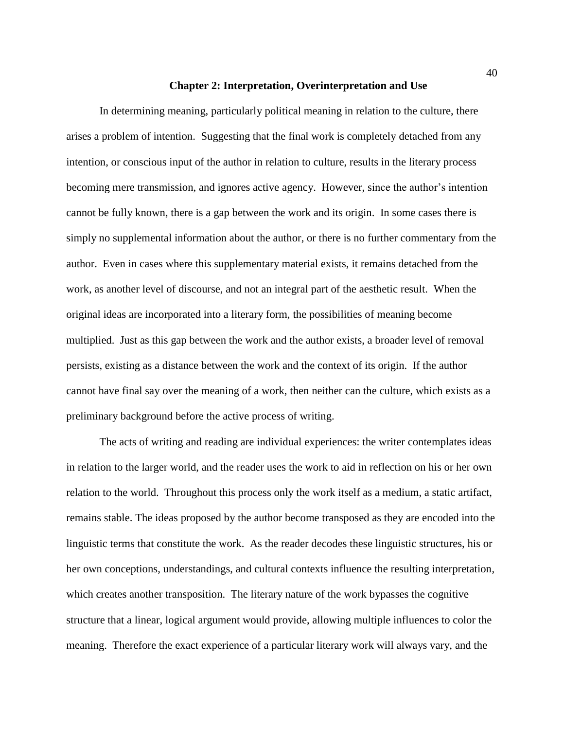## **Chapter 2: Interpretation, Overinterpretation and Use**

In determining meaning, particularly political meaning in relation to the culture, there arises a problem of intention. Suggesting that the final work is completely detached from any intention, or conscious input of the author in relation to culture, results in the literary process becoming mere transmission, and ignores active agency. However, since the author's intention cannot be fully known, there is a gap between the work and its origin. In some cases there is simply no supplemental information about the author, or there is no further commentary from the author. Even in cases where this supplementary material exists, it remains detached from the work, as another level of discourse, and not an integral part of the aesthetic result. When the original ideas are incorporated into a literary form, the possibilities of meaning become multiplied. Just as this gap between the work and the author exists, a broader level of removal persists, existing as a distance between the work and the context of its origin. If the author cannot have final say over the meaning of a work, then neither can the culture, which exists as a preliminary background before the active process of writing.

The acts of writing and reading are individual experiences: the writer contemplates ideas in relation to the larger world, and the reader uses the work to aid in reflection on his or her own relation to the world. Throughout this process only the work itself as a medium, a static artifact, remains stable. The ideas proposed by the author become transposed as they are encoded into the linguistic terms that constitute the work. As the reader decodes these linguistic structures, his or her own conceptions, understandings, and cultural contexts influence the resulting interpretation, which creates another transposition. The literary nature of the work bypasses the cognitive structure that a linear, logical argument would provide, allowing multiple influences to color the meaning. Therefore the exact experience of a particular literary work will always vary, and the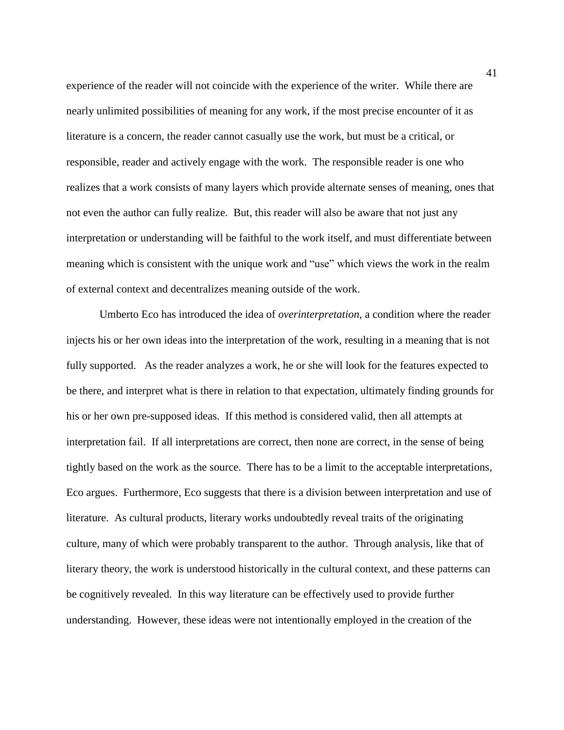experience of the reader will not coincide with the experience of the writer. While there are nearly unlimited possibilities of meaning for any work, if the most precise encounter of it as literature is a concern, the reader cannot casually use the work, but must be a critical, or responsible, reader and actively engage with the work. The responsible reader is one who realizes that a work consists of many layers which provide alternate senses of meaning, ones that not even the author can fully realize. But, this reader will also be aware that not just any interpretation or understanding will be faithful to the work itself, and must differentiate between meaning which is consistent with the unique work and "use" which views the work in the realm of external context and decentralizes meaning outside of the work.

Umberto Eco has introduced the idea of *overinterpretation*, a condition where the reader injects his or her own ideas into the interpretation of the work, resulting in a meaning that is not fully supported. As the reader analyzes a work, he or she will look for the features expected to be there, and interpret what is there in relation to that expectation, ultimately finding grounds for his or her own pre-supposed ideas. If this method is considered valid, then all attempts at interpretation fail. If all interpretations are correct, then none are correct, in the sense of being tightly based on the work as the source. There has to be a limit to the acceptable interpretations, Eco argues. Furthermore, Eco suggests that there is a division between interpretation and use of literature. As cultural products, literary works undoubtedly reveal traits of the originating culture, many of which were probably transparent to the author. Through analysis, like that of literary theory, the work is understood historically in the cultural context, and these patterns can be cognitively revealed. In this way literature can be effectively used to provide further understanding. However, these ideas were not intentionally employed in the creation of the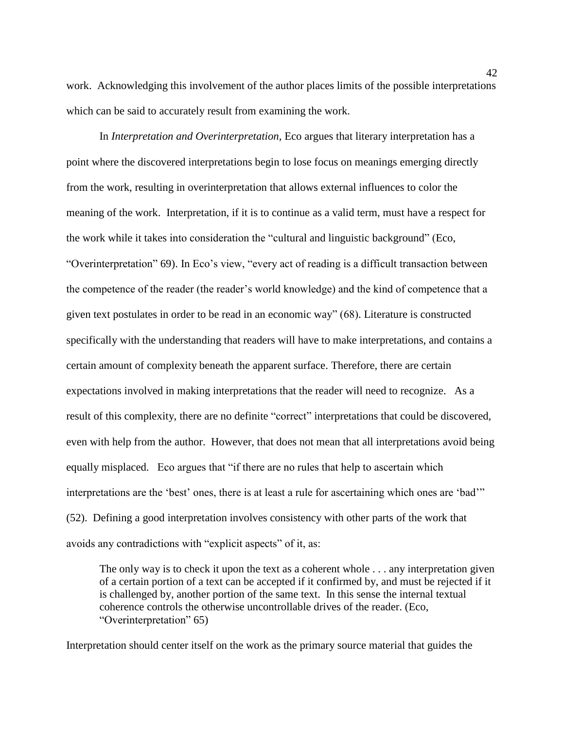work. Acknowledging this involvement of the author places limits of the possible interpretations which can be said to accurately result from examining the work.

In *Interpretation and Overinterpretation*, Eco argues that literary interpretation has a point where the discovered interpretations begin to lose focus on meanings emerging directly from the work, resulting in overinterpretation that allows external influences to color the meaning of the work. Interpretation, if it is to continue as a valid term, must have a respect for the work while it takes into consideration the "cultural and linguistic background" (Eco, "Overinterpretation" 69). In Eco's view, "every act of reading is a difficult transaction between the competence of the reader (the reader's world knowledge) and the kind of competence that a given text postulates in order to be read in an economic way" (68). Literature is constructed specifically with the understanding that readers will have to make interpretations, and contains a certain amount of complexity beneath the apparent surface. Therefore, there are certain expectations involved in making interpretations that the reader will need to recognize. As a result of this complexity, there are no definite "correct" interpretations that could be discovered, even with help from the author. However, that does not mean that all interpretations avoid being equally misplaced. Eco argues that "if there are no rules that help to ascertain which interpretations are the 'best' ones, there is at least a rule for ascertaining which ones are 'bad'" (52). Defining a good interpretation involves consistency with other parts of the work that avoids any contradictions with "explicit aspects" of it, as:

The only way is to check it upon the text as a coherent whole . . . any interpretation given of a certain portion of a text can be accepted if it confirmed by, and must be rejected if it is challenged by, another portion of the same text. In this sense the internal textual coherence controls the otherwise uncontrollable drives of the reader. (Eco, "Overinterpretation" 65)

Interpretation should center itself on the work as the primary source material that guides the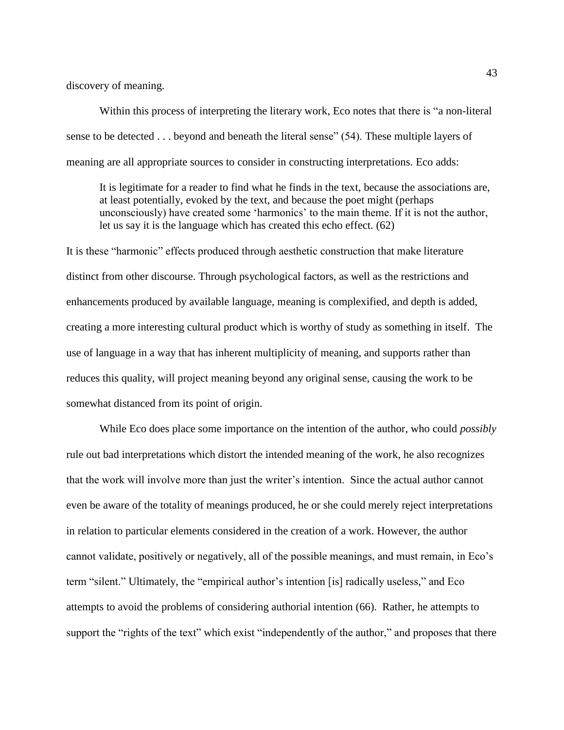discovery of meaning.

Within this process of interpreting the literary work, Eco notes that there is "a non-literal sense to be detected . . . beyond and beneath the literal sense" (54). These multiple layers of meaning are all appropriate sources to consider in constructing interpretations. Eco adds:

It is legitimate for a reader to find what he finds in the text, because the associations are, at least potentially, evoked by the text, and because the poet might (perhaps unconsciously) have created some 'harmonics' to the main theme. If it is not the author, let us say it is the language which has created this echo effect. (62)

It is these "harmonic" effects produced through aesthetic construction that make literature distinct from other discourse. Through psychological factors, as well as the restrictions and enhancements produced by available language, meaning is complexified, and depth is added, creating a more interesting cultural product which is worthy of study as something in itself. The use of language in a way that has inherent multiplicity of meaning, and supports rather than reduces this quality, will project meaning beyond any original sense, causing the work to be somewhat distanced from its point of origin.

While Eco does place some importance on the intention of the author, who could *possibly* rule out bad interpretations which distort the intended meaning of the work, he also recognizes that the work will involve more than just the writer's intention. Since the actual author cannot even be aware of the totality of meanings produced, he or she could merely reject interpretations in relation to particular elements considered in the creation of a work. However, the author cannot validate, positively or negatively, all of the possible meanings, and must remain, in Eco's term "silent." Ultimately, the "empirical author's intention [is] radically useless," and Eco attempts to avoid the problems of considering authorial intention (66). Rather, he attempts to support the "rights of the text" which exist "independently of the author," and proposes that there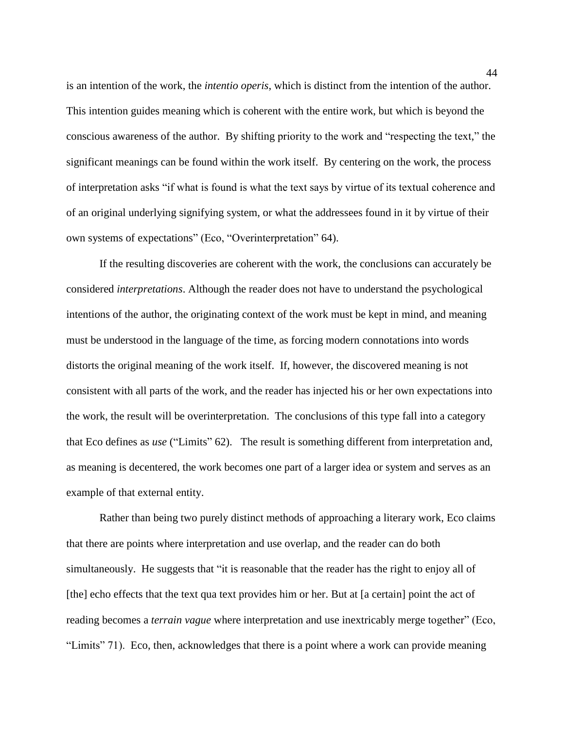is an intention of the work, the *intentio operis*, which is distinct from the intention of the author. This intention guides meaning which is coherent with the entire work, but which is beyond the conscious awareness of the author. By shifting priority to the work and "respecting the text," the significant meanings can be found within the work itself. By centering on the work, the process of interpretation asks "if what is found is what the text says by virtue of its textual coherence and of an original underlying signifying system, or what the addressees found in it by virtue of their own systems of expectations" (Eco, "Overinterpretation" 64).

If the resulting discoveries are coherent with the work, the conclusions can accurately be considered *interpretations*. Although the reader does not have to understand the psychological intentions of the author, the originating context of the work must be kept in mind, and meaning must be understood in the language of the time, as forcing modern connotations into words distorts the original meaning of the work itself. If, however, the discovered meaning is not consistent with all parts of the work, and the reader has injected his or her own expectations into the work, the result will be overinterpretation. The conclusions of this type fall into a category that Eco defines as *use* ("Limits" 62). The result is something different from interpretation and, as meaning is decentered, the work becomes one part of a larger idea or system and serves as an example of that external entity.

Rather than being two purely distinct methods of approaching a literary work, Eco claims that there are points where interpretation and use overlap, and the reader can do both simultaneously. He suggests that "it is reasonable that the reader has the right to enjoy all of [the] echo effects that the text qua text provides him or her. But at [a certain] point the act of reading becomes a *terrain vague* where interpretation and use inextricably merge together" (Eco, "Limits" 71). Eco, then, acknowledges that there is a point where a work can provide meaning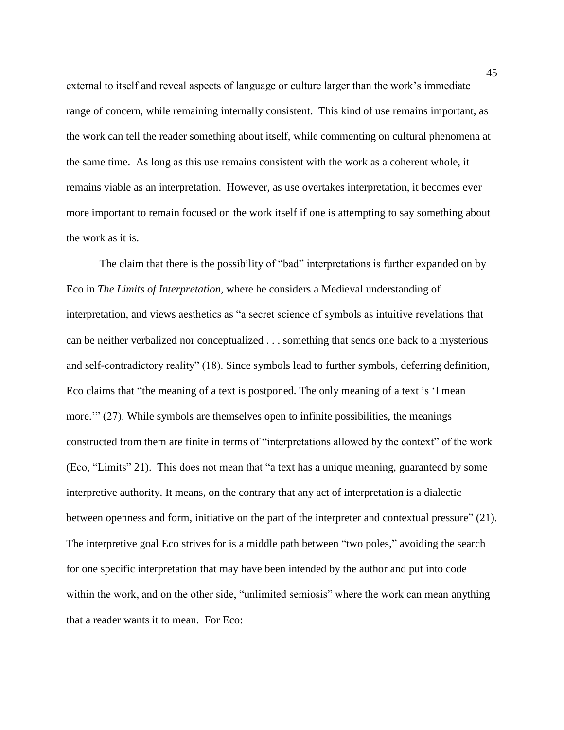external to itself and reveal aspects of language or culture larger than the work's immediate range of concern, while remaining internally consistent. This kind of use remains important, as the work can tell the reader something about itself, while commenting on cultural phenomena at the same time. As long as this use remains consistent with the work as a coherent whole, it remains viable as an interpretation. However, as use overtakes interpretation, it becomes ever more important to remain focused on the work itself if one is attempting to say something about the work as it is.

The claim that there is the possibility of "bad" interpretations is further expanded on by Eco in *The Limits of Interpretation,* where he considers a Medieval understanding of interpretation, and views aesthetics as "a secret science of symbols as intuitive revelations that can be neither verbalized nor conceptualized . . . something that sends one back to a mysterious and self-contradictory reality" (18). Since symbols lead to further symbols, deferring definition, Eco claims that "the meaning of a text is postponed. The only meaning of a text is 'I mean more.'" (27). While symbols are themselves open to infinite possibilities, the meanings constructed from them are finite in terms of "interpretations allowed by the context" of the work (Eco, "Limits" 21). This does not mean that "a text has a unique meaning, guaranteed by some interpretive authority. It means, on the contrary that any act of interpretation is a dialectic between openness and form, initiative on the part of the interpreter and contextual pressure" (21). The interpretive goal Eco strives for is a middle path between "two poles," avoiding the search for one specific interpretation that may have been intended by the author and put into code within the work, and on the other side, "unlimited semiosis" where the work can mean anything that a reader wants it to mean. For Eco: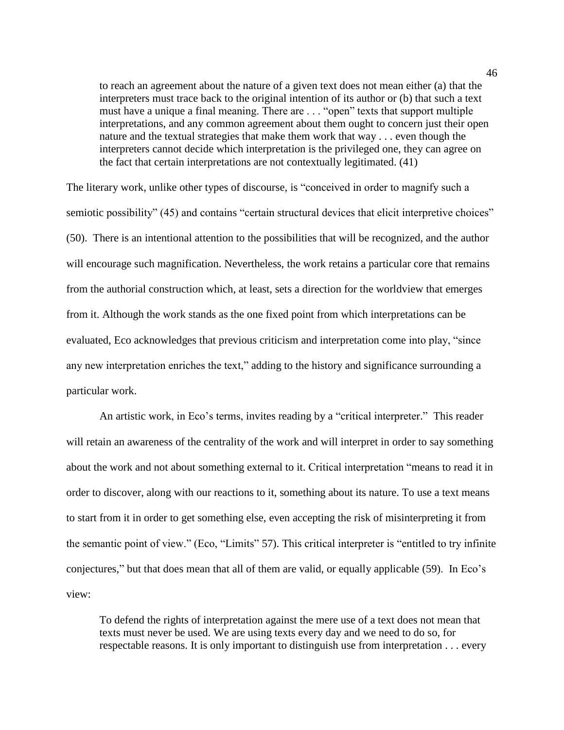to reach an agreement about the nature of a given text does not mean either (a) that the interpreters must trace back to the original intention of its author or (b) that such a text must have a unique a final meaning. There are . . . "open" texts that support multiple interpretations, and any common agreement about them ought to concern just their open nature and the textual strategies that make them work that way . . . even though the interpreters cannot decide which interpretation is the privileged one, they can agree on the fact that certain interpretations are not contextually legitimated. (41)

The literary work, unlike other types of discourse, is "conceived in order to magnify such a semiotic possibility" (45) and contains "certain structural devices that elicit interpretive choices" (50). There is an intentional attention to the possibilities that will be recognized, and the author will encourage such magnification. Nevertheless, the work retains a particular core that remains from the authorial construction which, at least, sets a direction for the worldview that emerges from it. Although the work stands as the one fixed point from which interpretations can be evaluated, Eco acknowledges that previous criticism and interpretation come into play, "since any new interpretation enriches the text," adding to the history and significance surrounding a particular work.

An artistic work, in Eco's terms, invites reading by a "critical interpreter." This reader will retain an awareness of the centrality of the work and will interpret in order to say something about the work and not about something external to it. Critical interpretation "means to read it in order to discover, along with our reactions to it, something about its nature. To use a text means to start from it in order to get something else, even accepting the risk of misinterpreting it from the semantic point of view." (Eco, "Limits" 57). This critical interpreter is "entitled to try infinite conjectures," but that does mean that all of them are valid, or equally applicable (59). In Eco's view:

To defend the rights of interpretation against the mere use of a text does not mean that texts must never be used. We are using texts every day and we need to do so, for respectable reasons. It is only important to distinguish use from interpretation . . . every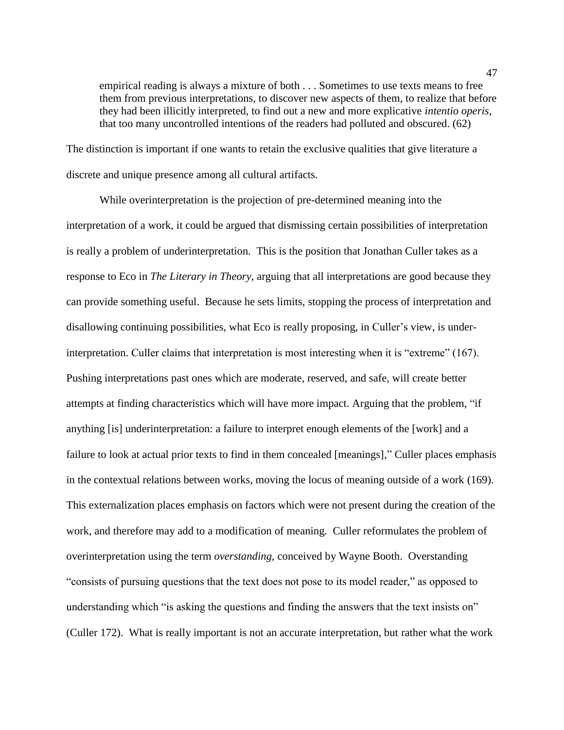empirical reading is always a mixture of both . . . Sometimes to use texts means to free them from previous interpretations, to discover new aspects of them, to realize that before they had been illicitly interpreted, to find out a new and more explicative *intentio operis*, that too many uncontrolled intentions of the readers had polluted and obscured. (62)

The distinction is important if one wants to retain the exclusive qualities that give literature a discrete and unique presence among all cultural artifacts.

While overinterpretation is the projection of pre-determined meaning into the interpretation of a work, it could be argued that dismissing certain possibilities of interpretation is really a problem of underinterpretation. This is the position that Jonathan Culler takes as a response to Eco in *The Literary in Theory*, arguing that all interpretations are good because they can provide something useful. Because he sets limits, stopping the process of interpretation and disallowing continuing possibilities, what Eco is really proposing, in Culler's view, is underinterpretation. Culler claims that interpretation is most interesting when it is "extreme" (167). Pushing interpretations past ones which are moderate, reserved, and safe, will create better attempts at finding characteristics which will have more impact. Arguing that the problem, "if anything [is] underinterpretation: a failure to interpret enough elements of the [work] and a failure to look at actual prior texts to find in them concealed [meanings]," Culler places emphasis in the contextual relations between works, moving the locus of meaning outside of a work (169). This externalization places emphasis on factors which were not present during the creation of the work, and therefore may add to a modification of meaning. Culler reformulates the problem of overinterpretation using the term *overstanding*, conceived by Wayne Booth. Overstanding "consists of pursuing questions that the text does not pose to its model reader," as opposed to understanding which "is asking the questions and finding the answers that the text insists on" (Culler 172). What is really important is not an accurate interpretation, but rather what the work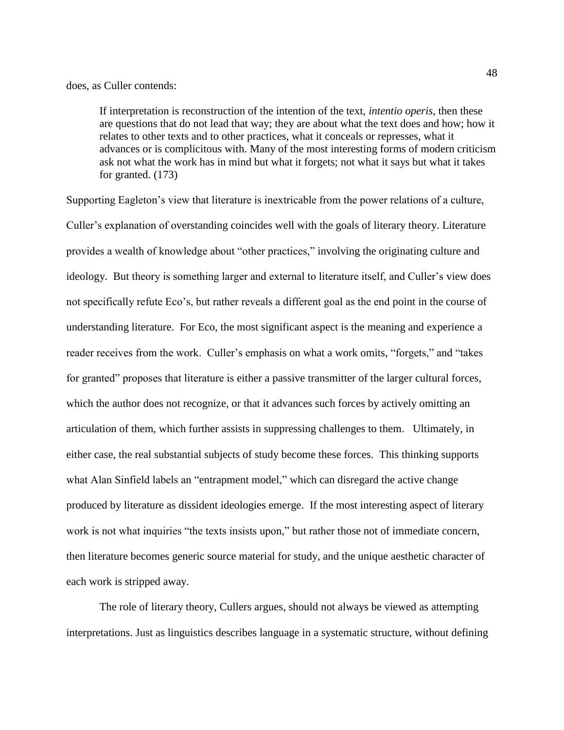## does, as Culler contends:

If interpretation is reconstruction of the intention of the text, *intentio operis*, then these are questions that do not lead that way; they are about what the text does and how; how it relates to other texts and to other practices, what it conceals or represses, what it advances or is complicitous with. Many of the most interesting forms of modern criticism ask not what the work has in mind but what it forgets; not what it says but what it takes for granted. (173)

Supporting Eagleton's view that literature is inextricable from the power relations of a culture, Culler's explanation of overstanding coincides well with the goals of literary theory. Literature provides a wealth of knowledge about "other practices," involving the originating culture and ideology. But theory is something larger and external to literature itself, and Culler's view does not specifically refute Eco's, but rather reveals a different goal as the end point in the course of understanding literature. For Eco, the most significant aspect is the meaning and experience a reader receives from the work. Culler's emphasis on what a work omits, "forgets," and "takes for granted" proposes that literature is either a passive transmitter of the larger cultural forces, which the author does not recognize, or that it advances such forces by actively omitting an articulation of them, which further assists in suppressing challenges to them. Ultimately, in either case, the real substantial subjects of study become these forces. This thinking supports what Alan Sinfield labels an "entrapment model," which can disregard the active change produced by literature as dissident ideologies emerge. If the most interesting aspect of literary work is not what inquiries "the texts insists upon," but rather those not of immediate concern, then literature becomes generic source material for study, and the unique aesthetic character of each work is stripped away.

The role of literary theory, Cullers argues, should not always be viewed as attempting interpretations. Just as linguistics describes language in a systematic structure, without defining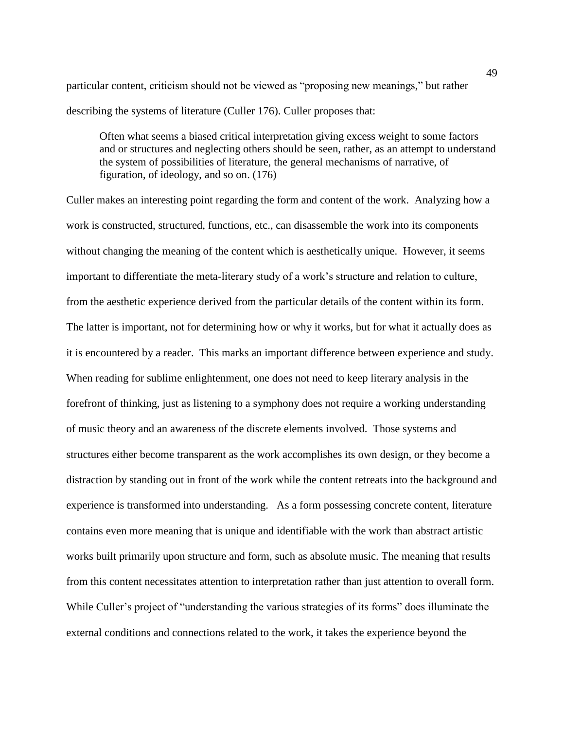particular content, criticism should not be viewed as "proposing new meanings," but rather describing the systems of literature (Culler 176). Culler proposes that:

Often what seems a biased critical interpretation giving excess weight to some factors and or structures and neglecting others should be seen, rather, as an attempt to understand the system of possibilities of literature, the general mechanisms of narrative, of figuration, of ideology, and so on. (176)

Culler makes an interesting point regarding the form and content of the work. Analyzing how a work is constructed, structured, functions, etc., can disassemble the work into its components without changing the meaning of the content which is aesthetically unique. However, it seems important to differentiate the meta-literary study of a work's structure and relation to culture, from the aesthetic experience derived from the particular details of the content within its form. The latter is important, not for determining how or why it works, but for what it actually does as it is encountered by a reader. This marks an important difference between experience and study. When reading for sublime enlightenment, one does not need to keep literary analysis in the forefront of thinking, just as listening to a symphony does not require a working understanding of music theory and an awareness of the discrete elements involved. Those systems and structures either become transparent as the work accomplishes its own design, or they become a distraction by standing out in front of the work while the content retreats into the background and experience is transformed into understanding. As a form possessing concrete content, literature contains even more meaning that is unique and identifiable with the work than abstract artistic works built primarily upon structure and form, such as absolute music. The meaning that results from this content necessitates attention to interpretation rather than just attention to overall form. While Culler's project of "understanding the various strategies of its forms" does illuminate the external conditions and connections related to the work, it takes the experience beyond the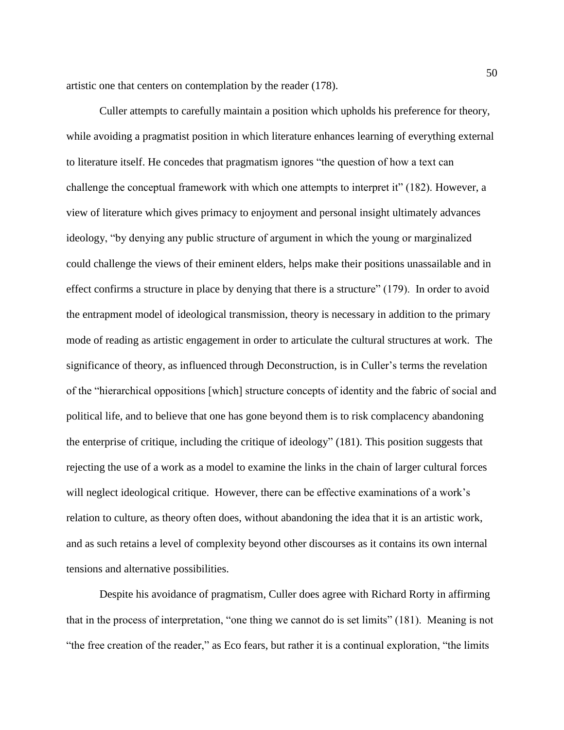artistic one that centers on contemplation by the reader (178).

Culler attempts to carefully maintain a position which upholds his preference for theory, while avoiding a pragmatist position in which literature enhances learning of everything external to literature itself. He concedes that pragmatism ignores "the question of how a text can challenge the conceptual framework with which one attempts to interpret it" (182). However, a view of literature which gives primacy to enjoyment and personal insight ultimately advances ideology, "by denying any public structure of argument in which the young or marginalized could challenge the views of their eminent elders, helps make their positions unassailable and in effect confirms a structure in place by denying that there is a structure" (179). In order to avoid the entrapment model of ideological transmission, theory is necessary in addition to the primary mode of reading as artistic engagement in order to articulate the cultural structures at work. The significance of theory, as influenced through Deconstruction, is in Culler's terms the revelation of the "hierarchical oppositions [which] structure concepts of identity and the fabric of social and political life, and to believe that one has gone beyond them is to risk complacency abandoning the enterprise of critique, including the critique of ideology" (181). This position suggests that rejecting the use of a work as a model to examine the links in the chain of larger cultural forces will neglect ideological critique. However, there can be effective examinations of a work's relation to culture, as theory often does, without abandoning the idea that it is an artistic work, and as such retains a level of complexity beyond other discourses as it contains its own internal tensions and alternative possibilities.

Despite his avoidance of pragmatism, Culler does agree with Richard Rorty in affirming that in the process of interpretation, "one thing we cannot do is set limits" (181). Meaning is not "the free creation of the reader," as Eco fears, but rather it is a continual exploration, "the limits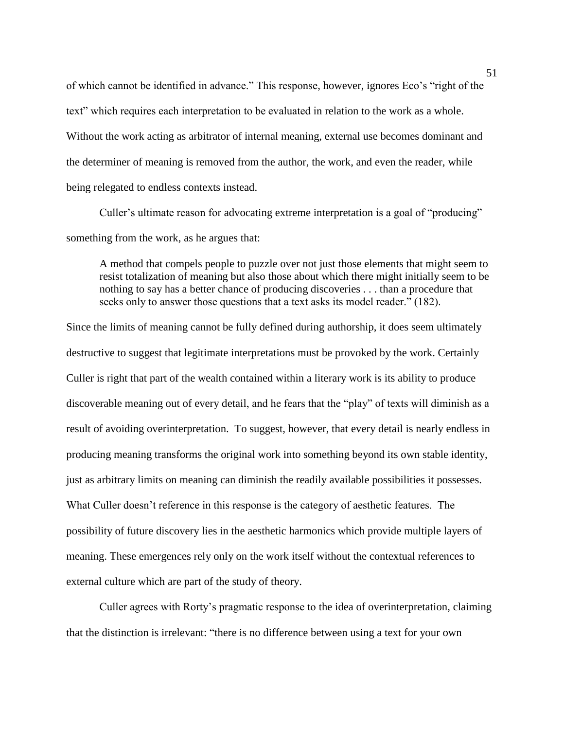of which cannot be identified in advance." This response, however, ignores Eco's "right of the text" which requires each interpretation to be evaluated in relation to the work as a whole. Without the work acting as arbitrator of internal meaning, external use becomes dominant and the determiner of meaning is removed from the author, the work, and even the reader, while being relegated to endless contexts instead.

Culler's ultimate reason for advocating extreme interpretation is a goal of "producing" something from the work, as he argues that:

A method that compels people to puzzle over not just those elements that might seem to resist totalization of meaning but also those about which there might initially seem to be nothing to say has a better chance of producing discoveries . . . than a procedure that seeks only to answer those questions that a text asks its model reader." (182).

Since the limits of meaning cannot be fully defined during authorship, it does seem ultimately destructive to suggest that legitimate interpretations must be provoked by the work. Certainly Culler is right that part of the wealth contained within a literary work is its ability to produce discoverable meaning out of every detail, and he fears that the "play" of texts will diminish as a result of avoiding overinterpretation. To suggest, however, that every detail is nearly endless in producing meaning transforms the original work into something beyond its own stable identity, just as arbitrary limits on meaning can diminish the readily available possibilities it possesses. What Culler doesn't reference in this response is the category of aesthetic features. The possibility of future discovery lies in the aesthetic harmonics which provide multiple layers of meaning. These emergences rely only on the work itself without the contextual references to external culture which are part of the study of theory.

Culler agrees with Rorty's pragmatic response to the idea of overinterpretation, claiming that the distinction is irrelevant: "there is no difference between using a text for your own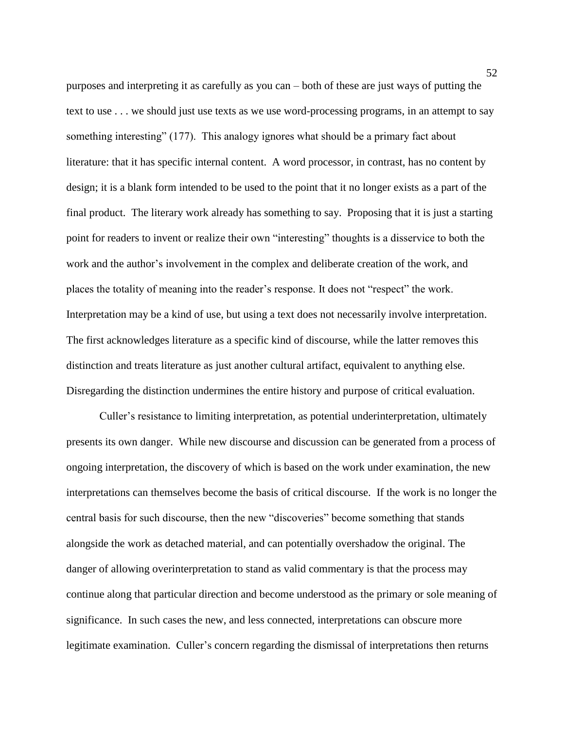purposes and interpreting it as carefully as you can – both of these are just ways of putting the text to use . . . we should just use texts as we use word-processing programs, in an attempt to say something interesting" (177). This analogy ignores what should be a primary fact about literature: that it has specific internal content. A word processor, in contrast, has no content by design; it is a blank form intended to be used to the point that it no longer exists as a part of the final product. The literary work already has something to say. Proposing that it is just a starting point for readers to invent or realize their own "interesting" thoughts is a disservice to both the work and the author's involvement in the complex and deliberate creation of the work, and places the totality of meaning into the reader's response. It does not "respect" the work. Interpretation may be a kind of use, but using a text does not necessarily involve interpretation. The first acknowledges literature as a specific kind of discourse, while the latter removes this distinction and treats literature as just another cultural artifact, equivalent to anything else. Disregarding the distinction undermines the entire history and purpose of critical evaluation.

Culler's resistance to limiting interpretation, as potential underinterpretation, ultimately presents its own danger. While new discourse and discussion can be generated from a process of ongoing interpretation, the discovery of which is based on the work under examination, the new interpretations can themselves become the basis of critical discourse. If the work is no longer the central basis for such discourse, then the new "discoveries" become something that stands alongside the work as detached material, and can potentially overshadow the original. The danger of allowing overinterpretation to stand as valid commentary is that the process may continue along that particular direction and become understood as the primary or sole meaning of significance. In such cases the new, and less connected, interpretations can obscure more legitimate examination. Culler's concern regarding the dismissal of interpretations then returns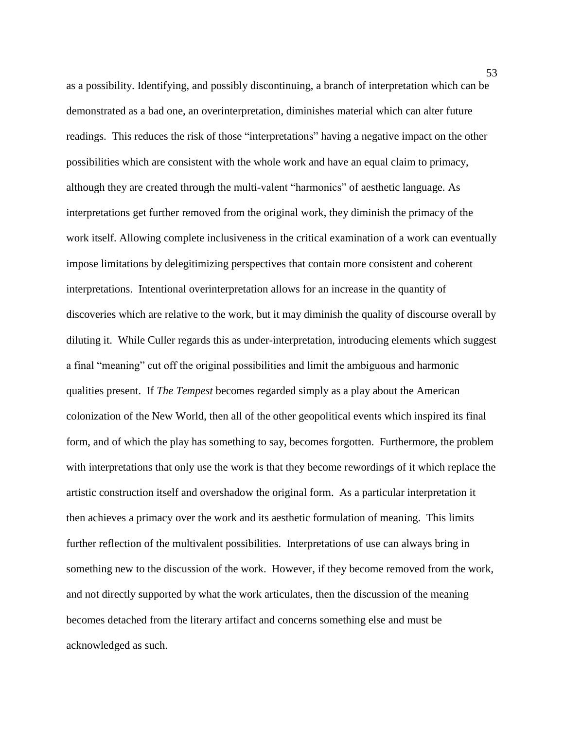as a possibility. Identifying, and possibly discontinuing, a branch of interpretation which can be demonstrated as a bad one, an overinterpretation, diminishes material which can alter future readings. This reduces the risk of those "interpretations" having a negative impact on the other possibilities which are consistent with the whole work and have an equal claim to primacy, although they are created through the multi-valent "harmonics" of aesthetic language. As interpretations get further removed from the original work, they diminish the primacy of the work itself. Allowing complete inclusiveness in the critical examination of a work can eventually impose limitations by delegitimizing perspectives that contain more consistent and coherent interpretations. Intentional overinterpretation allows for an increase in the quantity of discoveries which are relative to the work, but it may diminish the quality of discourse overall by diluting it. While Culler regards this as under-interpretation, introducing elements which suggest a final "meaning" cut off the original possibilities and limit the ambiguous and harmonic qualities present. If *The Tempest* becomes regarded simply as a play about the American colonization of the New World, then all of the other geopolitical events which inspired its final form, and of which the play has something to say, becomes forgotten. Furthermore, the problem with interpretations that only use the work is that they become rewordings of it which replace the artistic construction itself and overshadow the original form. As a particular interpretation it then achieves a primacy over the work and its aesthetic formulation of meaning. This limits further reflection of the multivalent possibilities. Interpretations of use can always bring in something new to the discussion of the work. However, if they become removed from the work, and not directly supported by what the work articulates, then the discussion of the meaning becomes detached from the literary artifact and concerns something else and must be acknowledged as such.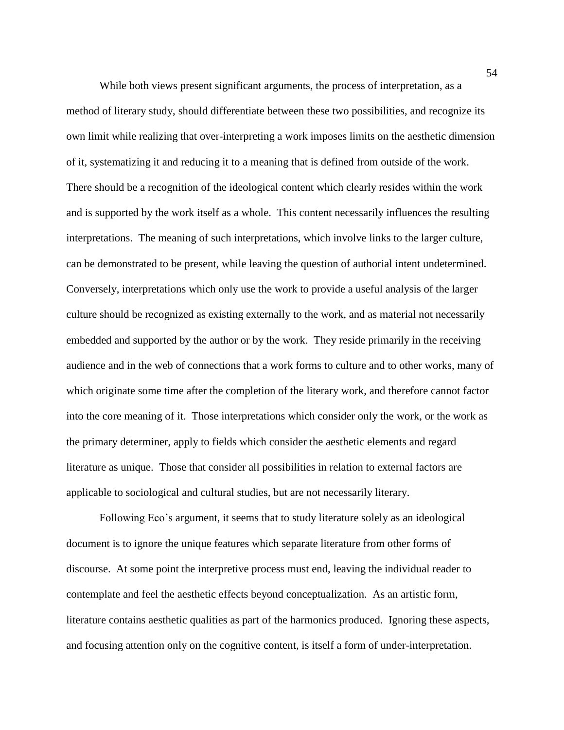While both views present significant arguments, the process of interpretation, as a method of literary study, should differentiate between these two possibilities, and recognize its own limit while realizing that over-interpreting a work imposes limits on the aesthetic dimension of it, systematizing it and reducing it to a meaning that is defined from outside of the work. There should be a recognition of the ideological content which clearly resides within the work and is supported by the work itself as a whole. This content necessarily influences the resulting interpretations. The meaning of such interpretations, which involve links to the larger culture, can be demonstrated to be present, while leaving the question of authorial intent undetermined. Conversely, interpretations which only use the work to provide a useful analysis of the larger culture should be recognized as existing externally to the work, and as material not necessarily embedded and supported by the author or by the work. They reside primarily in the receiving audience and in the web of connections that a work forms to culture and to other works, many of which originate some time after the completion of the literary work, and therefore cannot factor into the core meaning of it. Those interpretations which consider only the work, or the work as the primary determiner, apply to fields which consider the aesthetic elements and regard literature as unique. Those that consider all possibilities in relation to external factors are applicable to sociological and cultural studies, but are not necessarily literary.

Following Eco's argument, it seems that to study literature solely as an ideological document is to ignore the unique features which separate literature from other forms of discourse. At some point the interpretive process must end, leaving the individual reader to contemplate and feel the aesthetic effects beyond conceptualization. As an artistic form, literature contains aesthetic qualities as part of the harmonics produced. Ignoring these aspects, and focusing attention only on the cognitive content, is itself a form of under-interpretation.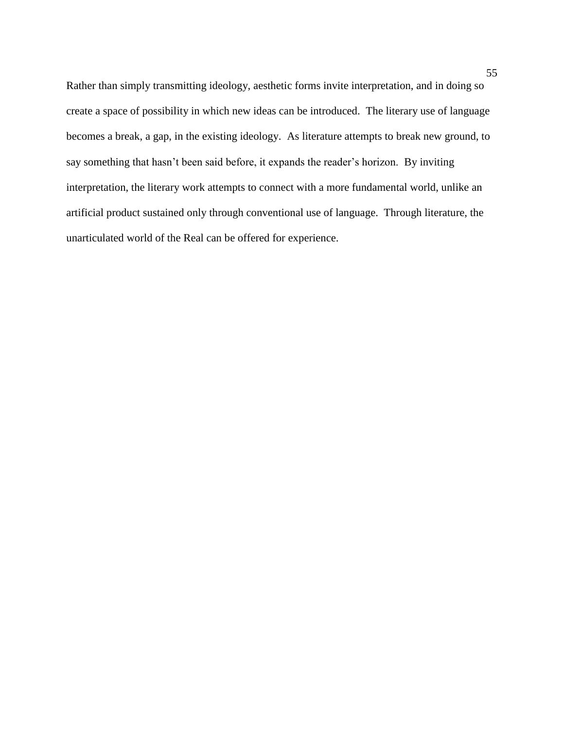Rather than simply transmitting ideology, aesthetic forms invite interpretation, and in doing so create a space of possibility in which new ideas can be introduced. The literary use of language becomes a break, a gap, in the existing ideology. As literature attempts to break new ground, to say something that hasn't been said before, it expands the reader's horizon. By inviting interpretation, the literary work attempts to connect with a more fundamental world, unlike an artificial product sustained only through conventional use of language. Through literature, the unarticulated world of the Real can be offered for experience.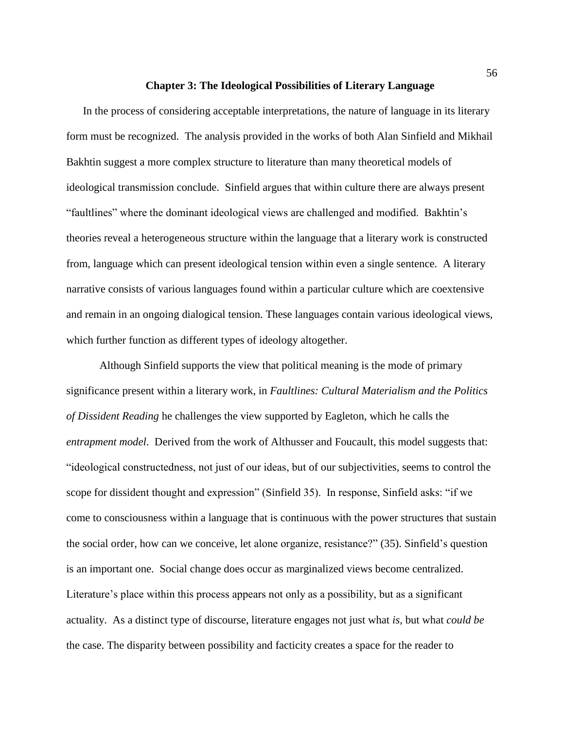## **Chapter 3: The Ideological Possibilities of Literary Language**

In the process of considering acceptable interpretations, the nature of language in its literary form must be recognized. The analysis provided in the works of both Alan Sinfield and Mikhail Bakhtin suggest a more complex structure to literature than many theoretical models of ideological transmission conclude. Sinfield argues that within culture there are always present "faultlines" where the dominant ideological views are challenged and modified. Bakhtin's theories reveal a heterogeneous structure within the language that a literary work is constructed from, language which can present ideological tension within even a single sentence. A literary narrative consists of various languages found within a particular culture which are coextensive and remain in an ongoing dialogical tension. These languages contain various ideological views, which further function as different types of ideology altogether.

Although Sinfield supports the view that political meaning is the mode of primary significance present within a literary work, in *Faultlines: Cultural Materialism and the Politics of Dissident Reading* he challenges the view supported by Eagleton, which he calls the *entrapment model*. Derived from the work of Althusser and Foucault, this model suggests that: "ideological constructedness, not just of our ideas, but of our subjectivities, seems to control the scope for dissident thought and expression" (Sinfield 35). In response, Sinfield asks: "if we come to consciousness within a language that is continuous with the power structures that sustain the social order, how can we conceive, let alone organize, resistance?" (35). Sinfield's question is an important one. Social change does occur as marginalized views become centralized. Literature's place within this process appears not only as a possibility, but as a significant actuality. As a distinct type of discourse, literature engages not just what *is*, but what *could be* the case. The disparity between possibility and facticity creates a space for the reader to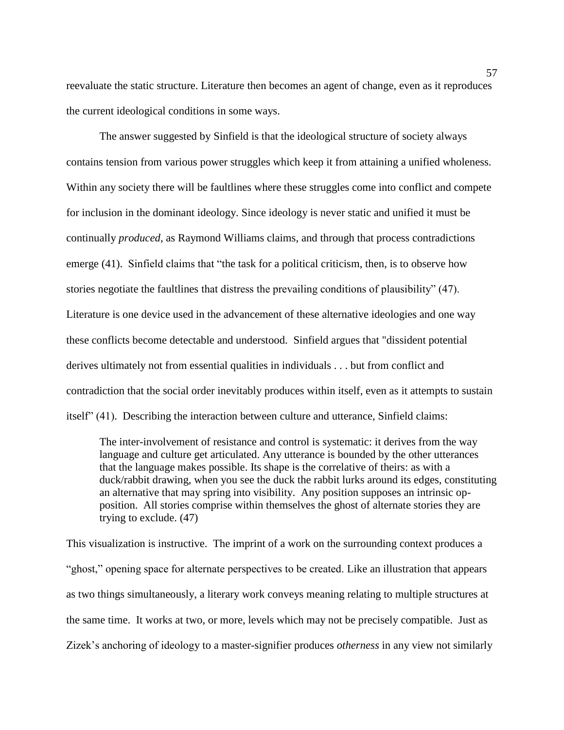reevaluate the static structure. Literature then becomes an agent of change, even as it reproduces the current ideological conditions in some ways.

The answer suggested by Sinfield is that the ideological structure of society always contains tension from various power struggles which keep it from attaining a unified wholeness. Within any society there will be faultlines where these struggles come into conflict and compete for inclusion in the dominant ideology. Since ideology is never static and unified it must be continually *produced*, as Raymond Williams claims, and through that process contradictions emerge (41). Sinfield claims that "the task for a political criticism, then, is to observe how stories negotiate the faultlines that distress the prevailing conditions of plausibility" (47). Literature is one device used in the advancement of these alternative ideologies and one way these conflicts become detectable and understood. Sinfield argues that "dissident potential derives ultimately not from essential qualities in individuals . . . but from conflict and contradiction that the social order inevitably produces within itself, even as it attempts to sustain itself" (41). Describing the interaction between culture and utterance, Sinfield claims:

The inter-involvement of resistance and control is systematic: it derives from the way language and culture get articulated. Any utterance is bounded by the other utterances that the language makes possible. Its shape is the correlative of theirs: as with a duck/rabbit drawing, when you see the duck the rabbit lurks around its edges, constituting an alternative that may spring into visibility. Any position supposes an intrinsic opposition. All stories comprise within themselves the ghost of alternate stories they are trying to exclude. (47)

This visualization is instructive. The imprint of a work on the surrounding context produces a "ghost," opening space for alternate perspectives to be created. Like an illustration that appears as two things simultaneously, a literary work conveys meaning relating to multiple structures at the same time. It works at two, or more, levels which may not be precisely compatible. Just as Zizek's anchoring of ideology to a master-signifier produces *otherness* in any view not similarly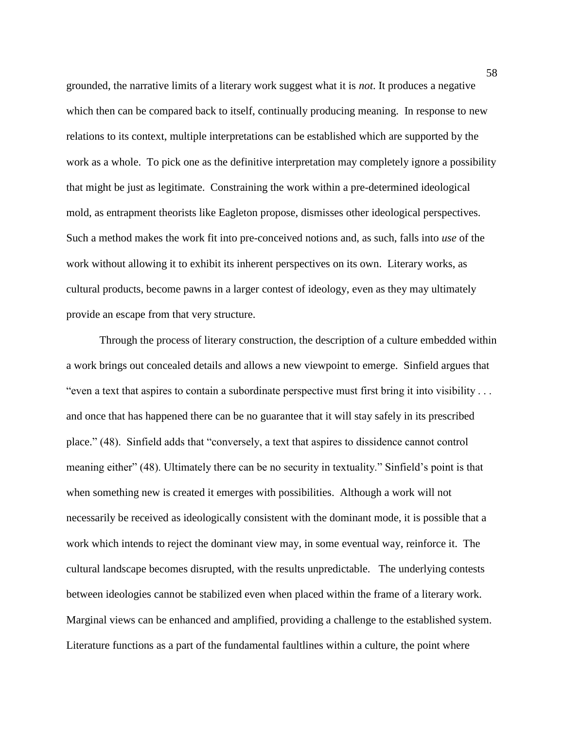grounded, the narrative limits of a literary work suggest what it is *not*. It produces a negative which then can be compared back to itself, continually producing meaning. In response to new relations to its context, multiple interpretations can be established which are supported by the work as a whole. To pick one as the definitive interpretation may completely ignore a possibility that might be just as legitimate. Constraining the work within a pre-determined ideological mold, as entrapment theorists like Eagleton propose, dismisses other ideological perspectives. Such a method makes the work fit into pre-conceived notions and, as such, falls into *use* of the work without allowing it to exhibit its inherent perspectives on its own. Literary works, as cultural products, become pawns in a larger contest of ideology, even as they may ultimately provide an escape from that very structure.

Through the process of literary construction, the description of a culture embedded within a work brings out concealed details and allows a new viewpoint to emerge. Sinfield argues that "even a text that aspires to contain a subordinate perspective must first bring it into visibility . . . and once that has happened there can be no guarantee that it will stay safely in its prescribed place." (48). Sinfield adds that "conversely, a text that aspires to dissidence cannot control meaning either" (48). Ultimately there can be no security in textuality." Sinfield's point is that when something new is created it emerges with possibilities. Although a work will not necessarily be received as ideologically consistent with the dominant mode, it is possible that a work which intends to reject the dominant view may, in some eventual way, reinforce it. The cultural landscape becomes disrupted, with the results unpredictable. The underlying contests between ideologies cannot be stabilized even when placed within the frame of a literary work. Marginal views can be enhanced and amplified, providing a challenge to the established system. Literature functions as a part of the fundamental faultlines within a culture, the point where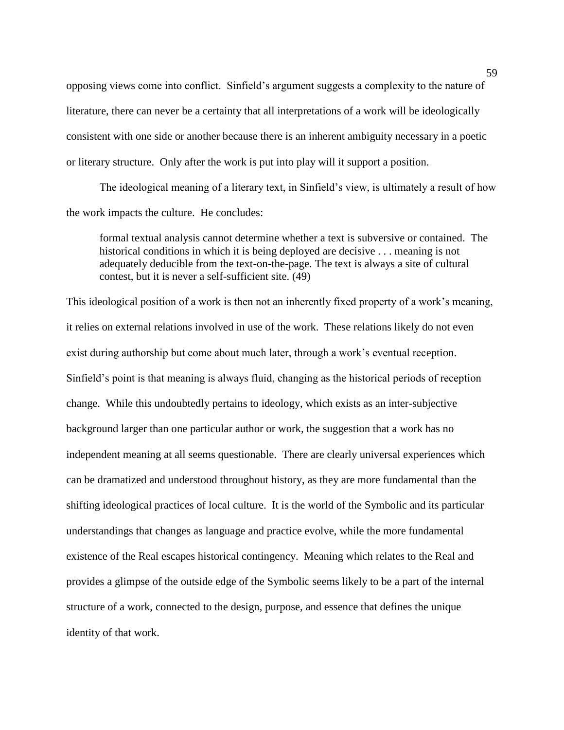opposing views come into conflict. Sinfield's argument suggests a complexity to the nature of literature, there can never be a certainty that all interpretations of a work will be ideologically consistent with one side or another because there is an inherent ambiguity necessary in a poetic or literary structure. Only after the work is put into play will it support a position.

The ideological meaning of a literary text, in Sinfield's view, is ultimately a result of how the work impacts the culture. He concludes:

formal textual analysis cannot determine whether a text is subversive or contained. The historical conditions in which it is being deployed are decisive . . . meaning is not adequately deducible from the text-on-the-page. The text is always a site of cultural contest, but it is never a self-sufficient site. (49)

This ideological position of a work is then not an inherently fixed property of a work's meaning, it relies on external relations involved in use of the work. These relations likely do not even exist during authorship but come about much later, through a work's eventual reception. Sinfield's point is that meaning is always fluid, changing as the historical periods of reception change. While this undoubtedly pertains to ideology, which exists as an inter-subjective background larger than one particular author or work, the suggestion that a work has no independent meaning at all seems questionable. There are clearly universal experiences which can be dramatized and understood throughout history, as they are more fundamental than the shifting ideological practices of local culture. It is the world of the Symbolic and its particular understandings that changes as language and practice evolve, while the more fundamental existence of the Real escapes historical contingency. Meaning which relates to the Real and provides a glimpse of the outside edge of the Symbolic seems likely to be a part of the internal structure of a work, connected to the design, purpose, and essence that defines the unique identity of that work.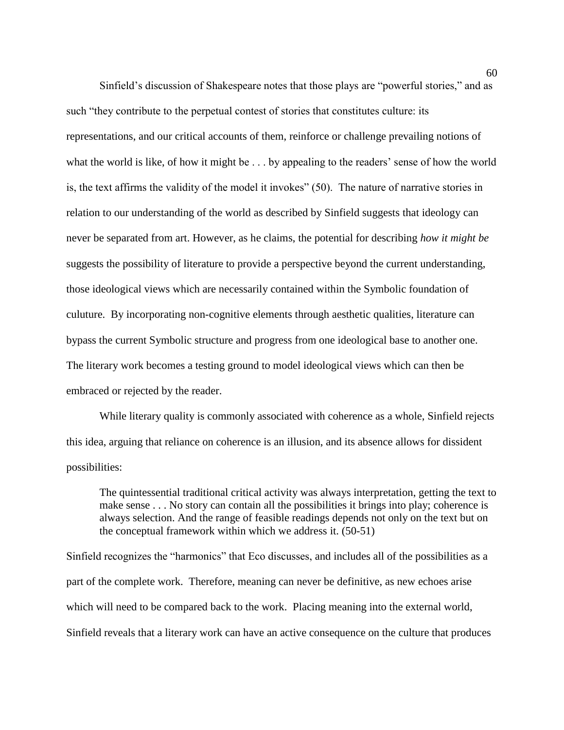Sinfield's discussion of Shakespeare notes that those plays are "powerful stories," and as such "they contribute to the perpetual contest of stories that constitutes culture: its representations, and our critical accounts of them, reinforce or challenge prevailing notions of what the world is like, of how it might be . . . by appealing to the readers' sense of how the world is, the text affirms the validity of the model it invokes" (50). The nature of narrative stories in relation to our understanding of the world as described by Sinfield suggests that ideology can never be separated from art. However, as he claims, the potential for describing *how it might be* suggests the possibility of literature to provide a perspective beyond the current understanding, those ideological views which are necessarily contained within the Symbolic foundation of culuture. By incorporating non-cognitive elements through aesthetic qualities, literature can bypass the current Symbolic structure and progress from one ideological base to another one. The literary work becomes a testing ground to model ideological views which can then be embraced or rejected by the reader.

While literary quality is commonly associated with coherence as a whole, Sinfield rejects this idea, arguing that reliance on coherence is an illusion, and its absence allows for dissident possibilities:

The quintessential traditional critical activity was always interpretation, getting the text to make sense . . . No story can contain all the possibilities it brings into play; coherence is always selection. And the range of feasible readings depends not only on the text but on the conceptual framework within which we address it. (50-51)

Sinfield recognizes the "harmonics" that Eco discusses, and includes all of the possibilities as a part of the complete work. Therefore, meaning can never be definitive, as new echoes arise which will need to be compared back to the work. Placing meaning into the external world, Sinfield reveals that a literary work can have an active consequence on the culture that produces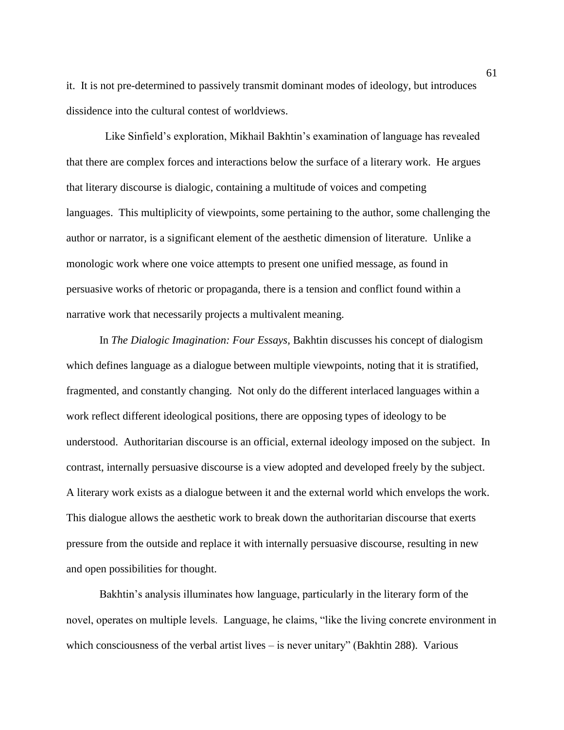it. It is not pre-determined to passively transmit dominant modes of ideology, but introduces dissidence into the cultural contest of worldviews.

 Like Sinfield's exploration, Mikhail Bakhtin's examination of language has revealed that there are complex forces and interactions below the surface of a literary work. He argues that literary discourse is dialogic, containing a multitude of voices and competing languages. This multiplicity of viewpoints, some pertaining to the author, some challenging the author or narrator, is a significant element of the aesthetic dimension of literature. Unlike a monologic work where one voice attempts to present one unified message, as found in persuasive works of rhetoric or propaganda, there is a tension and conflict found within a narrative work that necessarily projects a multivalent meaning.

In *The Dialogic Imagination: Four Essays,* Bakhtin discusses his concept of dialogism which defines language as a dialogue between multiple viewpoints, noting that it is stratified, fragmented, and constantly changing. Not only do the different interlaced languages within a work reflect different ideological positions, there are opposing types of ideology to be understood. Authoritarian discourse is an official, external ideology imposed on the subject. In contrast, internally persuasive discourse is a view adopted and developed freely by the subject. A literary work exists as a dialogue between it and the external world which envelops the work. This dialogue allows the aesthetic work to break down the authoritarian discourse that exerts pressure from the outside and replace it with internally persuasive discourse, resulting in new and open possibilities for thought.

Bakhtin's analysis illuminates how language, particularly in the literary form of the novel, operates on multiple levels. Language, he claims, "like the living concrete environment in which consciousness of the verbal artist lives  $-$  is never unitary" (Bakhtin 288). Various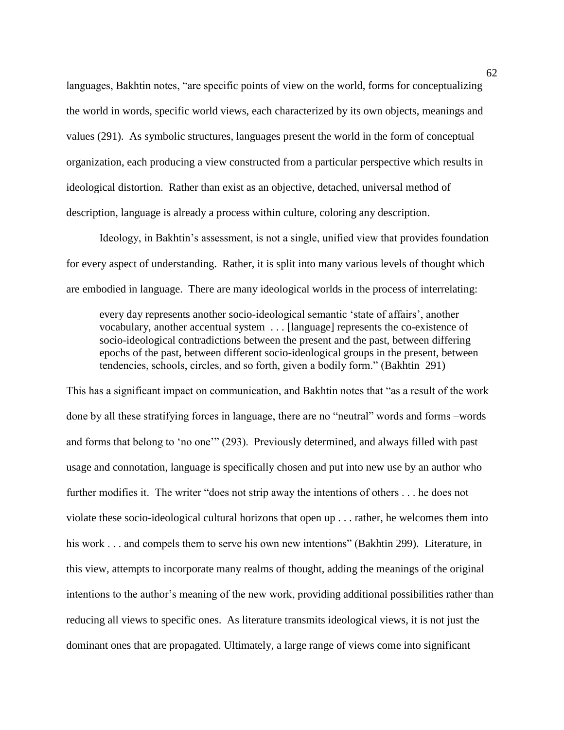languages, Bakhtin notes, "are specific points of view on the world, forms for conceptualizing the world in words, specific world views, each characterized by its own objects, meanings and values (291). As symbolic structures, languages present the world in the form of conceptual organization, each producing a view constructed from a particular perspective which results in ideological distortion. Rather than exist as an objective, detached, universal method of description, language is already a process within culture, coloring any description.

Ideology, in Bakhtin's assessment, is not a single, unified view that provides foundation for every aspect of understanding. Rather, it is split into many various levels of thought which are embodied in language. There are many ideological worlds in the process of interrelating:

every day represents another socio-ideological semantic 'state of affairs', another vocabulary, another accentual system . . . [language] represents the co-existence of socio-ideological contradictions between the present and the past, between differing epochs of the past, between different socio-ideological groups in the present, between tendencies, schools, circles, and so forth, given a bodily form." (Bakhtin 291)

This has a significant impact on communication, and Bakhtin notes that "as a result of the work done by all these stratifying forces in language, there are no "neutral" words and forms –words and forms that belong to 'no one'" (293). Previously determined, and always filled with past usage and connotation, language is specifically chosen and put into new use by an author who further modifies it. The writer "does not strip away the intentions of others . . . he does not violate these socio-ideological cultural horizons that open up . . . rather, he welcomes them into his work . . . and compels them to serve his own new intentions" (Bakhtin 299). Literature, in this view, attempts to incorporate many realms of thought, adding the meanings of the original intentions to the author's meaning of the new work, providing additional possibilities rather than reducing all views to specific ones. As literature transmits ideological views, it is not just the dominant ones that are propagated. Ultimately, a large range of views come into significant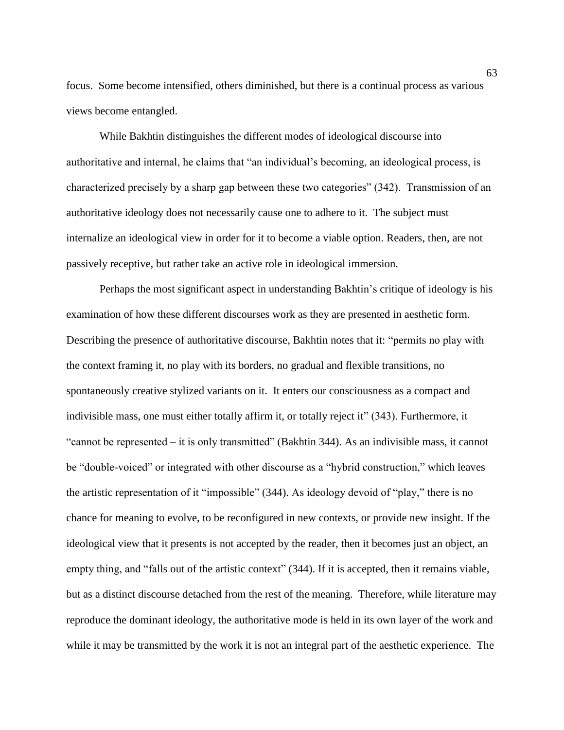focus. Some become intensified, others diminished, but there is a continual process as various views become entangled.

While Bakhtin distinguishes the different modes of ideological discourse into authoritative and internal, he claims that "an individual's becoming, an ideological process, is characterized precisely by a sharp gap between these two categories" (342). Transmission of an authoritative ideology does not necessarily cause one to adhere to it. The subject must internalize an ideological view in order for it to become a viable option. Readers, then, are not passively receptive, but rather take an active role in ideological immersion.

Perhaps the most significant aspect in understanding Bakhtin's critique of ideology is his examination of how these different discourses work as they are presented in aesthetic form. Describing the presence of authoritative discourse, Bakhtin notes that it: "permits no play with the context framing it, no play with its borders, no gradual and flexible transitions, no spontaneously creative stylized variants on it. It enters our consciousness as a compact and indivisible mass, one must either totally affirm it, or totally reject it" (343). Furthermore, it "cannot be represented – it is only transmitted" (Bakhtin 344). As an indivisible mass, it cannot be "double-voiced" or integrated with other discourse as a "hybrid construction," which leaves the artistic representation of it "impossible" (344). As ideology devoid of "play," there is no chance for meaning to evolve, to be reconfigured in new contexts, or provide new insight. If the ideological view that it presents is not accepted by the reader, then it becomes just an object, an empty thing, and "falls out of the artistic context" (344). If it is accepted, then it remains viable, but as a distinct discourse detached from the rest of the meaning. Therefore, while literature may reproduce the dominant ideology, the authoritative mode is held in its own layer of the work and while it may be transmitted by the work it is not an integral part of the aesthetic experience. The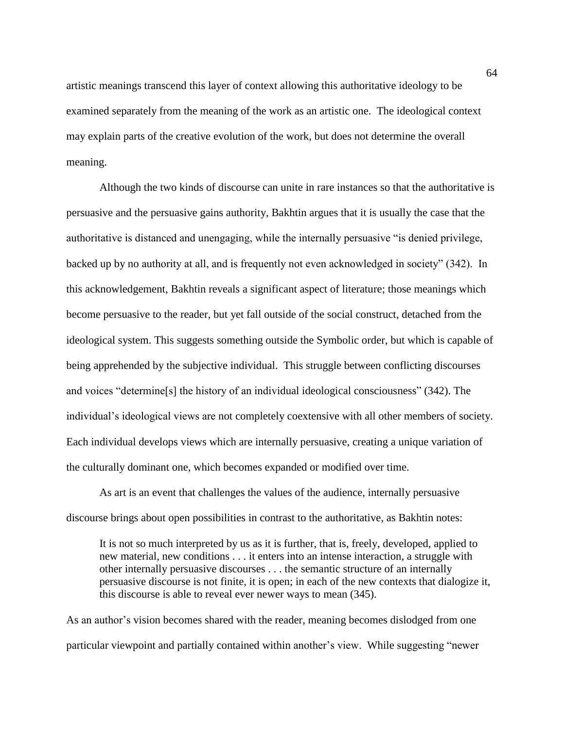artistic meanings transcend this layer of context allowing this authoritative ideology to be examined separately from the meaning of the work as an artistic one. The ideological context may explain parts of the creative evolution of the work, but does not determine the overall meaning.

Although the two kinds of discourse can unite in rare instances so that the authoritative is persuasive and the persuasive gains authority, Bakhtin argues that it is usually the case that the authoritative is distanced and unengaging, while the internally persuasive "is denied privilege, backed up by no authority at all, and is frequently not even acknowledged in society" (342). In this acknowledgement, Bakhtin reveals a significant aspect of literature; those meanings which become persuasive to the reader, but yet fall outside of the social construct, detached from the ideological system. This suggests something outside the Symbolic order, but which is capable of being apprehended by the subjective individual. This struggle between conflicting discourses and voices "determine[s] the history of an individual ideological consciousness" (342). The individual's ideological views are not completely coextensive with all other members of society. Each individual develops views which are internally persuasive, creating a unique variation of the culturally dominant one, which becomes expanded or modified over time.

As art is an event that challenges the values of the audience, internally persuasive discourse brings about open possibilities in contrast to the authoritative, as Bakhtin notes:

It is not so much interpreted by us as it is further, that is, freely, developed, applied to new material, new conditions . . . it enters into an intense interaction, a struggle with other internally persuasive discourses . . . the semantic structure of an internally persuasive discourse is not finite, it is open; in each of the new contexts that dialogize it, this discourse is able to reveal ever newer ways to mean (345).

As an author's vision becomes shared with the reader, meaning becomes dislodged from one particular viewpoint and partially contained within another's view. While suggesting "newer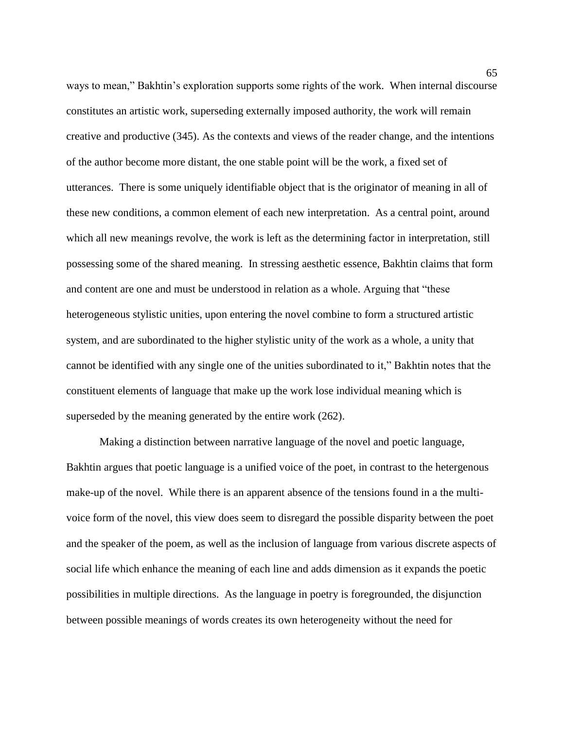ways to mean," Bakhtin's exploration supports some rights of the work. When internal discourse constitutes an artistic work, superseding externally imposed authority, the work will remain creative and productive (345). As the contexts and views of the reader change, and the intentions of the author become more distant, the one stable point will be the work, a fixed set of utterances. There is some uniquely identifiable object that is the originator of meaning in all of these new conditions, a common element of each new interpretation. As a central point, around which all new meanings revolve, the work is left as the determining factor in interpretation, still possessing some of the shared meaning. In stressing aesthetic essence, Bakhtin claims that form and content are one and must be understood in relation as a whole. Arguing that "these heterogeneous stylistic unities, upon entering the novel combine to form a structured artistic system, and are subordinated to the higher stylistic unity of the work as a whole, a unity that cannot be identified with any single one of the unities subordinated to it," Bakhtin notes that the constituent elements of language that make up the work lose individual meaning which is superseded by the meaning generated by the entire work (262).

Making a distinction between narrative language of the novel and poetic language, Bakhtin argues that poetic language is a unified voice of the poet, in contrast to the hetergenous make-up of the novel. While there is an apparent absence of the tensions found in a the multivoice form of the novel, this view does seem to disregard the possible disparity between the poet and the speaker of the poem, as well as the inclusion of language from various discrete aspects of social life which enhance the meaning of each line and adds dimension as it expands the poetic possibilities in multiple directions. As the language in poetry is foregrounded, the disjunction between possible meanings of words creates its own heterogeneity without the need for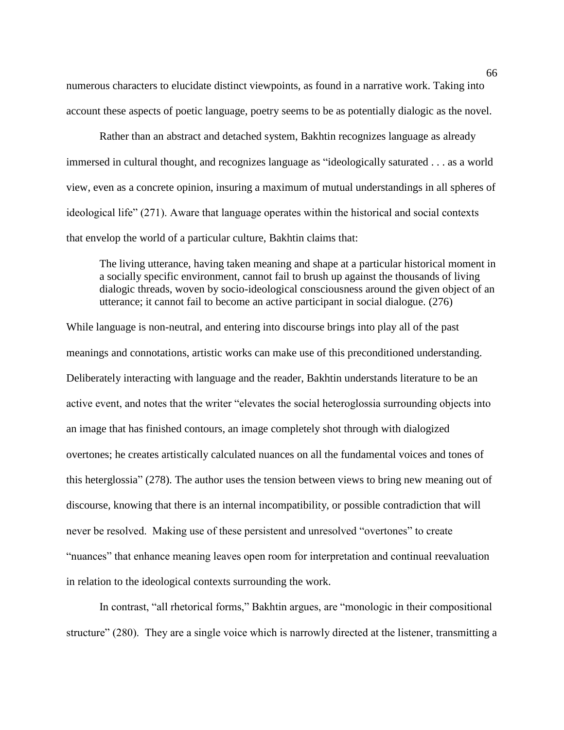numerous characters to elucidate distinct viewpoints, as found in a narrative work. Taking into account these aspects of poetic language, poetry seems to be as potentially dialogic as the novel.

Rather than an abstract and detached system, Bakhtin recognizes language as already immersed in cultural thought, and recognizes language as "ideologically saturated . . . as a world view, even as a concrete opinion, insuring a maximum of mutual understandings in all spheres of ideological life" (271). Aware that language operates within the historical and social contexts that envelop the world of a particular culture, Bakhtin claims that:

The living utterance, having taken meaning and shape at a particular historical moment in a socially specific environment, cannot fail to brush up against the thousands of living dialogic threads, woven by socio-ideological consciousness around the given object of an utterance; it cannot fail to become an active participant in social dialogue. (276)

While language is non-neutral, and entering into discourse brings into play all of the past meanings and connotations, artistic works can make use of this preconditioned understanding. Deliberately interacting with language and the reader, Bakhtin understands literature to be an active event, and notes that the writer "elevates the social heteroglossia surrounding objects into an image that has finished contours, an image completely shot through with dialogized overtones; he creates artistically calculated nuances on all the fundamental voices and tones of this heterglossia" (278). The author uses the tension between views to bring new meaning out of discourse, knowing that there is an internal incompatibility, or possible contradiction that will never be resolved. Making use of these persistent and unresolved "overtones" to create "nuances" that enhance meaning leaves open room for interpretation and continual reevaluation in relation to the ideological contexts surrounding the work.

In contrast, "all rhetorical forms," Bakhtin argues, are "monologic in their compositional structure" (280). They are a single voice which is narrowly directed at the listener, transmitting a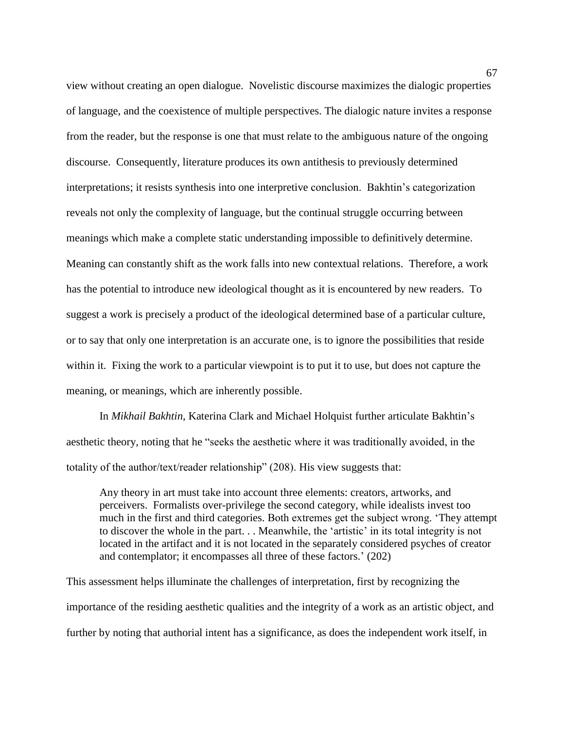view without creating an open dialogue. Novelistic discourse maximizes the dialogic properties of language, and the coexistence of multiple perspectives. The dialogic nature invites a response from the reader, but the response is one that must relate to the ambiguous nature of the ongoing discourse. Consequently, literature produces its own antithesis to previously determined interpretations; it resists synthesis into one interpretive conclusion. Bakhtin's categorization reveals not only the complexity of language, but the continual struggle occurring between meanings which make a complete static understanding impossible to definitively determine. Meaning can constantly shift as the work falls into new contextual relations. Therefore, a work has the potential to introduce new ideological thought as it is encountered by new readers. To suggest a work is precisely a product of the ideological determined base of a particular culture, or to say that only one interpretation is an accurate one, is to ignore the possibilities that reside within it. Fixing the work to a particular viewpoint is to put it to use, but does not capture the meaning, or meanings, which are inherently possible.

In *Mikhail Bakhtin*, Katerina Clark and Michael Holquist further articulate Bakhtin's aesthetic theory, noting that he "seeks the aesthetic where it was traditionally avoided, in the totality of the author/text/reader relationship" (208). His view suggests that:

Any theory in art must take into account three elements: creators, artworks, and perceivers. Formalists over-privilege the second category, while idealists invest too much in the first and third categories. Both extremes get the subject wrong. 'They attempt to discover the whole in the part. . . Meanwhile, the 'artistic' in its total integrity is not located in the artifact and it is not located in the separately considered psyches of creator and contemplator; it encompasses all three of these factors.' (202)

This assessment helps illuminate the challenges of interpretation, first by recognizing the importance of the residing aesthetic qualities and the integrity of a work as an artistic object, and further by noting that authorial intent has a significance, as does the independent work itself, in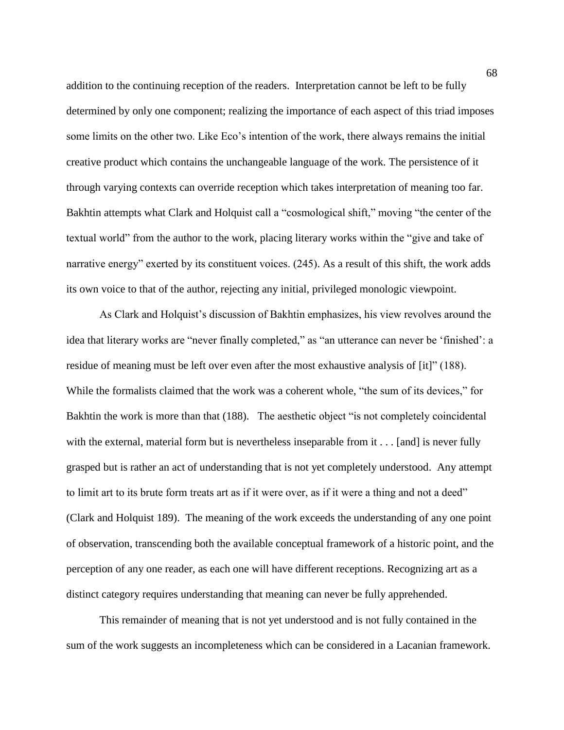addition to the continuing reception of the readers. Interpretation cannot be left to be fully determined by only one component; realizing the importance of each aspect of this triad imposes some limits on the other two. Like Eco's intention of the work, there always remains the initial creative product which contains the unchangeable language of the work. The persistence of it through varying contexts can override reception which takes interpretation of meaning too far. Bakhtin attempts what Clark and Holquist call a "cosmological shift," moving "the center of the textual world" from the author to the work, placing literary works within the "give and take of narrative energy" exerted by its constituent voices. (245). As a result of this shift, the work adds its own voice to that of the author, rejecting any initial, privileged monologic viewpoint.

As Clark and Holquist's discussion of Bakhtin emphasizes, his view revolves around the idea that literary works are "never finally completed," as "an utterance can never be 'finished': a residue of meaning must be left over even after the most exhaustive analysis of [it]" (188). While the formalists claimed that the work was a coherent whole, "the sum of its devices," for Bakhtin the work is more than that (188). The aesthetic object "is not completely coincidental with the external, material form but is nevertheless inseparable from it . . . [and] is never fully grasped but is rather an act of understanding that is not yet completely understood. Any attempt to limit art to its brute form treats art as if it were over, as if it were a thing and not a deed" (Clark and Holquist 189). The meaning of the work exceeds the understanding of any one point of observation, transcending both the available conceptual framework of a historic point, and the perception of any one reader, as each one will have different receptions. Recognizing art as a distinct category requires understanding that meaning can never be fully apprehended.

This remainder of meaning that is not yet understood and is not fully contained in the sum of the work suggests an incompleteness which can be considered in a Lacanian framework.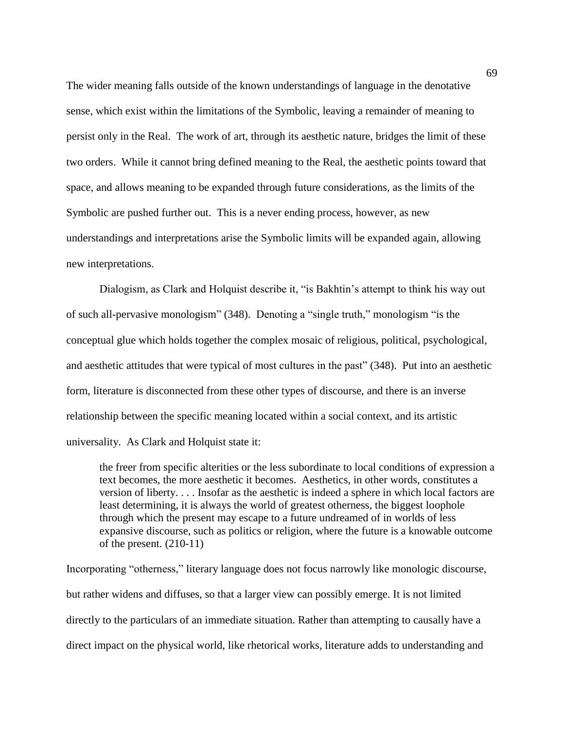The wider meaning falls outside of the known understandings of language in the denotative sense, which exist within the limitations of the Symbolic, leaving a remainder of meaning to persist only in the Real. The work of art, through its aesthetic nature, bridges the limit of these two orders. While it cannot bring defined meaning to the Real, the aesthetic points toward that space, and allows meaning to be expanded through future considerations, as the limits of the Symbolic are pushed further out. This is a never ending process, however, as new understandings and interpretations arise the Symbolic limits will be expanded again, allowing new interpretations.

Dialogism, as Clark and Holquist describe it, "is Bakhtin's attempt to think his way out of such all-pervasive monologism" (348). Denoting a "single truth," monologism "is the conceptual glue which holds together the complex mosaic of religious, political, psychological, and aesthetic attitudes that were typical of most cultures in the past" (348). Put into an aesthetic form, literature is disconnected from these other types of discourse, and there is an inverse relationship between the specific meaning located within a social context, and its artistic universality. As Clark and Holquist state it:

the freer from specific alterities or the less subordinate to local conditions of expression a text becomes, the more aesthetic it becomes. Aesthetics, in other words, constitutes a version of liberty. . . . Insofar as the aesthetic is indeed a sphere in which local factors are least determining, it is always the world of greatest otherness, the biggest loophole through which the present may escape to a future undreamed of in worlds of less expansive discourse, such as politics or religion, where the future is a knowable outcome of the present. (210-11)

Incorporating "otherness," literary language does not focus narrowly like monologic discourse, but rather widens and diffuses, so that a larger view can possibly emerge. It is not limited directly to the particulars of an immediate situation. Rather than attempting to causally have a direct impact on the physical world, like rhetorical works, literature adds to understanding and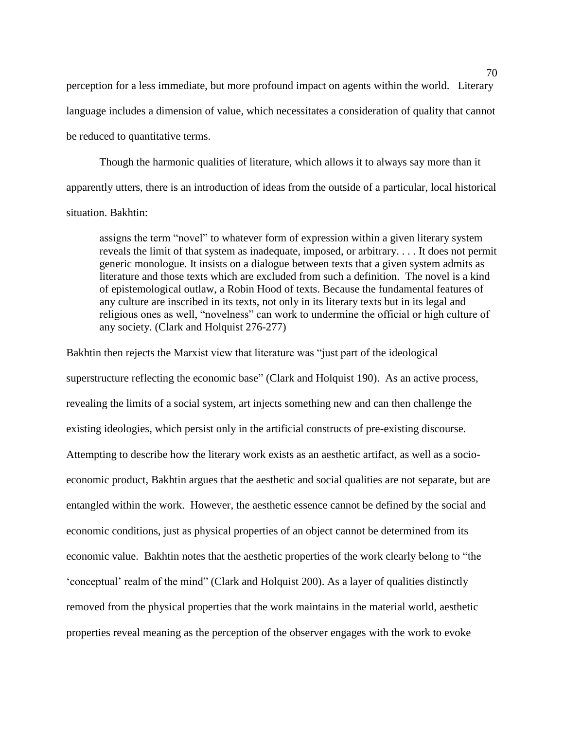perception for a less immediate, but more profound impact on agents within the world. Literary language includes a dimension of value, which necessitates a consideration of quality that cannot be reduced to quantitative terms.

Though the harmonic qualities of literature, which allows it to always say more than it apparently utters, there is an introduction of ideas from the outside of a particular, local historical situation. Bakhtin:

assigns the term "novel" to whatever form of expression within a given literary system reveals the limit of that system as inadequate, imposed, or arbitrary. . . . It does not permit generic monologue. It insists on a dialogue between texts that a given system admits as literature and those texts which are excluded from such a definition. The novel is a kind of epistemological outlaw, a Robin Hood of texts. Because the fundamental features of any culture are inscribed in its texts, not only in its literary texts but in its legal and religious ones as well, "novelness" can work to undermine the official or high culture of any society. (Clark and Holquist 276-277)

Bakhtin then rejects the Marxist view that literature was "just part of the ideological superstructure reflecting the economic base" (Clark and Holquist 190). As an active process, revealing the limits of a social system, art injects something new and can then challenge the existing ideologies, which persist only in the artificial constructs of pre-existing discourse. Attempting to describe how the literary work exists as an aesthetic artifact, as well as a socioeconomic product, Bakhtin argues that the aesthetic and social qualities are not separate, but are entangled within the work. However, the aesthetic essence cannot be defined by the social and economic conditions, just as physical properties of an object cannot be determined from its economic value. Bakhtin notes that the aesthetic properties of the work clearly belong to "the 'conceptual' realm of the mind" (Clark and Holquist 200). As a layer of qualities distinctly removed from the physical properties that the work maintains in the material world, aesthetic properties reveal meaning as the perception of the observer engages with the work to evoke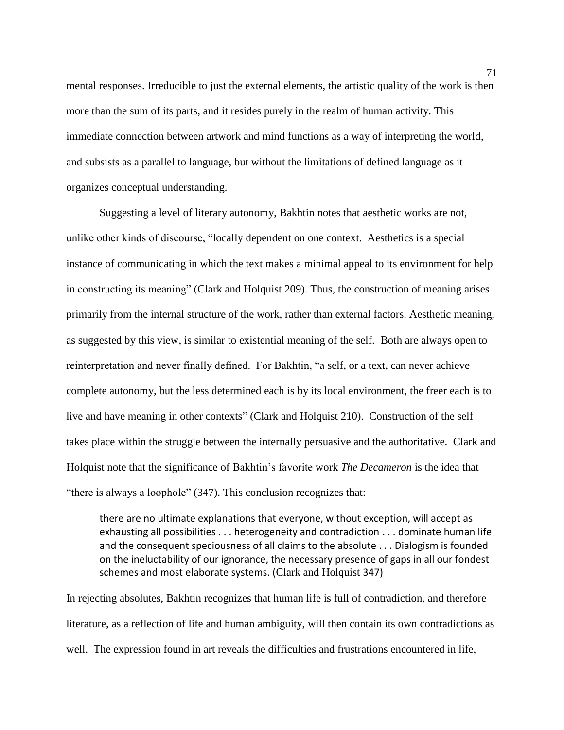mental responses. Irreducible to just the external elements, the artistic quality of the work is then more than the sum of its parts, and it resides purely in the realm of human activity. This immediate connection between artwork and mind functions as a way of interpreting the world, and subsists as a parallel to language, but without the limitations of defined language as it organizes conceptual understanding.

Suggesting a level of literary autonomy, Bakhtin notes that aesthetic works are not, unlike other kinds of discourse, "locally dependent on one context. Aesthetics is a special instance of communicating in which the text makes a minimal appeal to its environment for help in constructing its meaning" (Clark and Holquist 209). Thus, the construction of meaning arises primarily from the internal structure of the work, rather than external factors. Aesthetic meaning, as suggested by this view, is similar to existential meaning of the self. Both are always open to reinterpretation and never finally defined. For Bakhtin, "a self, or a text, can never achieve complete autonomy, but the less determined each is by its local environment, the freer each is to live and have meaning in other contexts" (Clark and Holquist 210). Construction of the self takes place within the struggle between the internally persuasive and the authoritative. Clark and Holquist note that the significance of Bakhtin's favorite work *The Decameron* is the idea that "there is always a loophole" (347). This conclusion recognizes that:

there are no ultimate explanations that everyone, without exception, will accept as exhausting all possibilities . . . heterogeneity and contradiction . . . dominate human life and the consequent speciousness of all claims to the absolute . . . Dialogism is founded on the ineluctability of our ignorance, the necessary presence of gaps in all our fondest schemes and most elaborate systems. (Clark and Holquist 347)

In rejecting absolutes, Bakhtin recognizes that human life is full of contradiction, and therefore literature, as a reflection of life and human ambiguity, will then contain its own contradictions as well. The expression found in art reveals the difficulties and frustrations encountered in life,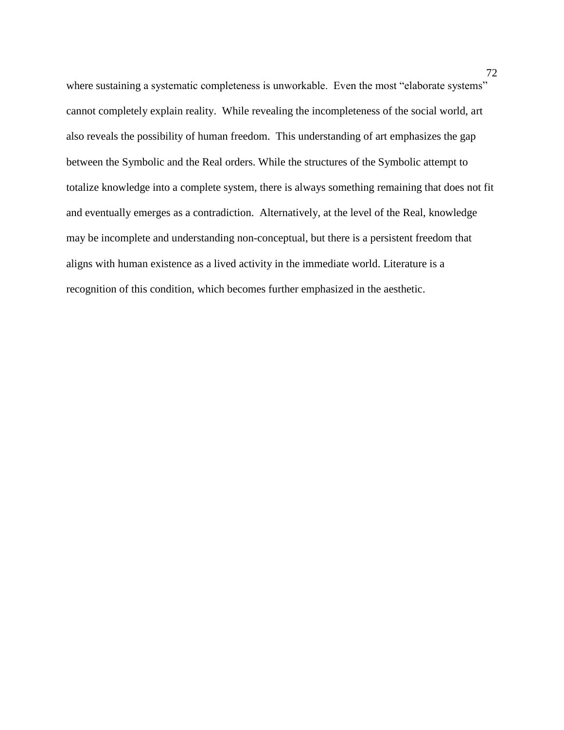where sustaining a systematic completeness is unworkable. Even the most "elaborate systems" cannot completely explain reality. While revealing the incompleteness of the social world, art also reveals the possibility of human freedom. This understanding of art emphasizes the gap between the Symbolic and the Real orders. While the structures of the Symbolic attempt to totalize knowledge into a complete system, there is always something remaining that does not fit and eventually emerges as a contradiction. Alternatively, at the level of the Real, knowledge may be incomplete and understanding non-conceptual, but there is a persistent freedom that aligns with human existence as a lived activity in the immediate world. Literature is a recognition of this condition, which becomes further emphasized in the aesthetic.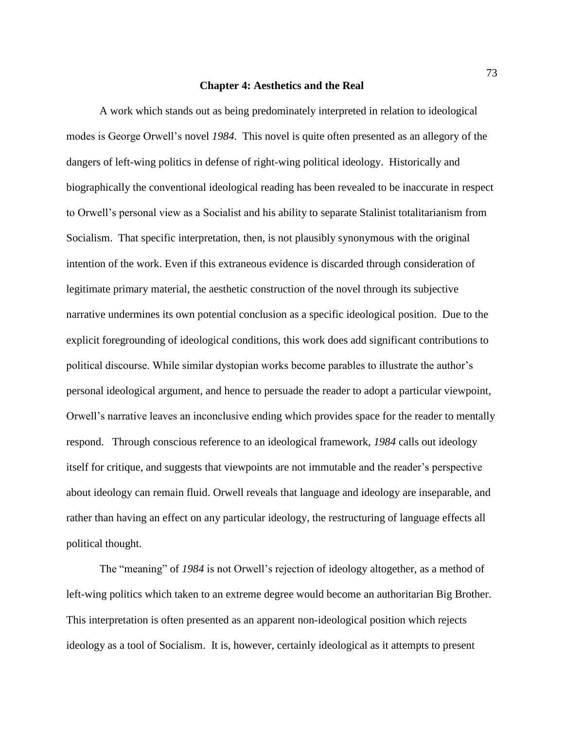## **Chapter 4: Aesthetics and the Real**

A work which stands out as being predominately interpreted in relation to ideological modes is George Orwell's novel *1984*. This novel is quite often presented as an allegory of the dangers of left-wing politics in defense of right-wing political ideology. Historically and biographically the conventional ideological reading has been revealed to be inaccurate in respect to Orwell's personal view as a Socialist and his ability to separate Stalinist totalitarianism from Socialism. That specific interpretation, then, is not plausibly synonymous with the original intention of the work. Even if this extraneous evidence is discarded through consideration of legitimate primary material, the aesthetic construction of the novel through its subjective narrative undermines its own potential conclusion as a specific ideological position. Due to the explicit foregrounding of ideological conditions, this work does add significant contributions to political discourse. While similar dystopian works become parables to illustrate the author's personal ideological argument, and hence to persuade the reader to adopt a particular viewpoint, Orwell's narrative leaves an inconclusive ending which provides space for the reader to mentally respond. Through conscious reference to an ideological framework, *1984* calls out ideology itself for critique, and suggests that viewpoints are not immutable and the reader's perspective about ideology can remain fluid. Orwell reveals that language and ideology are inseparable, and rather than having an effect on any particular ideology, the restructuring of language effects all political thought.

The "meaning" of *1984* is not Orwell's rejection of ideology altogether, as a method of left-wing politics which taken to an extreme degree would become an authoritarian Big Brother. This interpretation is often presented as an apparent non-ideological position which rejects ideology as a tool of Socialism. It is, however, certainly ideological as it attempts to present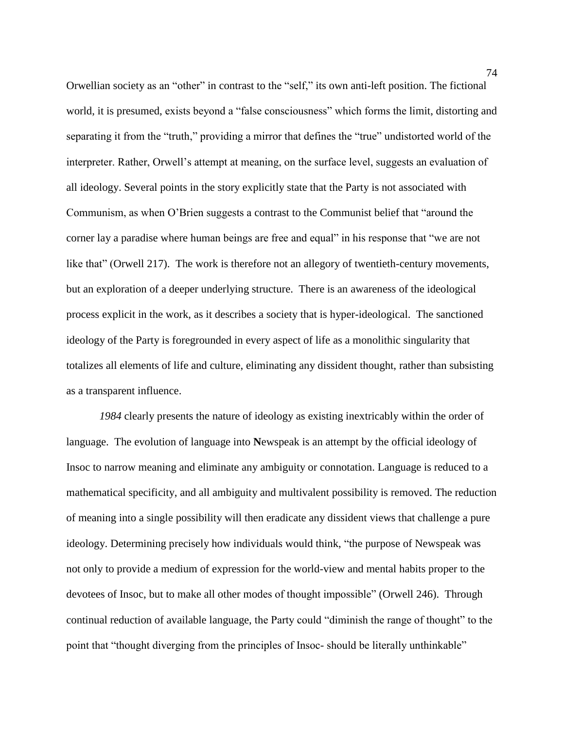Orwellian society as an "other" in contrast to the "self," its own anti-left position. The fictional world, it is presumed, exists beyond a "false consciousness" which forms the limit, distorting and separating it from the "truth," providing a mirror that defines the "true" undistorted world of the interpreter. Rather, Orwell's attempt at meaning, on the surface level, suggests an evaluation of all ideology. Several points in the story explicitly state that the Party is not associated with Communism, as when O'Brien suggests a contrast to the Communist belief that "around the corner lay a paradise where human beings are free and equal" in his response that "we are not like that" (Orwell 217). The work is therefore not an allegory of twentieth-century movements, but an exploration of a deeper underlying structure. There is an awareness of the ideological process explicit in the work, as it describes a society that is hyper-ideological. The sanctioned ideology of the Party is foregrounded in every aspect of life as a monolithic singularity that totalizes all elements of life and culture, eliminating any dissident thought, rather than subsisting as a transparent influence.

*1984* clearly presents the nature of ideology as existing inextricably within the order of language. The evolution of language into **N**ewspeak is an attempt by the official ideology of Insoc to narrow meaning and eliminate any ambiguity or connotation. Language is reduced to a mathematical specificity, and all ambiguity and multivalent possibility is removed. The reduction of meaning into a single possibility will then eradicate any dissident views that challenge a pure ideology. Determining precisely how individuals would think, "the purpose of Newspeak was not only to provide a medium of expression for the world-view and mental habits proper to the devotees of Insoc, but to make all other modes of thought impossible" (Orwell 246). Through continual reduction of available language, the Party could "diminish the range of thought" to the point that "thought diverging from the principles of Insoc- should be literally unthinkable"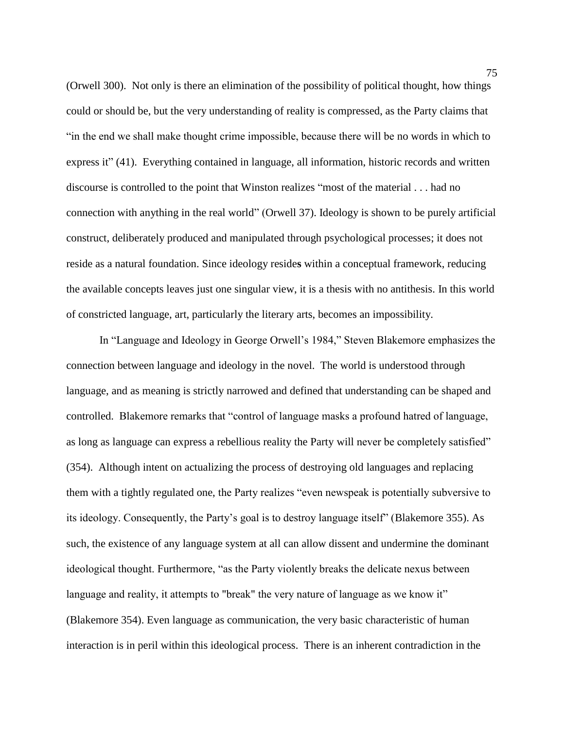(Orwell 300). Not only is there an elimination of the possibility of political thought, how things could or should be, but the very understanding of reality is compressed, as the Party claims that "in the end we shall make thought crime impossible, because there will be no words in which to express it" (41). Everything contained in language, all information, historic records and written discourse is controlled to the point that Winston realizes "most of the material . . . had no connection with anything in the real world" (Orwell 37). Ideology is shown to be purely artificial construct, deliberately produced and manipulated through psychological processes; it does not reside as a natural foundation. Since ideology reside**s** within a conceptual framework, reducing the available concepts leaves just one singular view, it is a thesis with no antithesis. In this world of constricted language, art, particularly the literary arts, becomes an impossibility.

In "Language and Ideology in George Orwell's 1984," Steven Blakemore emphasizes the connection between language and ideology in the novel. The world is understood through language, and as meaning is strictly narrowed and defined that understanding can be shaped and controlled. Blakemore remarks that "control of language masks a profound hatred of language, as long as language can express a rebellious reality the Party will never be completely satisfied" (354). Although intent on actualizing the process of destroying old languages and replacing them with a tightly regulated one, the Party realizes "even newspeak is potentially subversive to its ideology. Consequently, the Party's goal is to destroy language itself" (Blakemore 355). As such, the existence of any language system at all can allow dissent and undermine the dominant ideological thought. Furthermore, "as the Party violently breaks the delicate nexus between language and reality, it attempts to "break" the very nature of language as we know it" (Blakemore 354). Even language as communication, the very basic characteristic of human interaction is in peril within this ideological process. There is an inherent contradiction in the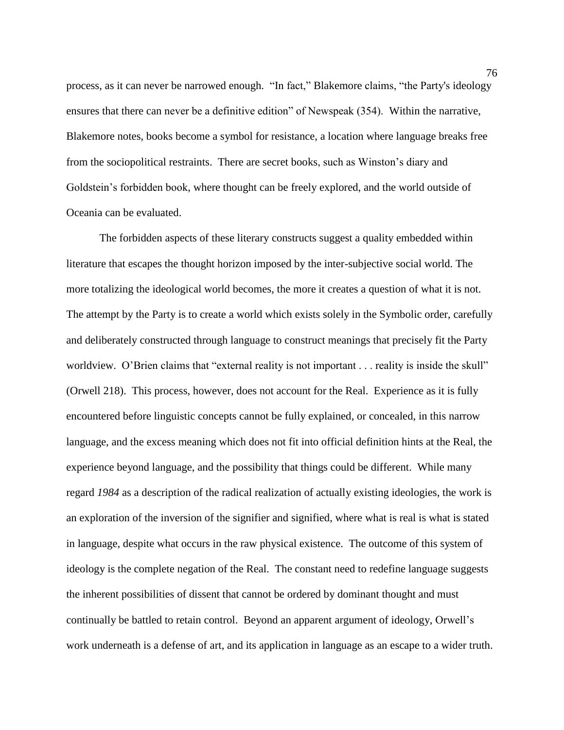process, as it can never be narrowed enough. "In fact," Blakemore claims, "the Party's ideology ensures that there can never be a definitive edition" of Newspeak (354). Within the narrative, Blakemore notes, books become a symbol for resistance, a location where language breaks free from the sociopolitical restraints. There are secret books, such as Winston's diary and Goldstein's forbidden book, where thought can be freely explored, and the world outside of Oceania can be evaluated.

The forbidden aspects of these literary constructs suggest a quality embedded within literature that escapes the thought horizon imposed by the inter-subjective social world. The more totalizing the ideological world becomes, the more it creates a question of what it is not. The attempt by the Party is to create a world which exists solely in the Symbolic order, carefully and deliberately constructed through language to construct meanings that precisely fit the Party worldview. O'Brien claims that "external reality is not important . . . reality is inside the skull" (Orwell 218). This process, however, does not account for the Real. Experience as it is fully encountered before linguistic concepts cannot be fully explained, or concealed, in this narrow language, and the excess meaning which does not fit into official definition hints at the Real, the experience beyond language, and the possibility that things could be different. While many regard *1984* as a description of the radical realization of actually existing ideologies, the work is an exploration of the inversion of the signifier and signified, where what is real is what is stated in language, despite what occurs in the raw physical existence. The outcome of this system of ideology is the complete negation of the Real. The constant need to redefine language suggests the inherent possibilities of dissent that cannot be ordered by dominant thought and must continually be battled to retain control. Beyond an apparent argument of ideology, Orwell's work underneath is a defense of art, and its application in language as an escape to a wider truth.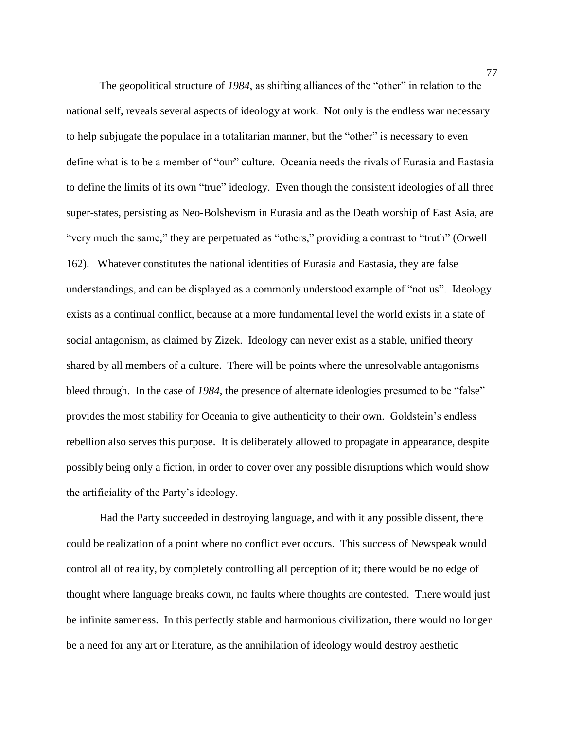The geopolitical structure of *1984*, as shifting alliances of the "other" in relation to the national self, reveals several aspects of ideology at work. Not only is the endless war necessary to help subjugate the populace in a totalitarian manner, but the "other" is necessary to even define what is to be a member of "our" culture. Oceania needs the rivals of Eurasia and Eastasia to define the limits of its own "true" ideology. Even though the consistent ideologies of all three super-states, persisting as Neo-Bolshevism in Eurasia and as the Death worship of East Asia, are "very much the same," they are perpetuated as "others," providing a contrast to "truth" (Orwell 162). Whatever constitutes the national identities of Eurasia and Eastasia, they are false understandings, and can be displayed as a commonly understood example of "not us". Ideology exists as a continual conflict, because at a more fundamental level the world exists in a state of social antagonism, as claimed by Zizek. Ideology can never exist as a stable, unified theory shared by all members of a culture. There will be points where the unresolvable antagonisms bleed through. In the case of *1984*, the presence of alternate ideologies presumed to be "false" provides the most stability for Oceania to give authenticity to their own. Goldstein's endless rebellion also serves this purpose. It is deliberately allowed to propagate in appearance, despite possibly being only a fiction, in order to cover over any possible disruptions which would show the artificiality of the Party's ideology.

Had the Party succeeded in destroying language, and with it any possible dissent, there could be realization of a point where no conflict ever occurs. This success of Newspeak would control all of reality, by completely controlling all perception of it; there would be no edge of thought where language breaks down, no faults where thoughts are contested. There would just be infinite sameness. In this perfectly stable and harmonious civilization, there would no longer be a need for any art or literature, as the annihilation of ideology would destroy aesthetic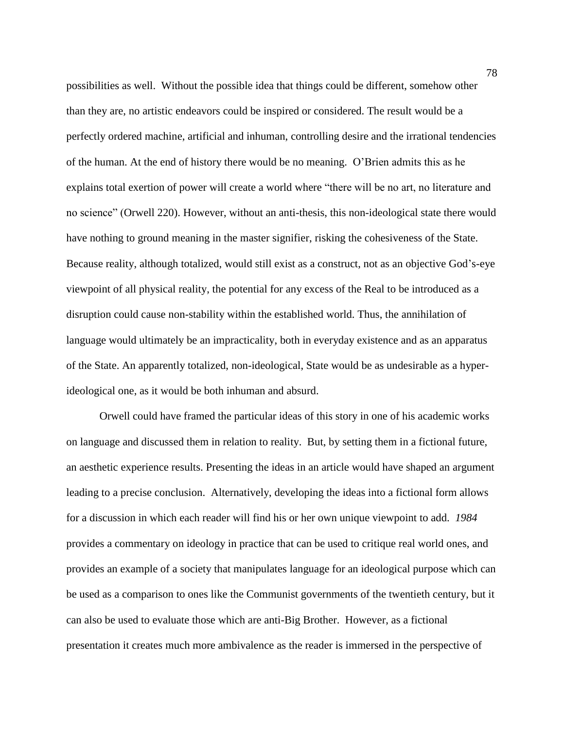possibilities as well. Without the possible idea that things could be different, somehow other than they are, no artistic endeavors could be inspired or considered. The result would be a perfectly ordered machine, artificial and inhuman, controlling desire and the irrational tendencies of the human. At the end of history there would be no meaning. O'Brien admits this as he explains total exertion of power will create a world where "there will be no art, no literature and no science" (Orwell 220). However, without an anti-thesis, this non-ideological state there would have nothing to ground meaning in the master signifier, risking the cohesiveness of the State. Because reality, although totalized, would still exist as a construct, not as an objective God's-eye viewpoint of all physical reality, the potential for any excess of the Real to be introduced as a disruption could cause non-stability within the established world. Thus, the annihilation of language would ultimately be an impracticality, both in everyday existence and as an apparatus of the State. An apparently totalized, non-ideological, State would be as undesirable as a hyperideological one, as it would be both inhuman and absurd.

Orwell could have framed the particular ideas of this story in one of his academic works on language and discussed them in relation to reality. But, by setting them in a fictional future, an aesthetic experience results. Presenting the ideas in an article would have shaped an argument leading to a precise conclusion. Alternatively, developing the ideas into a fictional form allows for a discussion in which each reader will find his or her own unique viewpoint to add. *1984* provides a commentary on ideology in practice that can be used to critique real world ones, and provides an example of a society that manipulates language for an ideological purpose which can be used as a comparison to ones like the Communist governments of the twentieth century, but it can also be used to evaluate those which are anti-Big Brother. However, as a fictional presentation it creates much more ambivalence as the reader is immersed in the perspective of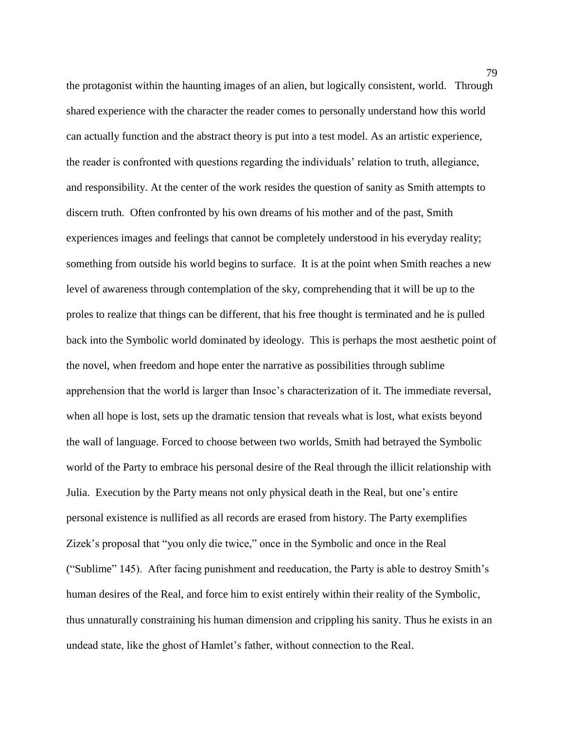the protagonist within the haunting images of an alien, but logically consistent, world. Through shared experience with the character the reader comes to personally understand how this world can actually function and the abstract theory is put into a test model. As an artistic experience, the reader is confronted with questions regarding the individuals' relation to truth, allegiance, and responsibility. At the center of the work resides the question of sanity as Smith attempts to discern truth. Often confronted by his own dreams of his mother and of the past, Smith experiences images and feelings that cannot be completely understood in his everyday reality; something from outside his world begins to surface. It is at the point when Smith reaches a new level of awareness through contemplation of the sky, comprehending that it will be up to the proles to realize that things can be different, that his free thought is terminated and he is pulled back into the Symbolic world dominated by ideology. This is perhaps the most aesthetic point of the novel, when freedom and hope enter the narrative as possibilities through sublime apprehension that the world is larger than Insoc's characterization of it. The immediate reversal, when all hope is lost, sets up the dramatic tension that reveals what is lost, what exists beyond the wall of language. Forced to choose between two worlds, Smith had betrayed the Symbolic world of the Party to embrace his personal desire of the Real through the illicit relationship with Julia. Execution by the Party means not only physical death in the Real, but one's entire personal existence is nullified as all records are erased from history. The Party exemplifies Zizek's proposal that "you only die twice," once in the Symbolic and once in the Real ("Sublime" 145). After facing punishment and reeducation, the Party is able to destroy Smith's human desires of the Real, and force him to exist entirely within their reality of the Symbolic, thus unnaturally constraining his human dimension and crippling his sanity. Thus he exists in an undead state, like the ghost of Hamlet's father, without connection to the Real.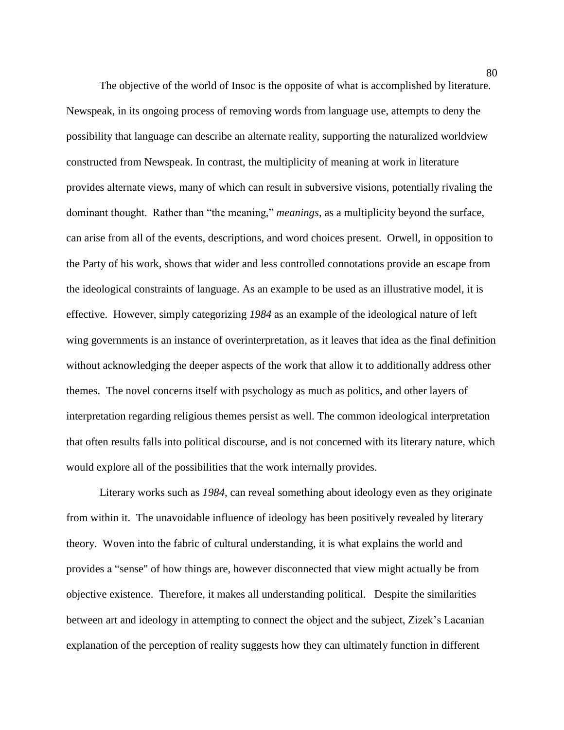The objective of the world of Insoc is the opposite of what is accomplished by literature. Newspeak, in its ongoing process of removing words from language use, attempts to deny the possibility that language can describe an alternate reality, supporting the naturalized worldview constructed from Newspeak. In contrast, the multiplicity of meaning at work in literature provides alternate views, many of which can result in subversive visions, potentially rivaling the dominant thought. Rather than "the meaning," *meanings*, as a multiplicity beyond the surface, can arise from all of the events, descriptions, and word choices present. Orwell, in opposition to the Party of his work, shows that wider and less controlled connotations provide an escape from the ideological constraints of language. As an example to be used as an illustrative model, it is effective. However, simply categorizing *1984* as an example of the ideological nature of left wing governments is an instance of overinterpretation, as it leaves that idea as the final definition without acknowledging the deeper aspects of the work that allow it to additionally address other themes. The novel concerns itself with psychology as much as politics, and other layers of interpretation regarding religious themes persist as well. The common ideological interpretation that often results falls into political discourse, and is not concerned with its literary nature, which would explore all of the possibilities that the work internally provides.

Literary works such as *1984*, can reveal something about ideology even as they originate from within it. The unavoidable influence of ideology has been positively revealed by literary theory. Woven into the fabric of cultural understanding, it is what explains the world and provides a "sense" of how things are, however disconnected that view might actually be from objective existence. Therefore, it makes all understanding political. Despite the similarities between art and ideology in attempting to connect the object and the subject, Zizek's Lacanian explanation of the perception of reality suggests how they can ultimately function in different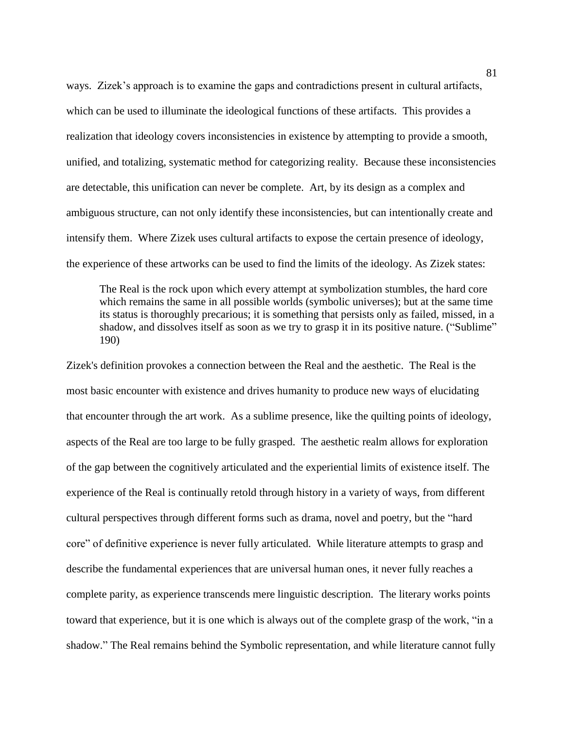ways. Zizek's approach is to examine the gaps and contradictions present in cultural artifacts, which can be used to illuminate the ideological functions of these artifacts. This provides a realization that ideology covers inconsistencies in existence by attempting to provide a smooth, unified, and totalizing, systematic method for categorizing reality. Because these inconsistencies are detectable, this unification can never be complete. Art, by its design as a complex and ambiguous structure, can not only identify these inconsistencies, but can intentionally create and intensify them. Where Zizek uses cultural artifacts to expose the certain presence of ideology, the experience of these artworks can be used to find the limits of the ideology. As Zizek states:

The Real is the rock upon which every attempt at symbolization stumbles, the hard core which remains the same in all possible worlds (symbolic universes); but at the same time its status is thoroughly precarious; it is something that persists only as failed, missed, in a shadow, and dissolves itself as soon as we try to grasp it in its positive nature. ("Sublime" 190)

Zizek's definition provokes a connection between the Real and the aesthetic. The Real is the most basic encounter with existence and drives humanity to produce new ways of elucidating that encounter through the art work. As a sublime presence, like the quilting points of ideology, aspects of the Real are too large to be fully grasped. The aesthetic realm allows for exploration of the gap between the cognitively articulated and the experiential limits of existence itself. The experience of the Real is continually retold through history in a variety of ways, from different cultural perspectives through different forms such as drama, novel and poetry, but the "hard core" of definitive experience is never fully articulated. While literature attempts to grasp and describe the fundamental experiences that are universal human ones, it never fully reaches a complete parity, as experience transcends mere linguistic description. The literary works points toward that experience, but it is one which is always out of the complete grasp of the work, "in a shadow." The Real remains behind the Symbolic representation, and while literature cannot fully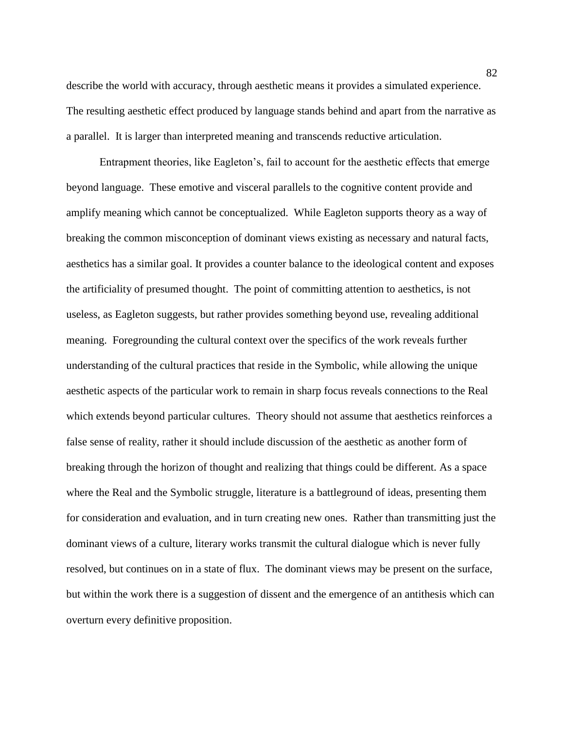describe the world with accuracy, through aesthetic means it provides a simulated experience. The resulting aesthetic effect produced by language stands behind and apart from the narrative as a parallel. It is larger than interpreted meaning and transcends reductive articulation.

Entrapment theories, like Eagleton's, fail to account for the aesthetic effects that emerge beyond language. These emotive and visceral parallels to the cognitive content provide and amplify meaning which cannot be conceptualized. While Eagleton supports theory as a way of breaking the common misconception of dominant views existing as necessary and natural facts, aesthetics has a similar goal. It provides a counter balance to the ideological content and exposes the artificiality of presumed thought. The point of committing attention to aesthetics, is not useless, as Eagleton suggests, but rather provides something beyond use, revealing additional meaning. Foregrounding the cultural context over the specifics of the work reveals further understanding of the cultural practices that reside in the Symbolic, while allowing the unique aesthetic aspects of the particular work to remain in sharp focus reveals connections to the Real which extends beyond particular cultures. Theory should not assume that aesthetics reinforces a false sense of reality, rather it should include discussion of the aesthetic as another form of breaking through the horizon of thought and realizing that things could be different. As a space where the Real and the Symbolic struggle, literature is a battleground of ideas, presenting them for consideration and evaluation, and in turn creating new ones. Rather than transmitting just the dominant views of a culture, literary works transmit the cultural dialogue which is never fully resolved, but continues on in a state of flux. The dominant views may be present on the surface, but within the work there is a suggestion of dissent and the emergence of an antithesis which can overturn every definitive proposition.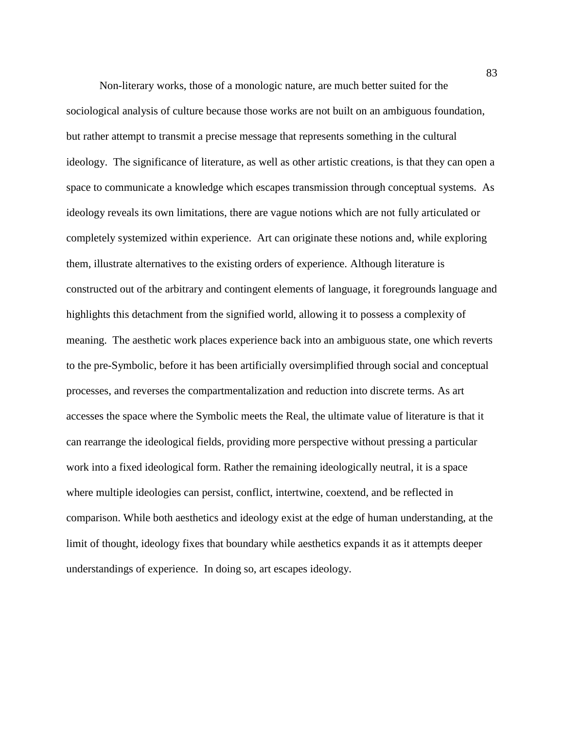Non-literary works, those of a monologic nature, are much better suited for the sociological analysis of culture because those works are not built on an ambiguous foundation, but rather attempt to transmit a precise message that represents something in the cultural ideology. The significance of literature, as well as other artistic creations, is that they can open a space to communicate a knowledge which escapes transmission through conceptual systems. As ideology reveals its own limitations, there are vague notions which are not fully articulated or completely systemized within experience.Art can originate these notions and, while exploring them, illustrate alternatives to the existing orders of experience. Although literature is constructed out of the arbitrary and contingent elements of language, it foregrounds language and highlights this detachment from the signified world, allowing it to possess a complexity of meaning. The aesthetic work places experience back into an ambiguous state, one which reverts to the pre-Symbolic, before it has been artificially oversimplified through social and conceptual processes, and reverses the compartmentalization and reduction into discrete terms. As art accesses the space where the Symbolic meets the Real, the ultimate value of literature is that it can rearrange the ideological fields, providing more perspective without pressing a particular work into a fixed ideological form. Rather the remaining ideologically neutral, it is a space where multiple ideologies can persist, conflict, intertwine, coextend, and be reflected in comparison. While both aesthetics and ideology exist at the edge of human understanding, at the limit of thought, ideology fixes that boundary while aesthetics expands it as it attempts deeper understandings of experience. In doing so, art escapes ideology.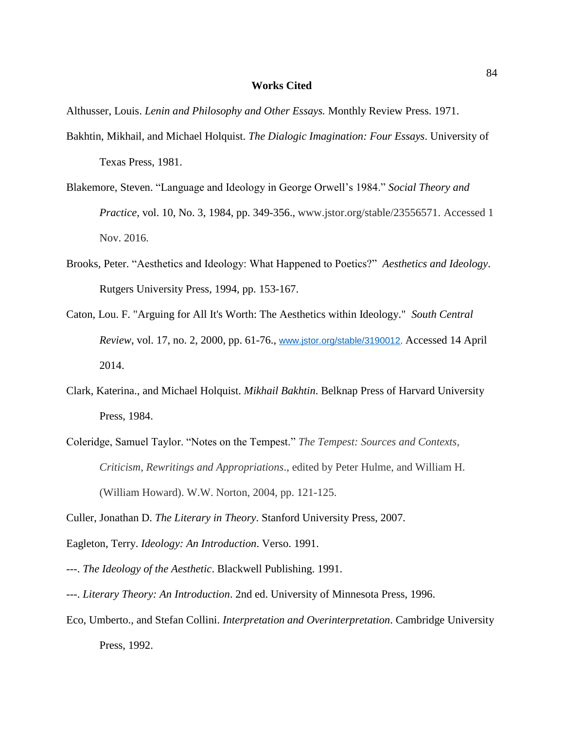## **Works Cited**

Althusser, Louis. *Lenin and Philosophy and Other Essays.* Monthly Review Press. 1971.

- Bakhtin, Mikhail, and Michael Holquist. *The Dialogic Imagination: Four Essays*. University of Texas Press, 1981.
- Blakemore, Steven. "Language and Ideology in George Orwell's 1984." *Social Theory and Practice,* vol. 10, No. 3, 1984, pp. 349-356., www.jstor.org/stable/23556571. Accessed 1 Nov. 2016.
- Brooks, Peter. "Aesthetics and Ideology: What Happened to Poetics?" *Aesthetics and Ideology*. Rutgers University Press, 1994, pp. 153-167.
- Caton, Lou. F. "Arguing for All It's Worth: The Aesthetics within Ideology." *South Central Review*, vol. 17, no. 2, 2000, pp. 61-76., [www.jstor.org/stable/3190012.](http://www.jstor.org/stable/3190012) Accessed 14 April 2014.
- Clark, Katerina., and Michael Holquist. *Mikhail Bakhtin*. Belknap Press of Harvard University Press, 1984.
- Coleridge, Samuel Taylor. "Notes on the Tempest." *The Tempest: Sources and Contexts, Criticism, Rewritings and Appropriations*., edited by Peter Hulme, and William H. (William Howard). W.W. Norton, 2004, pp. 121-125.

Culler, Jonathan D. *The Literary in Theory*. Stanford University Press, 2007.

Eagleton, Terry. *Ideology: An Introduction*. Verso. 1991.

---. *The Ideology of the Aesthetic*. Blackwell Publishing. 1991.

- ---. *Literary Theory: An Introduction*. 2nd ed. University of Minnesota Press, 1996.
- Eco, Umberto., and Stefan Collini. *Interpretation and Overinterpretation*. Cambridge University Press, 1992.